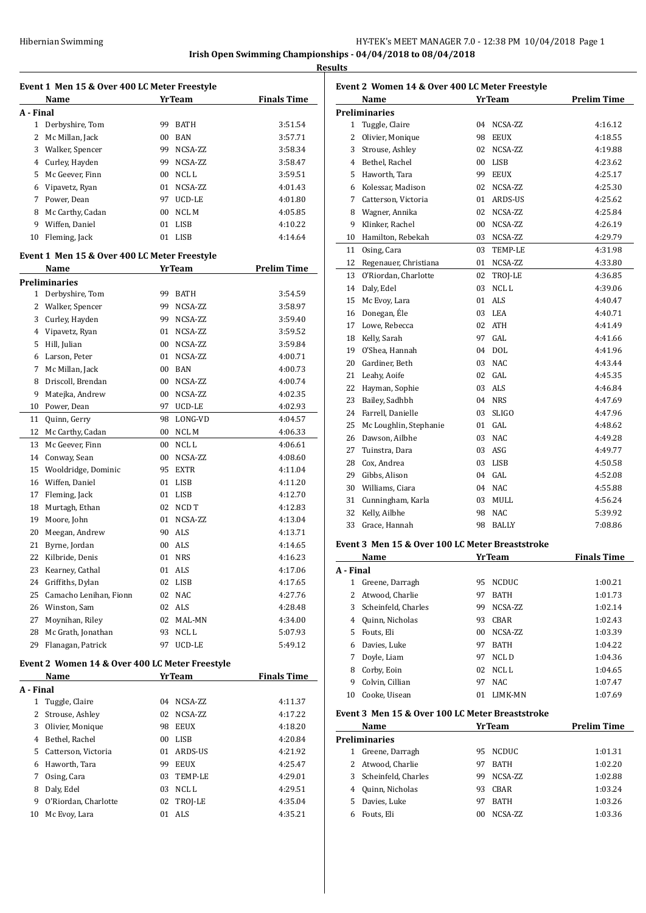**Results**

|                           | Event 1 Men 15 & Over 400 LC Meter Freestyle<br>Name |    | <b>YrTeam</b>     | <b>Finals Time</b> |
|---------------------------|------------------------------------------------------|----|-------------------|--------------------|
|                           |                                                      |    |                   |                    |
| A - Final<br>$\mathbf{1}$ | Derbyshire, Tom                                      | 99 | <b>BATH</b>       | 3:51.54            |
| 2                         | Mc Millan, Jack                                      | 00 | <b>BAN</b>        | 3:57.71            |
| 3                         | Walker, Spencer                                      |    | 99 NCSA-ZZ        | 3:58.34            |
| 4                         |                                                      |    |                   |                    |
|                           | Curley, Hayden                                       |    | 99 NCSA-ZZ        | 3:58.47            |
| 5                         | Mc Geever, Finn                                      |    | 00 NCLL           | 3:59.51            |
| 6                         | Vipavetz, Ryan                                       |    | 01 NCSA-ZZ        | 4:01.43            |
|                           | 7 Power, Dean                                        |    | 97 UCD-LE         | 4:01.80            |
| 8                         | Mc Carthy, Cadan                                     |    | 00 NCL M          | 4:05.85            |
| 9                         | Wiffen, Daniel                                       |    | 01 LISB           | 4:10.22            |
|                           | 10 Fleming, Jack                                     |    | 01 LISB           | 4:14.64            |
|                           | Event 1 Men 15 & Over 400 LC Meter Freestyle<br>Name |    | <b>YrTeam</b>     | <b>Prelim Time</b> |
|                           | <b>Preliminaries</b>                                 |    |                   |                    |
| 1                         | Derbyshire, Tom                                      | 99 | <b>BATH</b>       | 3:54.59            |
|                           | 2 Walker, Spencer                                    |    | 99 NCSA-ZZ        | 3:58.97            |
|                           | Curley, Hayden                                       |    |                   | 3:59.40            |
| 3                         |                                                      |    | 99 NCSA-ZZ        |                    |
| 4                         | Vipavetz, Ryan                                       |    | 01 NCSA-ZZ        | 3:59.52            |
| 5                         | Hill, Julian                                         |    | 00 NCSA-ZZ        | 3:59.84            |
| 6                         | Larson, Peter                                        |    | 01 NCSA-ZZ        | 4:00.71            |
| 7                         | Mc Millan, Jack                                      |    | 00 BAN            | 4:00.73            |
| 8                         | Driscoll, Brendan                                    |    | 00 NCSA-ZZ        | 4:00.74            |
| 9                         | Matejka, Andrew                                      |    | 00 NCSA-ZZ        | 4:02.35            |
| 10                        | Power, Dean                                          | 97 | UCD-LE            | 4:02.93            |
| 11                        | Quinn, Gerry                                         | 98 | LONG-VD           | 4:04.57            |
| 12                        | Mc Carthy, Cadan                                     | 00 | NCL M             | 4:06.33            |
| 13                        | Mc Geever, Finn                                      | 00 | NCL L             | 4:06.61            |
| 14                        | Conway, Sean                                         | 00 | NCSA-ZZ           | 4:08.60            |
| 15                        | Wooldridge, Dominic                                  | 95 | <b>EXTR</b>       | 4:11.04            |
| 16                        | Wiffen, Daniel                                       | 01 | LISB              | 4:11.20            |
| 17                        | Fleming, Jack                                        | 01 | LISB              | 4:12.70            |
| 18                        | Murtagh, Ethan                                       | 02 | NCD T             | 4:12.83            |
| 19                        | Moore, John                                          | 01 | NCSA-ZZ           | 4:13.04            |
| 20                        | Meegan, Andrew                                       | 90 | ALS               | 4:13.71            |
| 21                        | Byrne, Jordan                                        | 00 | ALS               | 4:14.65            |
|                           | 22 Kilbride, Denis                                   |    | 01 NRS            | 4:16.23            |
|                           | 23 Kearney, Cathal                                   |    | 01 ALS            | 4:17.06            |
| 24                        | Griffiths, Dylan                                     |    | 02 LISB           | 4:17.65            |
| 25                        | Camacho Lenihan, Fionn                               |    | 02 NAC            | 4:27.76            |
| 26                        | Winston, Sam                                         |    | 02 ALS            | 4:28.48            |
| 27                        | Moynihan, Riley                                      |    | 02 MAL-MN         | 4:34.00            |
| 28                        | Mc Grath, Jonathan                                   | 93 | NCL L             | 5:07.93            |
| 29                        | Flanagan, Patrick                                    | 97 | UCD-LE            | 5:49.12            |
|                           | Event 2 Women 14 & Over 400 LC Meter Freestyle       |    |                   |                    |
|                           | <u>Name</u>                                          |    | <b>Yr Team</b>    | <b>Finals Time</b> |
| A - Final                 |                                                      |    |                   |                    |
| 1                         | Tuggle, Claire                                       |    | 04 NCSA-ZZ        | 4:11.37            |
|                           | 2 Strouse, Ashley                                    |    | 02 NCSA-ZZ        | 4:17.22            |
|                           | 3 Olivier, Monique                                   |    | 98 EEUX           | 4:18.20            |
|                           | 4 Bethel, Rachel                                     |    | 00 LISB           | 4:20.84            |
| 5                         | Catterson, Victoria                                  |    | 01 ARDS-US        | 4:21.92            |
| 6                         | Haworth, Tara                                        |    | 99 EEUX           | 4:25.47            |
| 7                         | Osing, Cara                                          |    | 03 TEMP-LE        | 4:29.01            |
|                           | Daly, Edel                                           |    | 03 NCLL           | 4:29.51            |
|                           |                                                      |    |                   |                    |
| 8                         |                                                      |    |                   |                    |
| 9<br>10                   | O'Riordan, Charlotte<br>Mc Evoy, Lara                | 02 | TROJ-LE<br>01 ALS | 4:35.04<br>4:35.21 |

| Event 2 Women 14 & Over 400 LC Meter Freestyle |                        |                |               |                    |
|------------------------------------------------|------------------------|----------------|---------------|--------------------|
|                                                | Name                   |                | <b>YrTeam</b> | <b>Prelim Time</b> |
|                                                | <b>Preliminaries</b>   |                |               |                    |
| 1                                              | Tuggle, Claire         | 04             | NCSA-ZZ       | 4:16.12            |
| 2                                              | Olivier, Monique       | 98             | <b>EEUX</b>   | 4:18.55            |
| 3                                              | Strouse, Ashley        | 02             | NCSA-ZZ       | 4:19.88            |
| 4                                              | Bethel, Rachel         | 0 <sub>0</sub> | <b>LISB</b>   | 4:23.62            |
| 5                                              | Haworth, Tara          | 99             | <b>EEUX</b>   | 4:25.17            |
| 6                                              | Kolessar, Madison      | 02             | NCSA-ZZ       | 4:25.30            |
| 7                                              | Catterson, Victoria    | 01             | ARDS-US       | 4:25.62            |
| 8                                              | Wagner, Annika         | 02             | NCSA-ZZ       | 4:25.84            |
| 9                                              | Klinker, Rachel        | 00             | NCSA-ZZ       | 4:26.19            |
| 10                                             | Hamilton, Rebekah      |                | 03 NCSA-ZZ    | 4:29.79            |
| 11                                             | Osing, Cara            | 03             | TEMP-LE       | 4:31.98            |
| 12                                             | Regenauer, Christiana  | 01             | NCSA-ZZ       | 4:33.80            |
| 13                                             | O'Riordan, Charlotte   |                | 02 TROJ-LE    | 4:36.85            |
| 14                                             | Daly, Edel             | 03             | NCL L         | 4:39.06            |
| 15                                             | Mc Evoy, Lara          | 01             | ALS           | 4:40.47            |
| 16                                             | Donegan, Éle           |                | 03 LEA        | 4:40.71            |
| 17                                             | Lowe, Rebecca          |                | 02 ATH        | 4:41.49            |
| 18                                             | Kelly, Sarah           |                | 97 GAL        | 4:41.66            |
|                                                | 19 O'Shea, Hannah      |                | 04 DOL        | 4:41.96            |
| 20                                             | Gardiner, Beth         |                | 03 NAC        | 4:43.44            |
| 21                                             | Leahy, Aoife           |                | 02 GAL        | 4:45.35            |
| 22                                             | Hayman, Sophie         |                | 03 ALS        | 4:46.84            |
| 23                                             | Bailey, Sadhbh         |                | 04 NRS        | 4:47.69            |
| 24                                             | Farrell, Danielle      | 03             | <b>SLIGO</b>  | 4:47.96            |
| 25                                             | Mc Loughlin, Stephanie | 01             | GAL           | 4:48.62            |
| 26                                             | Dawson, Ailbhe         |                | 03 NAC        | 4:49.28            |
| 27                                             | Tuinstra, Dara         |                | 03 ASG        | 4:49.77            |
|                                                | 28 Cox, Andrea         | 03             | LISB          | 4:50.58            |
| 29                                             | Gibbs, Alison          | 04             | GAL           | 4:52.08            |
| 30                                             | Williams, Ciara        |                | 04 NAC        | 4:55.88            |
| 31                                             | Cunningham, Karla      | 03             | MULL          | 4:56.24            |
| 32                                             | Kelly, Ailbhe          | 98             | <b>NAC</b>    | 5:39.92            |
| 33                                             | Grace, Hannah          | 98             | <b>BALLY</b>  | 7:08.86            |

#### **Event 3 Men 15 & Over 100 LC Meter Breaststroke**

|           | YrTeam<br>Name      |                 |              | <b>Finals Time</b> |
|-----------|---------------------|-----------------|--------------|--------------------|
| A - Final |                     |                 |              |                    |
| 1         | Greene, Darragh     | 95              | <b>NCDUC</b> | 1:00.21            |
|           | Atwood, Charlie     | 97              | <b>BATH</b>  | 1:01.73            |
| 3         | Scheinfeld, Charles | 99              | NCSA-ZZ      | 1:02.14            |
| 4         | Quinn, Nicholas     | 93              | CBAR         | 1:02.43            |
| 5.        | Fouts, Eli          | 00 <sup>1</sup> | NCSA-ZZ      | 1:03.39            |
| 6         | Davies, Luke        | 97              | <b>BATH</b>  | 1:04.22            |
|           | Doyle, Liam         | 97              | NCL D        | 1:04.36            |
| 8         | Corby, Eoin         | 02              | NCL L        | 1:04.65            |
| 9         | Colvin, Cillian     | 97              | <b>NAC</b>   | 1:07.47            |
| 10        | Cooke, Uisean       | 01              | LIMK-MN      | 1:07.69            |

## **Event 3 Men 15 & Over 100 LC Meter Breaststroke**

|    | Name                  | YrTeam |             | <b>Prelim Time</b> |
|----|-----------------------|--------|-------------|--------------------|
|    | Preliminaries         |        |             |                    |
|    | Greene, Darragh       | 95.    | NCDUC.      | 1:01.31            |
|    | 2 Atwood, Charlie     | 97     | <b>BATH</b> | 1:02.20            |
|    | 3 Scheinfeld, Charles | 99.    | NCSA-ZZ     | 1:02.88            |
|    | Quinn, Nicholas       | 93.    | CBAR        | 1:03.24            |
| 5. | Davies, Luke          | 97     | <b>BATH</b> | 1:03.26            |
|    | Fouts, Eli            | 00     | NCSA-ZZ     | 1:03.36            |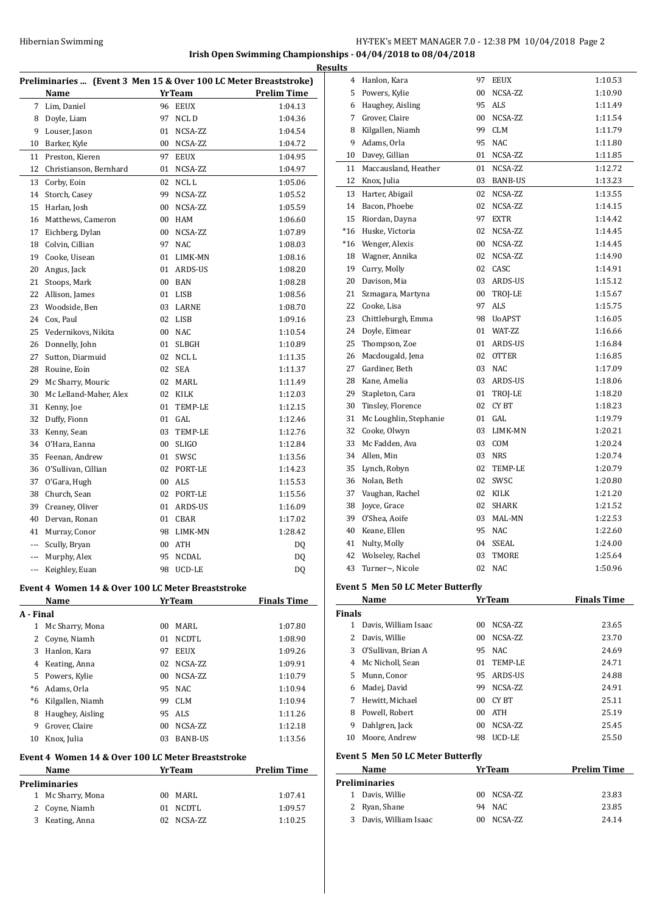## **Irish Open Swimming Championships - 04/04/2018 to 08/04/2018**

|     | Preliminaries  (Event 3 Men 15 & Over 100 LC Meter Breaststroke) |    |               |                    |
|-----|------------------------------------------------------------------|----|---------------|--------------------|
|     | Name                                                             |    | YrTeam        | <b>Prelim Time</b> |
| 7   | Lim, Daniel                                                      |    | 96 EEUX       | 1:04.13            |
|     | 8 Doyle, Liam                                                    | 97 | NCL D         | 1:04.36            |
|     | 9 Louser, Jason                                                  | 01 | NCSA-ZZ       | 1:04.54            |
| 10  | Barker, Kyle                                                     |    | 00 NCSA-ZZ    | 1:04.72            |
| 11  | Preston, Kieren                                                  | 97 | <b>EEUX</b>   | 1:04.95            |
| 12  | Christianson, Bernhard                                           |    | 01 NCSA-ZZ    | 1:04.97            |
| 13  | Corby, Eoin                                                      |    | 02 NCLL       | 1:05.06            |
| 14  | Storch, Casey                                                    | 99 | NCSA-ZZ       | 1:05.52            |
| 15  | Harlan, Josh                                                     |    | 00 NCSA-ZZ    | 1:05.59            |
|     | 16 Matthews, Cameron                                             |    | 00 HAM        | 1:06.60            |
| 17  | Eichberg, Dylan                                                  |    | 00 NCSA-ZZ    | 1:07.89            |
| 18  | Colvin, Cillian                                                  | 97 | <b>NAC</b>    | 1:08.03            |
| 19  | Cooke, Uisean                                                    |    | 01 LIMK-MN    | 1:08.16            |
| 20  | Angus, Jack                                                      |    | 01 ARDS-US    | 1:08.20            |
| 21  | Stoops, Mark                                                     |    | 00 BAN        | 1:08.28            |
|     | 22 Allison, James                                                |    | 01 LISB       | 1:08.56            |
| 23  | Woodside, Ben                                                    |    | 03 LARNE      | 1:08.70            |
| 24  | Cox, Paul                                                        |    | 02 LISB       | 1:09.16            |
|     | 25 Vedernikovs, Nikita                                           |    | 00 NAC        | 1:10.54            |
|     | 26 Donnelly, John                                                |    | 01 SLBGH      | 1:10.89            |
| 27  | Sutton, Diarmuid                                                 |    | 02 NCLL       | 1:11.35            |
|     | 28 Rouine, Eoin                                                  |    | 02 SEA        | 1:11.37            |
|     | 29 Mc Sharry, Mouric                                             |    | 02 MARL       | 1:11.49            |
| 30  | Mc Lelland-Maher, Alex                                           |    | 02 KILK       | 1:12.03            |
| 31  | Kenny, Joe                                                       | 01 | TEMP-LE       | 1:12.15            |
| 32  | Duffy, Fionn                                                     |    | 01 GAL        | 1:12.46            |
|     | 33 Kenny, Sean                                                   |    | 03 TEMP-LE    | 1:12.76            |
|     | 34 O'Hara, Eanna                                                 |    | 00 SLIGO      | 1:12.84            |
|     | 35 Feenan, Andrew                                                |    | 01 SWSC       | 1:13.56            |
| 36  | O'Sullivan, Cillian                                              |    | 02 PORT-LE    | 1:14.23            |
| 37  | O'Gara, Hugh                                                     |    | 00 ALS        | 1:15.53            |
|     | 38 Church, Sean                                                  |    | 02 PORT-LE    | 1:15.56            |
|     | 39 Creaney, Oliver                                               |    | 01 ARDS-US    | 1:16.09            |
|     | 40 Dervan, Ronan                                                 |    | 01 CBAR       | 1:17.02            |
|     | 41 Murray, Conor                                                 |    | 98 LIMK-MN    | 1:28.42            |
| --- | Scully, Bryan                                                    |    | 00 ATH        | DQ                 |
|     | Murphy, Alex                                                     |    | 95 NCDAL      | DQ                 |
|     | Keighley, Euan                                                   |    | 98 UCD-LE     | DQ                 |
|     | Event 4 Women 14 & Over 100 LC Meter Breaststroke                |    |               |                    |
|     | Name                                                             |    | <b>YrTeam</b> | <b>Finals Time</b> |
|     | A - Final                                                        |    |               |                    |
|     | 1 Mc Sharry, Mona                                                |    | 00 MARL       | 1:07.80            |
|     | 2 Coyne, Niamh                                                   | 01 | <b>NCDTL</b>  | 1:08.90            |
|     | 3 Hanlon, Kara                                                   |    | 97 EEUX       | 1:09.26            |
|     | 4 Keating, Anna                                                  |    | 02 NCSA-ZZ    | 1:09.91            |
|     | 5 Powers, Kylie                                                  |    | 00 NCSA-ZZ    | 1:10.79            |
|     | *6 Adams, Orla                                                   |    | 95 NAC        | 1:10.94            |
|     | *6 Kilgallen, Niamh                                              |    | 99 CLM        | 1:10.94            |
|     | 8 Haughey, Aisling                                               |    | 95 ALS        | 1:11.26            |
| 9   | Grover, Claire                                                   |    | 00 NCSA-ZZ    | 1:12.18            |
| 10  | Knox, Julia                                                      |    | 03 BANB-US    | 1:13.56            |
|     | Event 4 Women 14 & Over 100 LC Meter Breaststroke                |    |               |                    |
|     | Name                                                             |    | <b>YrTeam</b> | <b>Prelim Time</b> |
|     | Preliminaries                                                    |    |               |                    |
|     | 1 Mc Sharry, Mona<br>2 Coyne, Niamh                              |    | 00 MARL       | 1:07.41            |
|     |                                                                  | 01 | NCDTL         | 1:09.57            |
| 3   | Keating, Anna                                                    |    | 02 NCSA-ZZ    | 1:10.25            |

| ults   |                                          |    |               |                    |
|--------|------------------------------------------|----|---------------|--------------------|
|        | 4 Hanlon, Kara                           | 97 | <b>EEUX</b>   | 1:10.53            |
|        | 5 Powers, Kylie                          | 00 | NCSA-ZZ       | 1:10.90            |
|        | 6 Haughey, Aisling                       |    | 95 ALS        | 1:11.49            |
| 7      | Grover, Claire                           |    | 00 NCSA-ZZ    | 1:11.54            |
|        | 8 Kilgallen, Niamh                       |    | 99 CLM        | 1:11.79            |
|        | 9 Adams, Orla                            | 95 | NAC           | 1:11.80            |
|        | 10 Davey, Gillian                        | 01 | NCSA-ZZ       | 1:11.85            |
| 11     | Maccausland, Heather                     | 01 | NCSA-ZZ       | 1:12.72            |
| 12     | Knox, Julia                              |    | 03 BANB-US    | 1:13.23            |
|        | 13 Harter, Abigail                       | 02 | NCSA-ZZ       | 1:13.55            |
|        | 14 Bacon, Phoebe                         |    | 02 NCSA-ZZ    | 1:14.15            |
|        | 15 Riordan, Dayna                        | 97 | <b>EXTR</b>   | 1:14.42            |
|        | *16 Huske, Victoria                      |    | 02 NCSA-ZZ    | 1:14.45            |
|        | *16 Wenger, Alexis                       |    | 00 NCSA-ZZ    | 1:14.45            |
|        | 18 Wagner, Annika                        | 02 | NCSA-ZZ       | 1:14.90            |
|        | 19 Curry, Molly                          | 02 | CASC          | 1:14.91            |
|        | 20 Davison, Mia                          |    | 03 ARDS-US    | 1:15.12            |
|        | 21 Szmagara, Martyna                     |    | 00 TROJ-LE    | 1:15.67            |
|        | 22 Cooke, Lisa                           |    | 97 ALS        | 1:15.75            |
| 23     | Chittleburgh, Emma                       |    | 98 UoAPST     | 1:16.05            |
|        | 24 Doyle, Eimear                         |    | 01 WAT-7.7.   | 1:16.66            |
| 25     | Thompson, Zoe                            |    | 01 ARDS-US    | 1:16.84            |
|        | 26 Macdougald, Jena                      |    | 02 OTTER      | 1:16.85            |
|        | 27 Gardiner, Beth                        |    | 03 NAC        | 1:17.09            |
|        | 28 Kane, Amelia                          |    | 03 ARDS-US    | 1:18.06            |
| 29     | Stapleton, Cara                          |    | 01 TROJ-LE    | 1:18.20            |
|        | 30 Tinsley, Florence                     | 02 | <b>CYBT</b>   | 1:18.23            |
| 31     | Mc Loughlin, Stephanie                   |    | 01 GAL        | 1:19.79            |
| 32     | Cooke, Olwyn                             |    | 03 LIMK-MN    | 1:20.21            |
| 33     | Mc Fadden, Ava                           |    | 03 COM        | 1:20.24            |
|        | 34 Allen, Min                            |    | 03 NRS        | 1:20.74            |
|        | 35 Lynch, Robyn                          |    | 02 TEMP-LE    | 1:20.79            |
|        | 36 Nolan, Beth                           |    | 02 SWSC       | 1:20.80            |
|        | 37 Vaughan, Rachel                       |    | 02 KILK       | 1:21.20            |
|        | 38 Joyce, Grace                          | 02 | <b>SHARK</b>  | 1:21.52            |
|        | 39 O'Shea. Aoife                         | 03 | MAL-MN        | 1:22.53            |
| 40     | Keane, Ellen                             | 95 | <b>NAC</b>    | 1:22.60            |
| 41     | Nulty, Molly                             | 04 | <b>SSEAL</b>  | 1:24.00            |
| 42     | Wolseley, Rachel                         | 03 | TMORE         | 1:25.64            |
| 43     | Turner~, Nicole                          | 02 | <b>NAC</b>    | 1:50.96            |
|        | <b>Event 5 Men 50 LC Meter Butterfly</b> |    |               |                    |
|        | Name                                     |    | YrTeam        | <b>Finals Time</b> |
| Finals |                                          |    |               |                    |
|        | 1 Davis, William Isaac                   |    | 00 NCSA-ZZ    | 23.65              |
| 2      | Davis, Willie                            |    | 00 NCSA-ZZ    | 23.70              |
|        | 3 O'Sullivan, Brian A                    |    | 95 NAC        | 24.69              |
|        | 4 Mc Nicholl, Sean                       |    | 01 TEMP-LE    | 24.71              |
|        | 5 Munn, Conor                            |    | 95 ARDS-US    | 24.88              |
|        | 6 Madej, David                           |    | 99 NCSA-ZZ    | 24.91              |
|        | 7 Hewitt, Michael                        |    | 00 CYBT       | 25.11              |
|        | 8 Powell, Robert                         |    | 00 ATH        | 25.19              |
|        | 9 Dahlgren, Jack                         |    | 00 NCSA-ZZ    | 25.45              |
| 10     | Moore, Andrew                            | 98 | UCD-LE        | 25.50              |
|        | <b>Event 5 Men 50 LC Meter Butterfly</b> |    |               |                    |
|        | Name                                     |    | <b>YrTeam</b> | <b>Prelim Time</b> |
|        | <b>Preliminaries</b>                     |    |               |                    |
|        | 1 Davis, Willie                          |    | 00 NCSA-ZZ    | 23.83              |
| 2      | Ryan, Shane                              | 94 | NAC           | 23.85              |
| 3      | Davis, William Isaac                     | 00 | NCSA-ZZ       | 24.14              |
|        |                                          |    |               |                    |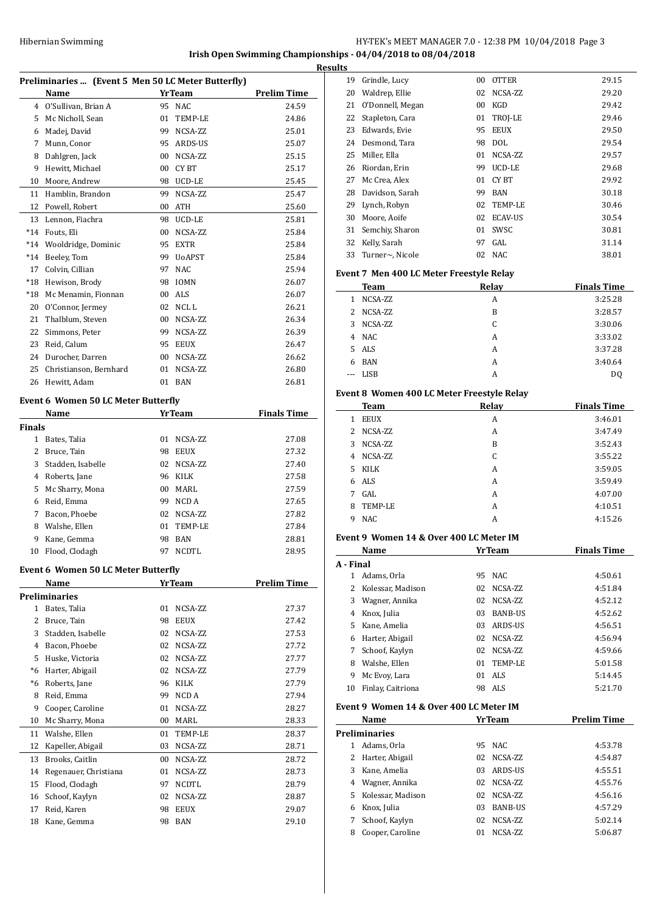## HY-TEK's MEET MANAGER 7.0 - 12:38 PM 10/04/2018 Page 3 **Irish Open Swimming Championships - 04/04/2018 to 08/04/2018**

| Preliminaries  (Event 5 Men 50 LC Meter Butterfly) |                        |    |               |                    |  |
|----------------------------------------------------|------------------------|----|---------------|--------------------|--|
|                                                    | Name                   |    | <b>YrTeam</b> | <b>Prelim Time</b> |  |
| 4                                                  | O'Sullivan, Brian A    | 95 | <b>NAC</b>    | 24.59              |  |
| 5                                                  | Mc Nicholl, Sean       | 01 | TEMP-LE       | 24.86              |  |
| 6                                                  | Madej, David           | 99 | NCSA-ZZ       | 25.01              |  |
| 7                                                  | Munn, Conor            | 95 | ARDS-US       | 25.07              |  |
| 8                                                  | Dahlgren, Jack         | 00 | NCSA-ZZ       | 25.15              |  |
| 9                                                  | Hewitt, Michael        | 00 | CY BT         | 25.17              |  |
| 10                                                 | Moore, Andrew          | 98 | UCD-LE        | 25.45              |  |
| 11                                                 | Hamblin, Brandon       | 99 | NCSA-ZZ       | 25.47              |  |
| 12                                                 | Powell, Robert         | 00 | <b>ATH</b>    | 25.60              |  |
| 13                                                 | Lennon, Fiachra        | 98 | UCD-LE        | 25.81              |  |
| $*14$                                              | Fouts, Eli             | 00 | NCSA-ZZ       | 25.84              |  |
| $*14$                                              | Wooldridge, Dominic    | 95 | <b>EXTR</b>   | 25.84              |  |
| $*14$                                              | Beeley, Tom            | 99 | <b>UoAPST</b> | 25.84              |  |
| 17                                                 | Colvin, Cillian        | 97 | <b>NAC</b>    | 25.94              |  |
| $*18$                                              | Hewison, Brody         | 98 | <b>IOMN</b>   | 26.07              |  |
| $*18$                                              | Mc Menamin, Fionnan    | 00 | <b>ALS</b>    | 26.07              |  |
| 20                                                 | O'Connor, Jermey       | 02 | NCL L         | 26.21              |  |
| 21                                                 | Thalblum, Steven       | 00 | NCSA-ZZ       | 26.34              |  |
| 22                                                 | Simmons, Peter         | 99 | NCSA-ZZ       | 26.39              |  |
| 23                                                 | Reid, Calum            | 95 | <b>EEUX</b>   | 26.47              |  |
| 24                                                 | Durocher, Darren       | 00 | NCSA-ZZ       | 26.62              |  |
| 25                                                 | Christianson, Bernhard | 01 | NCSA-ZZ       | 26.80              |  |
| 26                                                 | Hewitt, Adam           | 01 | <b>BAN</b>    | 26.81              |  |
|                                                    |                        |    |               |                    |  |

## **Event 6 Women 50 LC Meter Butterfly**

|               | Name              | <b>YrTeam</b> |             | <b>Finals Time</b> |
|---------------|-------------------|---------------|-------------|--------------------|
| <b>Finals</b> |                   |               |             |                    |
| 1             | Bates, Talia      | 01            | NCSA-ZZ     | 27.08              |
| 2             | Bruce, Tain       | 98            | <b>EEUX</b> | 27.32              |
| 3             | Stadden, Isabelle | 02            | NCSA-ZZ     | 27.40              |
| 4             | Roberts, Jane     | 96            | KILK        | 27.58              |
| 5             | Mc Sharry, Mona   | $00 \,$       | MARI.       | 27.59              |
| 6             | Reid, Emma        | 99            | NCD A       | 27.65              |
| 7             | Bacon, Phoebe     | 02            | NCSA-ZZ     | 27.82              |
| 8             | Walshe, Ellen     | 01            | TEMP-LE     | 27.84              |
| 9             | Kane, Gemma       | 98            | <b>BAN</b>  | 28.81              |
| 10            | Flood, Clodagh    | 97            | NCDTL       | 28.95              |

#### **Event 6 Women 50 LC Meter Butterfly**

|      | Name                  |    | YrTeam      | <b>Prelim Time</b> |
|------|-----------------------|----|-------------|--------------------|
|      | Preliminaries         |    |             |                    |
| 1    | Bates, Talia          | 01 | NCSA-ZZ     | 27.37              |
| 2    | Bruce, Tain           | 98 | <b>EEUX</b> | 27.42              |
| 3    | Stadden, Isabelle     | 02 | NCSA-ZZ     | 27.53              |
| 4    | Bacon, Phoebe         | 02 | NCSA-ZZ     | 27.72              |
| 5    | Huske, Victoria       | 02 | NCSA-ZZ     | 27.77              |
| *6   | Harter, Abigail       | 02 | NCSA-ZZ     | 27.79              |
| $*6$ | Roberts, Jane         | 96 | <b>KILK</b> | 27.79              |
| 8    | Reid, Emma            | 99 | NCD A       | 27.94              |
| 9    | Cooper, Caroline      | 01 | NCSA-ZZ     | 28.27              |
| 10   | Mc Sharry, Mona       | 00 | MARL        | 28.33              |
| 11   | Walshe, Ellen         | 01 | TEMP-LE     | 28.37              |
| 12   | Kapeller, Abigail     | 03 | NCSA-ZZ     | 28.71              |
| 13   | Brooks, Caitlin       | 00 | NCSA-ZZ     | 28.72              |
| 14   | Regenauer, Christiana | 01 | NCSA-ZZ     | 28.73              |
| 15   | Flood, Clodagh        | 97 | NCDTL       | 28.79              |
| 16   | Schoof, Kaylyn        | 02 | NCSA-ZZ     | 28.87              |
| 17   | Reid, Karen           | 98 | <b>EEUX</b> | 29.07              |
| 18   | Kane, Gemma           | 98 | <b>BAN</b>  | 29.10              |

| <b>Results</b> |                  |    |                |       |
|----------------|------------------|----|----------------|-------|
| 19             | Grindle, Lucy    | 00 | <b>OTTER</b>   | 29.15 |
| 20             | Waldrep, Ellie   | 02 | NCSA-ZZ        | 29.20 |
| 21             | O'Donnell, Megan | 00 | KGD            | 29.42 |
| 22             | Stapleton, Cara  | 01 | TROJ-LE        | 29.46 |
| 23             | Edwards, Evie    | 95 | <b>EEUX</b>    | 29.50 |
| 24             | Desmond, Tara    | 98 | <b>DOL</b>     | 29.54 |
| 25             | Miller, Ella     | 01 | NCSA-ZZ        | 29.57 |
| 26             | Riordan, Erin    | 99 | UCD-LE         | 29.68 |
| 27             | Mc Crea, Alex    | 01 | CY BT          | 29.92 |
| 28             | Davidson, Sarah  | 99 | <b>BAN</b>     | 30.18 |
| 29             | Lynch, Robyn     | 02 | TEMP-LE        | 30.46 |
| 30             | Moore, Aoife     | 02 | <b>ECAV-US</b> | 30.54 |
| 31             | Semchiy, Sharon  | 01 | SWSC           | 30.81 |
| 32             | Kelly, Sarah     | 97 | GAL            | 31.14 |
| 33             | Turner~, Nicole  | 02 | NAC            | 38.01 |

#### **Event 7 Men 400 LC Meter Freestyle Relay**

|   | <b>Team</b> | Relay | <b>Finals Time</b> |
|---|-------------|-------|--------------------|
| 1 | NCSA-ZZ     | A     | 3:25.28            |
|   | 2 NCSA-ZZ   | B     | 3:28.57            |
| 3 | NCSA-ZZ     | C     | 3:30.06            |
| 4 | <b>NAC</b>  | A     | 3:33.02            |
|   | 5 ALS       | A     | 3:37.28            |
| 6 | <b>BAN</b>  | A     | 3:40.64            |
|   | <b>LISB</b> | А     | D <sub>0</sub>     |

### **Event 8 Women 400 LC Meter Freestyle Relay**

| <b>Team</b>      | Relay | <b>Finals Time</b> |
|------------------|-------|--------------------|
| <b>EEUX</b><br>1 | A     | 3:46.01            |
| NCSA-ZZ<br>2     | A     | 3:47.49            |
| NCSA-ZZ<br>3     | B     | 3:52.43            |
| NCSA-ZZ<br>4     | C     | 3:55.22            |
| KILK<br>5.       | A     | 3:59.05            |
| ALS<br>6.        | A     | 3:59.49            |
| GAL<br>7         | A     | 4:07.00            |
| TEMP-LE<br>8     | A     | 4:10.51            |
| <b>NAC</b><br>9  | А     | 4:15.26            |

## **Event 9 Women 14 & Over 400 LC Meter IM**

|           | Name              |     | <b>YrTeam</b>  | <b>Finals Time</b> |
|-----------|-------------------|-----|----------------|--------------------|
| A - Final |                   |     |                |                    |
|           | Adams, Orla       | 95  | NAC.           | 4:50.61            |
|           | Kolessar, Madison | 02. | NCSA-ZZ        | 4:51.84            |
| 3         | Wagner, Annika    | 02  | NCSA-ZZ        | 4:52.12            |
| 4         | Knox, Julia       | 03  | <b>BANB-US</b> | 4:52.62            |
| 5.        | Kane, Amelia      | 03  | ARDS-US        | 4:56.51            |
| 6         | Harter, Abigail   | 02. | NCSA-ZZ        | 4:56.94            |
| 7         | Schoof, Kaylyn    | 02. | NCSA-ZZ        | 4:59.66            |
| 8         | Walshe, Ellen     | 01  | TEMP-LE        | 5:01.58            |
| 9         | Mc Evoy, Lara     | 01  | ALS            | 5:14.45            |
| 10        | Finlay, Caitriona | 98  | ALS            | 5:21.70            |

#### **Event 9 Women 14 & Over 400 LC Meter IM**

|    | <b>YrTeam</b><br>Name |    |                | <b>Prelim Time</b> |
|----|-----------------------|----|----------------|--------------------|
|    | Preliminaries         |    |                |                    |
|    | Adams, Orla           |    | 95 NAC         | 4:53.78            |
| 2  | Harter, Abigail       | 02 | NCSA-ZZ        | 4:54.87            |
| 3  | Kane, Amelia          | 03 | ARDS-US        | 4:55.51            |
| 4  | Wagner, Annika        | 02 | NCSA-ZZ        | 4:55.76            |
| 5. | Kolessar, Madison     | 02 | NCSA-ZZ        | 4:56.16            |
| 6  | Knox, Julia           | 03 | <b>BANB-US</b> | 4:57.29            |
| 7  | Schoof, Kaylyn        | 02 | NCSA-ZZ        | 5:02.14            |
| 8  | Cooper, Caroline      | 01 | NCSA-ZZ        | 5:06.87            |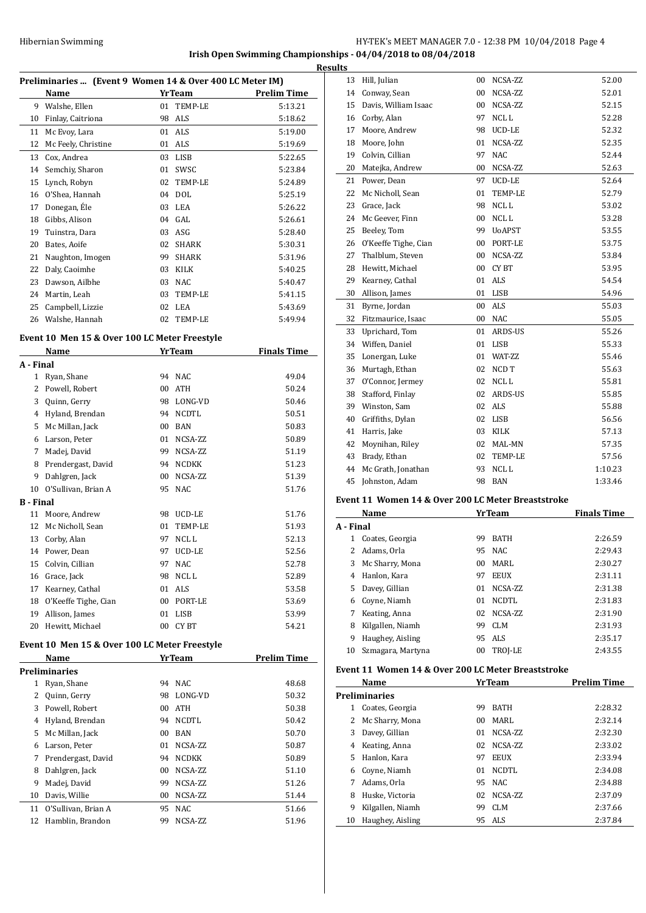**Irish Open Swimming Championships - 04/04/2018 to 08/04/2018**

|    |                                                          |    |                |                    | <b>Results</b> |
|----|----------------------------------------------------------|----|----------------|--------------------|----------------|
|    | Preliminaries  (Event 9 Women 14 & Over 400 LC Meter IM) |    |                |                    | 1              |
|    | Name                                                     |    | <b>YrTeam</b>  | <b>Prelim Time</b> | 1              |
| 9  | Walshe, Ellen                                            | 01 | TEMP-LE        | 5:13.21            | 1              |
| 10 | Finlay, Caitriona                                        | 98 | ALS            | 5:18.62            | 1              |
| 11 | Mc Evoy, Lara                                            |    | 01 ALS         | 5:19.00            | 1              |
| 12 | Mc Feely, Christine                                      | 01 | ALS            | 5:19.69            | 1              |
| 13 | Cox, Andrea                                              | 03 | LISB           | 5:22.65            | 1              |
| 14 | Semchiy, Sharon                                          | 01 | SWSC           | 5:23.84            | $\overline{c}$ |
| 15 | Lynch, Robyn                                             | 02 | <b>TEMP-LE</b> | 5:24.89            | $\overline{c}$ |
| 16 | O'Shea, Hannah                                           | 04 | DOL            | 5:25.19            | $\overline{c}$ |
| 17 | Donegan, Ele                                             | 03 | LEA            | 5:26.22            | 2              |
| 18 | Gibbs, Alison                                            | 04 | GAL.           | 5:26.61            | 2              |
| 19 | Tuinstra, Dara                                           | 03 | ASG            | 5:28.40            | $\overline{c}$ |
| 20 | Bates, Aoife                                             | 02 | <b>SHARK</b>   | 5:30.31            | $\overline{c}$ |
| 21 | Naughton, Imogen                                         | 99 | <b>SHARK</b>   | 5:31.96            | $\overline{c}$ |
| 22 | Daly, Caoimhe                                            | 03 | <b>KILK</b>    | 5:40.25            | $\overline{c}$ |
| 23 | Dawson, Ailbhe                                           | 03 | <b>NAC</b>     | 5:40.47            | $\overline{c}$ |
| 24 | Martin, Leah                                             | 03 | <b>TEMP-LE</b> | 5:41.15            | 3              |
| 25 | Campbell, Lizzie                                         | 02 | LEA            | 5:43.69            | 3              |
| 26 | Walshe, Hannah                                           | 02 | <b>TEMP-LE</b> | 5:49.94            | 3              |

## **Event 10 Men 15 & Over 100 LC Meter Freestyle**

|              | <b>Name</b>          |    | <b>Yr Team</b> | <b>Finals Time</b> |
|--------------|----------------------|----|----------------|--------------------|
| A - Final    |                      |    |                |                    |
| $\mathbf{1}$ | Ryan, Shane          | 94 | <b>NAC</b>     | 49.04              |
| 2            | Powell, Robert       | 00 | <b>ATH</b>     | 50.24              |
| 3            | Quinn, Gerry         | 98 | LONG-VD        | 50.46              |
| 4            | Hyland, Brendan      | 94 | <b>NCDTL</b>   | 50.51              |
| 5            | Mc Millan, Jack      | 00 | <b>BAN</b>     | 50.83              |
| 6            | Larson, Peter        | 01 | NCSA-ZZ        | 50.89              |
| 7            | Madej, David         | 99 | NCSA-ZZ        | 51.19              |
| 8            | Prendergast, David   | 94 | <b>NCDKK</b>   | 51.23              |
| 9            | Dahlgren, Jack       | 00 | NCSA-ZZ        | 51.39              |
| 10           | O'Sullivan, Brian A  | 95 | <b>NAC</b>     | 51.76              |
| B - Final    |                      |    |                |                    |
| 11           | Moore, Andrew        | 98 | UCD-LE         | 51.76              |
| 12           | Mc Nicholl, Sean     | 01 | <b>TEMP-LE</b> | 51.93              |
| 13           | Corby, Alan          | 97 | NCL L          | 52.13              |
| 14           | Power, Dean          | 97 | UCD-LE         | 52.56              |
| 15           | Colvin, Cillian      | 97 | <b>NAC</b>     | 52.78              |
| 16           | Grace, Jack          | 98 | NCL L          | 52.89              |
| 17           | Kearney, Cathal      | 01 | ALS            | 53.58              |
| 18           | O'Keeffe Tighe, Cian | 00 | PORT-LE        | 53.69              |
| 19           | Allison, James       | 01 | <b>LISB</b>    | 53.99              |
| 20           | Hewitt, Michael      | 00 | CY BT          | 54.21              |

#### **Event 10 Men 15 & Over 100 LC Meter Freestyle**

|    | Name                | <b>YrTeam</b> |              | <b>Prelim Time</b> |       |
|----|---------------------|---------------|--------------|--------------------|-------|
|    | Preliminaries       |               |              |                    |       |
| 1  | Ryan, Shane         | 94            | NAC.         |                    | 48.68 |
| 2  | Quinn, Gerry        | 98            | LONG-VD      |                    | 50.32 |
| 3  | Powell, Robert      | 00            | ATH          |                    | 50.38 |
| 4  | Hyland, Brendan     | 94            | <b>NCDTL</b> |                    | 50.42 |
| 5  | Mc Millan, Jack     | $00 \,$       | <b>BAN</b>   |                    | 50.70 |
| 6  | Larson, Peter       | 01            | NCSA-ZZ      |                    | 50.87 |
| 7  | Prendergast, David  | 94            | <b>NCDKK</b> |                    | 50.89 |
| 8  | Dahlgren, Jack      | $00 \,$       | NCSA-ZZ      |                    | 51.10 |
| 9  | Madej, David        | 99            | NCSA-ZZ      |                    | 51.26 |
| 10 | Davis, Willie       | 00            | NCSA-ZZ      |                    | 51.44 |
| 11 | O'Sullivan, Brian A | 95            | <b>NAC</b>   |                    | 51.66 |
| 12 | Hamblin, Brandon    | 99            | NCSA-ZZ      |                    | 51.96 |
|    |                     |               |              |                    |       |

| 13 | Hill, Julian         | 00 | NCSA-ZZ       | 52.00   |
|----|----------------------|----|---------------|---------|
| 14 | Conway, Sean         | 00 | NCSA-ZZ       | 52.01   |
| 15 | Davis, William Isaac | 00 | NCSA-ZZ       | 52.15   |
| 16 | Corby, Alan          | 97 | NCL L         | 52.28   |
| 17 | Moore, Andrew        | 98 | UCD-LE        | 52.32   |
| 18 | Moore, John          | 01 | NCSA-ZZ       | 52.35   |
| 19 | Colvin, Cillian      | 97 | <b>NAC</b>    | 52.44   |
| 20 | Matejka, Andrew      | 00 | NCSA-ZZ       | 52.63   |
| 21 | Power, Dean          | 97 | UCD-LE        | 52.64   |
| 22 | Mc Nicholl, Sean     | 01 | TEMP-LE       | 52.79   |
| 23 | Grace, Jack          | 98 | NCL L         | 53.02   |
| 24 | Mc Geever, Finn      | 00 | NCL L         | 53.28   |
| 25 | Beeley, Tom          | 99 | <b>UoAPST</b> | 53.55   |
| 26 | O'Keeffe Tighe, Cian | 00 | PORT-LE       | 53.75   |
| 27 | Thalblum, Steven     | 00 | NCSA-ZZ       | 53.84   |
| 28 | Hewitt, Michael      | 00 | CY BT         | 53.95   |
| 29 | Kearney, Cathal      | 01 | <b>ALS</b>    | 54.54   |
| 30 | Allison, James       | 01 | <b>LISB</b>   | 54.96   |
| 31 | Byrne, Jordan        | 00 | <b>ALS</b>    | 55.03   |
| 32 | Fitzmaurice, Isaac   | 00 | <b>NAC</b>    | 55.05   |
| 33 | Uprichard, Tom       | 01 | ARDS-US       | 55.26   |
| 34 | Wiffen, Daniel       | 01 | <b>LISB</b>   | 55.33   |
| 35 | Lonergan, Luke       | 01 | WAT-ZZ        | 55.46   |
| 36 | Murtagh, Ethan       | 02 | NCD T         | 55.63   |
| 37 | O'Connor, Jermey     | 02 | NCL L         | 55.81   |
| 38 | Stafford, Finlay     | 02 | ARDS-US       | 55.85   |
| 39 | Winston, Sam         | 02 | <b>ALS</b>    | 55.88   |
| 40 | Griffiths, Dylan     | 02 | LISB          | 56.56   |
| 41 | Harris, Jake         | 03 | KILK          | 57.13   |
| 42 | Moynihan, Riley      | 02 | MAL-MN        | 57.35   |
| 43 | Brady, Ethan         | 02 | TEMP-LE       | 57.56   |
| 44 | Mc Grath, Jonathan   | 93 | NCL L         | 1:10.23 |
| 45 | Johnston, Adam       | 98 | <b>BAN</b>    | 1:33.46 |

### **Event 11 Women 14 & Over 200 LC Meter Breaststroke**

|           | <b>YrTeam</b><br>Name |                 |             | <b>Finals Time</b> |
|-----------|-----------------------|-----------------|-------------|--------------------|
| A - Final |                       |                 |             |                    |
| 1         | Coates, Georgia       | 99              | <b>BATH</b> | 2:26.59            |
|           | Adams, Orla           | 95              | NAC.        | 2:29.43            |
| 3         | Mc Sharry, Mona       | 00 <sup>1</sup> | MARI.       | 2:30.27            |
| 4         | Hanlon, Kara          | 97              | <b>EEUX</b> | 2:31.11            |
| 5.        | Davey, Gillian        | 01              | NCSA-ZZ     | 2:31.38            |
| 6         | Coyne, Niamh          | 01              | NCDTL       | 2:31.83            |
|           | Keating, Anna         | 02              | NCSA-ZZ     | 2:31.90            |
| 8         | Kilgallen, Niamh      | 99              | CLM         | 2:31.93            |
| 9         | Haughey, Aisling      | 95              | ALS         | 2:35.17            |
| 10        | Szmagara, Martyna     | 00              | TROJ-LE     | 2:43.55            |

#### **Event 11 Women 14 & Over 200 LC Meter Breaststroke**

|    | Name                 |    | <b>YrTeam</b> | <b>Prelim Time</b> |  |
|----|----------------------|----|---------------|--------------------|--|
|    | <b>Preliminaries</b> |    |               |                    |  |
|    | Coates, Georgia      | 99 | <b>BATH</b>   | 2:28.32            |  |
| 2  | Mc Sharry, Mona      | 00 | MARI.         | 2:32.14            |  |
| 3  | Davey, Gillian       | 01 | NCSA-ZZ       | 2:32.30            |  |
| 4  | Keating, Anna        | 02 | NCSA-ZZ       | 2:33.02            |  |
| 5. | Hanlon, Kara         | 97 | <b>EEUX</b>   | 2:33.94            |  |
| 6  | Coyne, Niamh         | 01 | NCDTL         | 2:34.08            |  |
| 7  | Adams, Orla          | 95 | NAC.          | 2:34.88            |  |
| 8  | Huske, Victoria      | 02 | NCSA-ZZ       | 2:37.09            |  |
| 9  | Kilgallen, Niamh     | 99 | CLM           | 2:37.66            |  |
| 10 | Haughey, Aisling     | 95 | ALS           | 2:37.84            |  |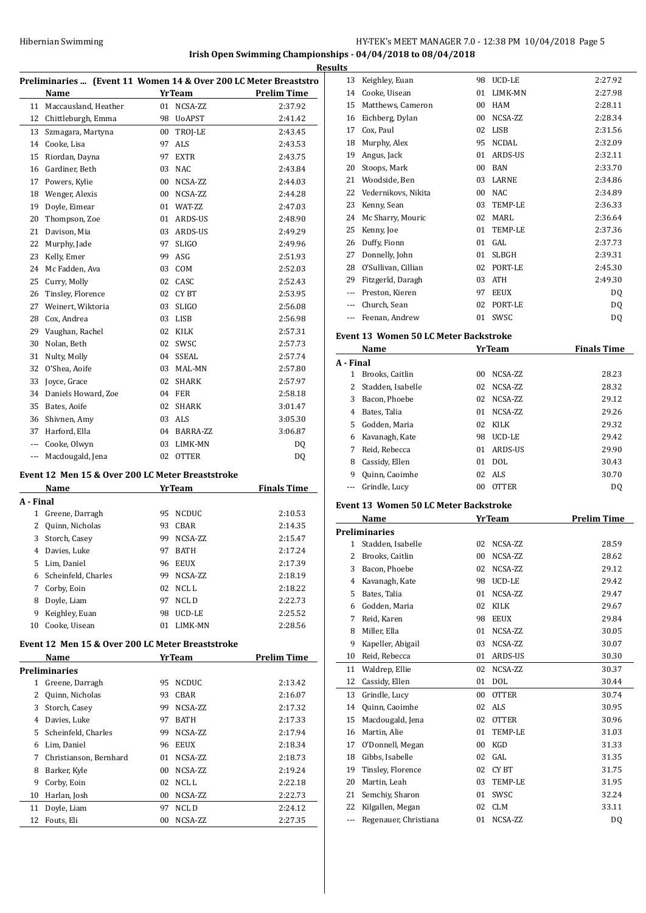#### **Irish Open Swimming Championships - 04/04/2018 to 08/04/2018**

|           |                                                  |          |                  | Preliminaries  (Event 11 Women 14 & Over 200 LC Meter Breaststro |
|-----------|--------------------------------------------------|----------|------------------|------------------------------------------------------------------|
|           | Name                                             |          | <b>Yr</b> Team   | <b>Prelim Time</b>                                               |
| 11        | Maccausland, Heather                             | 01       | NCSA-ZZ          | 2:37.92                                                          |
|           | 12 Chittleburgh, Emma                            |          | 98 UoAPST        | 2:41.42                                                          |
| 13        | Szmagara, Martyna                                | 00       | TROJ-LE          | 2:43.45                                                          |
|           | 14 Cooke, Lisa                                   | 97       | ALS              | 2:43.53                                                          |
| 15        | Riordan, Dayna                                   | 97       | <b>EXTR</b>      | 2:43.75                                                          |
|           | 16 Gardiner, Beth                                | 03       | NAC              | 2:43.84                                                          |
| 17        | Powers, Kylie                                    | 00       | NCSA-ZZ          | 2:44.03                                                          |
| 18        | Wenger, Alexis                                   | 00       | NCSA-ZZ          | 2:44.28                                                          |
| 19        | Doyle, Eimear                                    | 01       | WAT-ZZ           | 2:47.03                                                          |
| 20        | Thompson, Zoe                                    | 01       | ARDS-US          | 2:48.90                                                          |
| 21        | Davison, Mia                                     |          | 03 ARDS-US       | 2:49.29                                                          |
| 22        | Murphy, Jade                                     | 97       | <b>SLIGO</b>     | 2:49.96                                                          |
| 23        | Kelly, Emer                                      | 99       | ASG              | 2:51.93                                                          |
| 24        | Mc Fadden, Ava                                   |          | 03 COM           | 2:52.03                                                          |
| 25        | Curry, Molly                                     |          | 02 CASC          | 2:52.43                                                          |
| 26        | Tinsley, Florence                                |          | 02 CYBT          | 2:53.95                                                          |
| 27        | Weinert, Wiktoria                                | 03       | <b>SLIGO</b>     | 2:56.08                                                          |
| 28        | Cox, Andrea                                      | 03       | LISB             | 2:56.98                                                          |
| 29        | Vaughan, Rachel                                  | 02       | KILK             | 2:57.31                                                          |
| 30        | Nolan, Beth                                      | 02       | SWSC             | 2:57.73                                                          |
| 31        | Nulty, Molly                                     |          | 04 SSEAL         | 2:57.74                                                          |
| 32        | O'Shea, Aoife                                    | 03       | MAL-MN           | 2:57.80                                                          |
| 33        | Joyce, Grace                                     | 02       | SHARK            | 2:57.97                                                          |
|           | 34 Daniels Howard, Zoe                           |          | 04 FER           | 2:58.18                                                          |
| 35        | Bates, Aoife                                     |          | 02 SHARK         | 3:01.47                                                          |
|           | 36 Shivnen, Amy                                  |          | 03 ALS           | 3:05.30                                                          |
| 37        | Harford, Ella                                    |          | 04 BARRA-ZZ      | 3:06.87                                                          |
|           | --- Cooke, Olwyn                                 |          | 03 LIMK-MN       | DQ                                                               |
| ---       | Macdougald, Jena                                 |          | 02 OTTER         | DQ                                                               |
|           |                                                  |          |                  |                                                                  |
|           | Event 12 Men 15 & Over 200 LC Meter Breaststroke |          |                  |                                                                  |
|           | Name                                             |          | <b>YrTeam</b>    | <b>Finals Time</b>                                               |
| A - Final |                                                  |          |                  |                                                                  |
| 1         | Greene, Darragh                                  | 95       | NCDUC            | 2:10.53                                                          |
| 2         | Quinn, Nicholas                                  | 93       | CBAR             | 2:14.35                                                          |
| 3         | Storch, Casey                                    | 99       | NCSA-ZZ          | 2:15.47                                                          |
| 4         | Davies, Luke                                     | 97       | BATH             | 2:17.24                                                          |
| 5         | Lim, Daniel                                      | 96       | EEUX             | 2:17.39                                                          |
| 6         | Scheinfeld, Charles                              | 99       | NCSA-ZZ          | 2:18.19                                                          |
| 7         | Corby, Eoin                                      | 02       | NCL L            | 2:18.22                                                          |
| 8         | Doyle, Liam                                      | 97       | NCL D            | 2:22.73                                                          |
| 9         | Keighley, Euan                                   | 98       | UCD-LE           | 2:25.52                                                          |
|           | 10 Cooke, Uisean                                 | 01       | LIMK-MN          | 2:28.56                                                          |
|           | Event 12 Men 15 & Over 200 LC Meter Breaststroke |          |                  |                                                                  |
|           | <u>Name</u>                                      |          | <b>YrTeam</b>    | <b>Prelim Time</b>                                               |
|           | <b>Preliminaries</b>                             |          |                  |                                                                  |
| 1         | Greene, Darragh                                  | 95       | <b>NCDUC</b>     | 2:13.42                                                          |
| 2         | Quinn, Nicholas                                  | 93       | CBAR             | 2:16.07                                                          |
| 3         | Storch, Casey                                    | 99       | NCSA-ZZ          | 2:17.32                                                          |
|           | 4 Davies, Luke                                   | 97       | BATH             | 2:17.33                                                          |
| 5         | Scheinfeld, Charles                              | 99       | NCSA-ZZ          | 2:17.94                                                          |
|           | 6 Lim, Daniel                                    | 96       | EEUX             | 2:18.34                                                          |
|           | 7 Christianson, Bernhard                         | 01       | NCSA-ZZ          | 2:18.73                                                          |
| 8         | Barker, Kyle                                     | 00       | NCSA-ZZ          | 2:19.24                                                          |
| 9         | Corby, Eoin                                      | 02       | NCL L            |                                                                  |
|           | Harlan, Josh                                     |          |                  | 2:22.18                                                          |
|           |                                                  | 00       | NCSA-ZZ          | 2:22.73                                                          |
| 10        |                                                  |          |                  |                                                                  |
| 11<br>12  | Doyle, Liam<br>Fouts, Eli                        | 97<br>00 | NCL D<br>NCSA-ZZ | 2:24.12<br>2:27.35                                               |

| .s  |                     |    |              |         |
|-----|---------------------|----|--------------|---------|
| 13  | Keighley, Euan      | 98 | UCD-LE       | 2:27.92 |
| 14  | Cooke, Uisean       | 01 | LIMK-MN      | 2:27.98 |
| 15  | Matthews, Cameron   | 00 | <b>HAM</b>   | 2:28.11 |
| 16  | Eichberg, Dylan     | 00 | NCSA-ZZ      | 2:28.34 |
| 17  | Cox, Paul           | 02 | <b>LISB</b>  | 2:31.56 |
| 18  | Murphy, Alex        | 95 | NCDAL        | 2:32.09 |
| 19  | Angus, Jack         | 01 | ARDS-US      | 2:32.11 |
| 20  | Stoops, Mark        | 00 | <b>BAN</b>   | 2:33.70 |
| 21  | Woodside, Ben       | 03 | LARNE        | 2:34.86 |
| 22  | Vedernikovs, Nikita | 00 | <b>NAC</b>   | 2:34.89 |
| 23  | Kenny, Sean         | 03 | TEMP-LE      | 2:36.33 |
| 24  | Mc Sharry, Mouric   | 02 | MARI.        | 2:36.64 |
| 25  | Kenny, Joe          | 01 | TEMP-LE      | 2:37.36 |
| 26  | Duffy, Fionn        | 01 | GAL          | 2:37.73 |
| 27  | Donnelly, John      | 01 | <b>SLBGH</b> | 2:39.31 |
| 28  | O'Sullivan, Cillian | 02 | PORT-LE      | 2:45.30 |
| 29  | Fitzgerld, Daragh   | 03 | <b>ATH</b>   | 2:49.30 |
| --- | Preston, Kieren     | 97 | <b>EEUX</b>  | DQ      |
| --- | Church, Sean        | 02 | PORT-LE      | DQ      |
|     | Feenan, Andrew      | 01 | SWSC         | DQ      |
|     |                     |    |              |         |

#### **Event 13 Women 50 LC Meter Backstroke**

|           | <b>YrTeam</b><br>Name |    |              | <b>Finals Time</b> |
|-----------|-----------------------|----|--------------|--------------------|
| A - Final |                       |    |              |                    |
| 1         | Brooks, Caitlin       | 00 | NCSA-ZZ      | 28.23              |
|           | Stadden, Isabelle     | 02 | NCSA-ZZ      | 28.32              |
| 3         | Bacon, Phoebe         | 02 | NCSA-ZZ      | 29.12              |
| 4         | Bates, Talia          | 01 | NCSA-ZZ      | 29.26              |
| 5.        | Godden, Maria         | 02 | KILK         | 29.32              |
| 6         | Kavanagh, Kate        | 98 | UCD-LE       | 29.42              |
|           | Reid, Rebecca         | 01 | ARDS-US      | 29.90              |
| 8         | Cassidy, Ellen        | 01 | DOL.         | 30.43              |
| 9         | Quinn, Caoimhe        | 02 | ALS.         | 30.70              |
|           | Grindle, Lucy         | 00 | <b>OTTER</b> | DO.                |

#### **Event 13 Women 50 LC Meter Backstroke**

|     | Name<br>YrTeam        |    |                | <b>Prelim Time</b> |
|-----|-----------------------|----|----------------|--------------------|
|     | <b>Preliminaries</b>  |    |                |                    |
| 1   | Stadden, Isabelle     | 02 | NCSA-ZZ        | 28.59              |
| 2   | Brooks, Caitlin       | 00 | NCSA-ZZ        | 28.62              |
| 3   | Bacon, Phoebe         | 02 | NCSA-ZZ        | 29.12              |
| 4   | Kavanagh, Kate        | 98 | <b>UCD-LE</b>  | 29.42              |
| 5   | Bates, Talia          | 01 | NCSA-ZZ        | 29.47              |
| 6   | Godden, Maria         | 02 | <b>KILK</b>    | 29.67              |
| 7   | Reid, Karen           | 98 | <b>EEUX</b>    | 29.84              |
| 8   | Miller, Ella          | 01 | NCSA-ZZ        | 30.05              |
| 9   | Kapeller, Abigail     | 03 | NCSA-ZZ        | 30.07              |
| 10  | Reid, Rebecca         | 01 | ARDS-US        | 30.30              |
| 11  | Waldrep, Ellie        | 02 | NCSA-ZZ        | 30.37              |
| 12  | Cassidy, Ellen        | 01 | <b>DOL</b>     | 30.44              |
| 13  | Grindle, Lucy         | 00 | <b>OTTER</b>   | 30.74              |
| 14  | Quinn, Caoimhe        | 02 | <b>ALS</b>     | 30.95              |
| 15  | Macdougald, Jena      | 02 | <b>OTTER</b>   | 30.96              |
| 16  | Martin, Alie          | 01 | <b>TEMP-LE</b> | 31.03              |
| 17  | O'Donnell, Megan      | 00 | <b>KGD</b>     | 31.33              |
| 18  | Gibbs, Isabelle       | 02 | GAL            | 31.35              |
| 19  | Tinsley, Florence     | 02 | CY BT          | 31.75              |
| 20  | Martin, Leah          | 03 | <b>TEMP-LE</b> | 31.95              |
| 21  | Semchiy, Sharon       | 01 | SWSC           | 32.24              |
| 22  | Kilgallen, Megan      | 02 | <b>CLM</b>     | 33.11              |
| --- | Regenauer, Christiana | 01 | NCSA-ZZ        | DQ                 |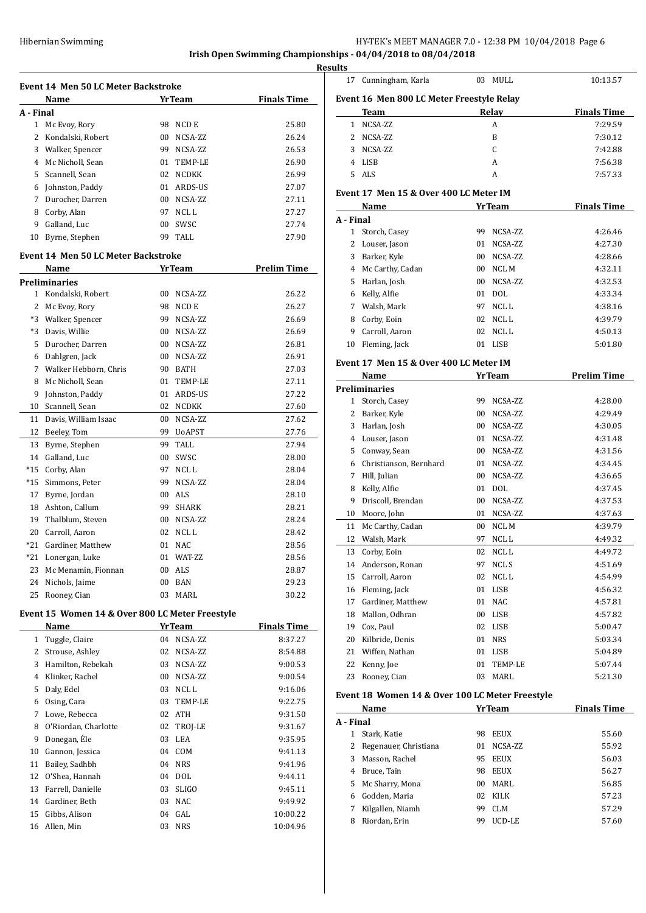16 Allen, Min

## HY-TEK's MEET MANAGER 7.0 - 12:38 PM 10/04/2018 Page 6

# **Irish Open Swimming Championships - 04/04/2018 to 08/04/2018**

**Resul** 

|              | <b>Event 14 Men 50 LC Meter Backstroke</b>      |        |               |                    |
|--------------|-------------------------------------------------|--------|---------------|--------------------|
|              | Name                                            |        | <b>YrTeam</b> | <b>Finals Time</b> |
| A - Final    |                                                 |        |               |                    |
| $\mathbf{1}$ | Mc Evoy, Rory                                   | 98     | NCD E         | 25.80              |
| 2            | Kondalski, Robert                               | 00     | NCSA-ZZ       | 26.24              |
|              | 3 Walker, Spencer                               |        | 99 NCSA-ZZ    | 26.53              |
|              | 4 Mc Nicholl, Sean                              |        | 01 TEMP-LE    | 26.90              |
|              | 5 Scannell, Sean                                |        | 02 NCDKK      | 26.99              |
|              | 6 Johnston, Paddy                               |        | 01 ARDS-US    | 27.07              |
| 7            | Durocher, Darren                                |        | 00 NCSA-ZZ    | 27.11              |
|              | 8 Corby, Alan                                   | 97     | NCL L         | 27.27              |
|              | 9 Galland, Luc                                  | $00\,$ | SWSC          | 27.74              |
| 10           | Byrne, Stephen                                  |        | 99 TALL       | 27.90              |
|              | <b>Event 14 Men 50 LC Meter Backstroke</b>      |        |               |                    |
|              | Name                                            |        | YrTeam        | <b>Prelim Time</b> |
|              | <b>Preliminaries</b>                            |        |               |                    |
| 1            | Kondalski, Robert                               | 00     | NCSA-ZZ       | 26.22              |
|              | 2 Mc Evoy, Rory                                 | 98     | NCD E         | 26.27              |
|              | *3 Walker, Spencer                              | 99     | NCSA-ZZ       | 26.69              |
|              | *3 Davis, Willie                                |        | 00 NCSA-ZZ    | 26.69              |
| 5            | Durocher, Darren                                |        | 00 NCSA-ZZ    | 26.81              |
|              | 6 Dahlgren, Jack                                |        | 00 NCSA-ZZ    | 26.91              |
| 7            | Walker Hebborn, Chris                           |        | 90 BATH       | 27.03              |
| 8            | Mc Nicholl, Sean                                | 01     | TEMP-LE       | 27.11              |
| 9            | Johnston, Paddy                                 |        | 01 ARDS-US    | 27.22              |
|              | 10 Scannell, Sean                               | 02     | NCDKK         | 27.60              |
|              | 11 Davis, William Isaac                         | 00     | NCSA-ZZ       | 27.62              |
| 12           | Beeley, Tom                                     | 99     | <b>UoAPST</b> | 27.76              |
| 13           | Byrne, Stephen                                  | 99     | <b>TALL</b>   | 27.94              |
|              | 14 Galland, Luc                                 | 00     | SWSC          | 28.00              |
|              | *15 Corby, Alan                                 | 97     | NCL L         | 28.04              |
|              | *15 Simmons, Peter                              | 99     | NCSA-ZZ       | 28.04              |
| 17           | Byrne, Jordan                                   |        | 00 ALS        | 28.10              |
|              | 18 Ashton, Callum                               | 99.    | <b>SHARK</b>  | 28.21              |
|              | 19 Thalblum, Steven                             |        | 00 NCSA-ZZ    | 28.24              |
|              | 20 Carroll, Aaron                               | 02     | NCL L         | 28.42              |
|              | *21 Gardiner, Matthew                           | 01     | <b>NAC</b>    | 28.56              |
| *21          | Lonergan, Luke                                  | 01     | WAT-ZZ        | 28.56              |
| 23           | Mc Menamin, Fionnan                             | 00     | ALS           | 28.87              |
|              | 24 Nichols, Jaime                               | 00     | BAN           | 29.23              |
| 25           | Rooney, Cian                                    | 03     | MARL          | 30.22              |
|              | Event 15 Women 14 & Over 800 LC Meter Freestyle |        |               |                    |
|              | Name                                            |        | <b>YrTeam</b> | <b>Finals Time</b> |
| 1            | Tuggle, Claire                                  | 04     | NCSA-ZZ       | 8:37.27            |
| 2            | Strouse, Ashley                                 | 02     | NCSA-ZZ       | 8:54.88            |
| 3            | Hamilton, Rebekah                               | 03     | NCSA-ZZ       | 9:00.53            |
|              | 4 Klinker, Rachel                               | 00     | NCSA-ZZ       | 9:00.54            |
| 5            | Daly, Edel                                      |        | 03 NCLL       | 9:16.06            |
|              | 6 Osing, Cara                                   | 03     | TEMP-LE       | 9:22.75            |
| 7            | Lowe, Rebecca                                   |        | 02 ATH        | 9:31.50            |
| 8            | O'Riordan, Charlotte                            | 02     | TROJ-LE       | 9:31.67            |
| 9            | Donegan, Éle                                    | 03     | LEA           | 9:35.95            |
| 10           | Gannon, Jessica                                 | 04     | COM           | 9:41.13            |
| 11           | Bailey, Sadhbh                                  | 04     | <b>NRS</b>    | 9:41.96            |
|              | 12 O'Shea, Hannah                               | 04     | DOL           | 9:44.11            |
| 13           | Farrell, Danielle                               | 03     | <b>SLIGO</b>  | 9:45.11            |
|              | 14 Gardiner, Beth                               | 03     | NAC           | 9:49.92            |
|              | 15 Gibbs, Alison                                | 04     | GAL           | 10:00.22           |
|              | 16 Allen, Min                                   |        | 03 NRS        | 10:04.96           |

| ults         |                                                 |    |               |                    |
|--------------|-------------------------------------------------|----|---------------|--------------------|
| 17           | Cunningham, Karla                               | 03 | MULL          | 10:13.57           |
|              | Event 16 Men 800 LC Meter Freestyle Relay       |    |               |                    |
|              | Team                                            |    | Relay         | <b>Finals Time</b> |
| $\mathbf{1}$ | NCSA-ZZ                                         |    | A             | 7:29.59            |
| 2            | NCSA-ZZ                                         |    | B             | 7:30.12            |
| 3            | NCSA-ZZ                                         |    | C             | 7:42.88            |
|              | 4 LISB                                          |    | A             | 7:56.38            |
| 5            | <b>ALS</b>                                      |    | A             | 7:57.33            |
|              | Event 17 Men 15 & Over 400 LC Meter IM          |    |               |                    |
|              | Name                                            |    | <b>YrTeam</b> | <b>Finals Time</b> |
| A - Final    |                                                 |    |               |                    |
|              | 1 Storch, Casey                                 | 99 | NCSA-ZZ       | 4:26.46            |
|              | 2 Louser, Jason                                 | 01 | NCSA-ZZ       | 4:27.30            |
|              | 3 Barker, Kyle                                  | 00 | NCSA-ZZ       | 4:28.66            |
|              | 4 Mc Carthy, Cadan                              | 00 | NCL M         | 4:32.11            |
| 5            | Harlan, Josh                                    | 00 | NCSA-ZZ       | 4:32.53            |
|              | 6 Kelly, Alfie                                  | 01 | <b>DOL</b>    | 4:33.34            |
|              | 7 Walsh, Mark                                   | 97 | NCL L         | 4:38.16            |
| 8            | Corby, Eoin                                     | 02 | NCL L         | 4:39.79            |
| 9            | Carroll, Aaron                                  | 02 | NCL L         | 4:50.13            |
|              | 10 Fleming, Jack                                | 01 | LISB          | 5:01.80            |
|              | Event 17 Men 15 & Over 400 LC Meter IM          |    |               |                    |
|              | Name                                            |    | <b>YrTeam</b> | <b>Prelim Time</b> |
|              | <b>Preliminaries</b>                            |    |               |                    |
|              | 1 Storch, Casey                                 | 99 | NCSA-ZZ       | 4:28.00            |
|              | 2 Barker, Kyle                                  | 00 | NCSA-ZZ       | 4:29.49            |
|              | 3 Harlan, Josh                                  | 00 | NCSA-ZZ       | 4:30.05            |
|              | 4 Louser, Jason                                 | 01 | NCSA-ZZ       | 4:31.48            |
| 5            | Conway, Sean                                    | 00 | NCSA-ZZ       | 4:31.56            |
| 6            | Christianson, Bernhard                          | 01 | NCSA-ZZ       | 4:34.45            |
|              | 7 Hill, Julian                                  | 00 | NCSA-ZZ       | 4:36.65            |
| 8            | Kelly, Alfie                                    | 01 | <b>DOL</b>    | 4:37.45            |
| 9            | Driscoll, Brendan                               | 00 | NCSA-ZZ       | 4:37.53            |
|              | 10 Moore, John                                  | 01 | NCSA-ZZ       | 4:37.63            |
| 11           | Mc Carthy, Cadan                                |    | 00 NCLM       | 4:39.79            |
| 12           | Walsh, Mark                                     | 97 | NCL L         | 4:49.32            |
|              | 13 Corby, Eoin                                  |    | 02 NCLL       | 4:49.72            |
|              | 14 Anderson, Ronan                              |    | 97 NCL S      | 4:51.69            |
|              | 15 Carroll, Aaron                               | 02 | NCL L         | 4:54.99            |
|              | 16 Fleming, Jack                                | 01 | LISB          | 4:56.32            |
|              | 17 Gardiner, Matthew                            | 01 | NAC           | 4:57.81            |
|              | 18 Mallon, Odhran                               |    | 00 LISB       | 4:57.82            |
|              | 19 Cox, Paul                                    |    | 02 LISB       | 5:00.47            |
|              | 20 Kilbride, Denis                              | 01 | <b>NRS</b>    | 5:03.34            |
|              | 21 Wiffen, Nathan                               | 01 | LISB          | 5:04.89            |
|              | 22 Kenny, Joe                                   | 01 | TEMP-LE       | 5:07.44            |
| 23           | Rooney, Cian                                    | 03 | MARL          | 5:21.30            |
|              | Event 18 Women 14 & Over 100 LC Meter Freestyle |    |               |                    |
|              | Name                                            |    | <b>YrTeam</b> | <b>Finals Time</b> |
| A - Final    |                                                 |    |               |                    |
|              | 1 Stark, Katie                                  | 98 | EEUX          | 55.60              |
|              | 2 Regenauer, Christiana                         | 01 | NCSA-ZZ       | 55.92              |
| 3            | Masson, Rachel                                  | 95 | EEUX          | 56.03              |
|              |                                                 |    |               |                    |

|   | Masson, Rachel     |     | 95 EEUX | 56.03 |
|---|--------------------|-----|---------|-------|
|   | 4 Bruce, Tain      | 98. | EEUX    | 56.27 |
|   | 5 Mc Sharry, Mona  | 00. | MARL    | 56.85 |
|   | 6 Godden, Maria    |     | 02 KILK | 57.23 |
|   | 7 Kilgallen, Niamh | 99. | CLM     | 57.29 |
| 8 | Riordan, Erin      | 99. | UCD-LE  | 57.60 |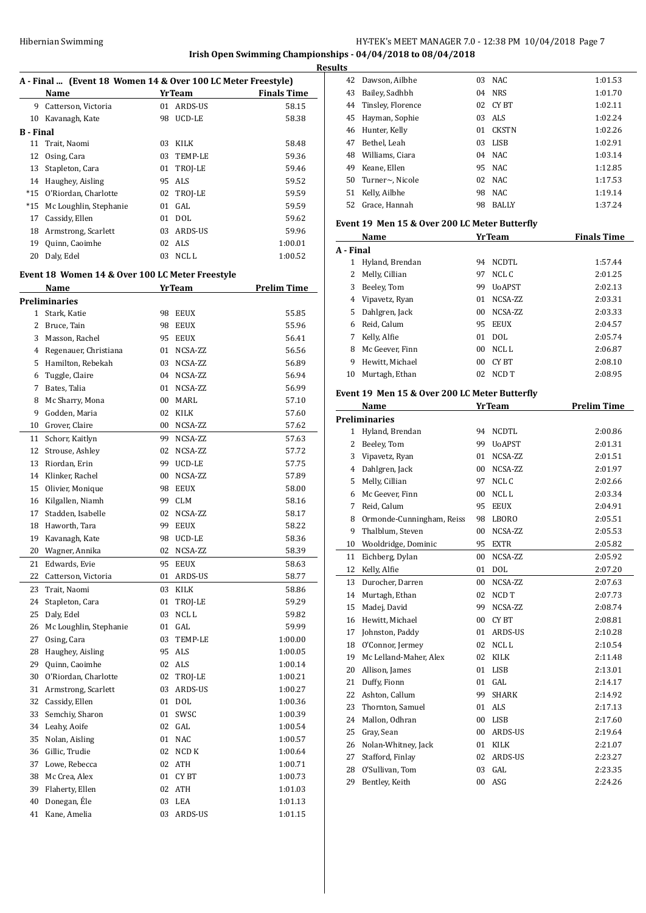**Irish Open Swimming Championships - 04/04/2018 to 08/04/2018 Results**

 $\overline{a}$ 

 $\overline{a}$ 

## **A - Final ... (Event 18 Women 14 & Over 100 LC Meter Freestyle)**

|           | Name                   |    | <b>YrTeam</b> | <b>Finals Time</b> |
|-----------|------------------------|----|---------------|--------------------|
| 9         | Catterson, Victoria    | 01 | ARDS-US       | 58.15              |
| 10        | Kavanagh, Kate         | 98 | UCD-LE        | 58.38              |
| B - Final |                        |    |               |                    |
|           | 11 Trait, Naomi        | 03 | KILK          | 58.48              |
| 12        | Osing, Cara            |    | 03 TEMP-LE    | 59.36              |
| 13        | Stapleton, Cara        |    | 01 TROJ-LE    | 59.46              |
| 14        | Haughey, Aisling       | 95 | ALS           | 59.52              |
| $*15$     | O'Riordan, Charlotte   |    | 02 TROJ-LE    | 59.59              |
| $*15$     | Mc Loughlin, Stephanie | 01 | GAL           | 59.59              |
| 17        | Cassidy, Ellen         | 01 | <b>DOL</b>    | 59.62              |
| 18        | Armstrong, Scarlett    | 03 | ARDS-US       | 59.96              |
| 19        | Quinn, Caoimhe         | 02 | ALS           | 1:00.01            |
| 20        | Daly, Edel             | 03 | NCL L         | 1:00.52            |
|           |                        |    |               |                    |

## **Event 18 Women 14 & Over 100 LC Meter Freestyle**

|              | <u>Name</u>            |        | <b>YrTeam</b> | <b>Prelim Time</b> |
|--------------|------------------------|--------|---------------|--------------------|
|              | Preliminaries          |        |               |                    |
| $\mathbf{1}$ | Stark, Katie           | 98     | EEUX          | 55.85              |
| 2            | Bruce, Tain            | 98     | <b>EEUX</b>   | 55.96              |
| 3            | Masson, Rachel         | 95     | <b>EEUX</b>   | 56.41              |
| 4            | Regenauer, Christiana  | 01     | NCSA-ZZ       | 56.56              |
| 5            | Hamilton, Rebekah      | 03     | NCSA-ZZ       | 56.89              |
| 6            | Tuggle, Claire         | 04     | NCSA-ZZ       | 56.94              |
| 7            | Bates, Talia           | 01     | NCSA-ZZ       | 56.99              |
| 8            | Mc Sharry, Mona        | $00\,$ | MARL          | 57.10              |
| 9            | Godden, Maria          | 02     | KILK          | 57.60              |
| 10           | Grover, Claire         | $00\,$ | NCSA-ZZ       | 57.62              |
| 11           | Schorr, Kaitlyn        | 99     | NCSA-ZZ       | 57.63              |
| 12           | Strouse, Ashley        | 02     | NCSA-ZZ       | 57.72              |
| 13           | Riordan, Erin          | 99     | UCD-LE        | 57.75              |
| 14           | Klinker, Rachel        | $00\,$ | NCSA-ZZ       | 57.89              |
| 15           | Olivier, Monique       | 98     | <b>EEUX</b>   | 58.00              |
| 16           | Kilgallen, Niamh       | 99     | <b>CLM</b>    | 58.16              |
| 17           | Stadden, Isabelle      | 02     | NCSA-ZZ       | 58.17              |
| 18           | Haworth, Tara          | 99     | <b>EEUX</b>   | 58.22              |
| 19           | Kavanagh, Kate         | 98     | UCD-LE        | 58.36              |
| 20           | Wagner, Annika         | 02     | NCSA-ZZ       | 58.39              |
| 21           | Edwards, Evie          | 95     | <b>EEUX</b>   | 58.63              |
| 22           | Catterson, Victoria    | 01     | ARDS-US       | 58.77              |
| 23           | Trait, Naomi           | 03     | KILK          | 58.86              |
| 24           | Stapleton, Cara        | 01     | TROJ-LE       | 59.29              |
| 25           | Daly, Edel             | 03     | NCL L         | 59.82              |
| 26           | Mc Loughlin, Stephanie |        | 01 GAL        | 59.99              |
| 27           | Osing, Cara            | 03     | TEMP-LE       | 1:00.00            |
| 28           | Haughey, Aisling       | 95     | ALS           | 1:00.05            |
| 29           | Quinn, Caoimhe         | 02     | ALS           | 1:00.14            |
| 30           | O'Riordan, Charlotte   |        | 02 TROJ-LE    | 1:00.21            |
| 31           | Armstrong, Scarlett    | 03     | ARDS-US       | 1:00.27            |
| 32           | Cassidy, Ellen         | 01     | <b>DOL</b>    | 1:00.36            |
| 33           | Semchiy, Sharon        | 01     | SWSC          | 1:00.39            |
| 34           | Leahy, Aoife           |        | 02 GAL        | 1:00.54            |
| 35           | Nolan, Aisling         | 01     | <b>NAC</b>    | 1:00.57            |
| 36           | Gillic, Trudie         | 02     | NCD K         | 1:00.64            |
| 37           | Lowe, Rebecca          | 02     | ATH           | 1:00.71            |
| 38           | Mc Crea, Alex          |        | 01 CYBT       | 1:00.73            |
| 39           | Flaherty, Ellen        | 02     | ATH           | 1:01.03            |
| 40           | Donegan, Éle           | 03     | LEA           | 1:01.13            |
| 41           | Kane, Amelia           | 03     | ARDS-US       | 1:01.15            |

| 42 | Dawson, Ailbhe    | 03  | NAC.         | 1:01.53 |
|----|-------------------|-----|--------------|---------|
| 43 | Bailey, Sadhbh    | 04  | <b>NRS</b>   | 1:01.70 |
| 44 | Tinsley, Florence | 02  | CY BT        | 1:02.11 |
| 45 | Hayman, Sophie    | 03. | ALS          | 1:02.24 |
| 46 | Hunter, Kelly     | 01  | <b>CKSTN</b> | 1:02.26 |
| 47 | Bethel. Leah      | 03  | LISB         | 1:02.91 |
| 48 | Williams, Ciara   | 04  | NAC.         | 1:03.14 |
| 49 | Keane, Ellen      | 95  | NAC.         | 1:12.85 |
| 50 | Turner~, Nicole   | 02  | NAC.         | 1:17.53 |
| 51 | Kelly, Ailbhe     | 98  | NAC.         | 1:19.14 |
| 52 | Grace, Hannah     | 98  | <b>BALLY</b> | 1:37.24 |

#### **Event 19 Men 15 & Over 200 LC Meter Butterfly**

| Name            |                 |                | <b>Finals Time</b> |
|-----------------|-----------------|----------------|--------------------|
| A - Final       |                 |                |                    |
| Hyland, Brendan | 94              | NCDTL          | 1:57.44            |
| Melly, Cillian  | 97              | NCL C          | 2:01.25            |
| Beeley, Tom     | 99              | <b>U</b> oAPST | 2:02.13            |
| Vipavetz, Ryan  | 01              | NCSA-ZZ        | 2:03.31            |
| Dahlgren, Jack  | 00 <sup>1</sup> | NCSA-ZZ        | 2:03.33            |
| Reid, Calum     | 95              | <b>EEUX</b>    | 2:04.57            |
| Kelly, Alfie    | 01              | DOL.           | 2:05.74            |
| Mc Geever, Finn | 00              | NCL L          | 2:06.87            |
| Hewitt. Michael | 00              | CY BT          | 2:08.10            |
| Murtagh, Ethan  | 02              | NCD T          | 2:08.95            |
|                 |                 |                | YrTeam             |

## **Event 19 Men 15 & Over 200 LC Meter Butterfly**

|    | Name                      |    | <b>YrTeam</b>    | <b>Prelim Time</b> |
|----|---------------------------|----|------------------|--------------------|
|    | Preliminaries             |    |                  |                    |
| 1  | Hyland, Brendan           | 94 | <b>NCDTL</b>     | 2:00.86            |
| 2  | Beeley, Tom               | 99 | <b>UoAPST</b>    | 2:01.31            |
| 3  | Vipavetz, Ryan            | 01 | NCSA-ZZ          | 2:01.51            |
| 4  | Dahlgren, Jack            | 00 | NCSA-ZZ          | 2:01.97            |
| 5  | Melly, Cillian            | 97 | NCL C            | 2:02.66            |
| 6  | Mc Geever, Finn           | 00 | NCL <sub>L</sub> | 2:03.34            |
| 7  | Reid, Calum               | 95 | <b>EEUX</b>      | 2:04.91            |
| 8  | Ormonde-Cunningham, Reiss | 98 | LBORO            | 2:05.51            |
| 9  | Thalblum, Steven          | 00 | NCSA-ZZ          | 2:05.53            |
| 10 | Wooldridge, Dominic       | 95 | <b>EXTR</b>      | 2:05.82            |
| 11 | Eichberg, Dylan           | 00 | NCSA-ZZ          | 2:05.92            |
| 12 | Kelly, Alfie              | 01 | <b>DOL</b>       | 2:07.20            |
| 13 | Durocher, Darren          | 00 | NCSA-ZZ          | 2:07.63            |
| 14 | Murtagh, Ethan            | 02 | NCD T            | 2:07.73            |
| 15 | Madej, David              | 99 | NCSA-ZZ          | 2:08.74            |
| 16 | Hewitt, Michael           | 00 | <b>CYBT</b>      | 2:08.81            |
| 17 | Johnston, Paddy           | 01 | ARDS-US          | 2:10.28            |
| 18 | O'Connor, Jermey          | 02 | NCL <sub>L</sub> | 2:10.54            |
| 19 | Mc Lelland-Maher, Alex    | 02 | <b>KILK</b>      | 2:11.48            |
| 20 | Allison, James            | 01 | LISB             | 2:13.01            |
| 21 | Duffy, Fionn              | 01 | GAL              | 2:14.17            |
| 22 | Ashton, Callum            | 99 | <b>SHARK</b>     | 2:14.92            |
| 23 | Thornton, Samuel          | 01 | <b>ALS</b>       | 2:17.13            |
| 24 | Mallon, Odhran            | 00 | LISB             | 2:17.60            |
| 25 | Gray, Sean                | 00 | ARDS-US          | 2:19.64            |
| 26 | Nolan-Whitney, Jack       | 01 | <b>KILK</b>      | 2:21.07            |
| 27 | Stafford, Finlay          | 02 | <b>ARDS-US</b>   | 2:23.27            |
| 28 | O'Sullivan, Tom           | 03 | GAL              | 2:23.35            |
| 29 | Bentley, Keith            | 00 | ASG              | 2:24.26            |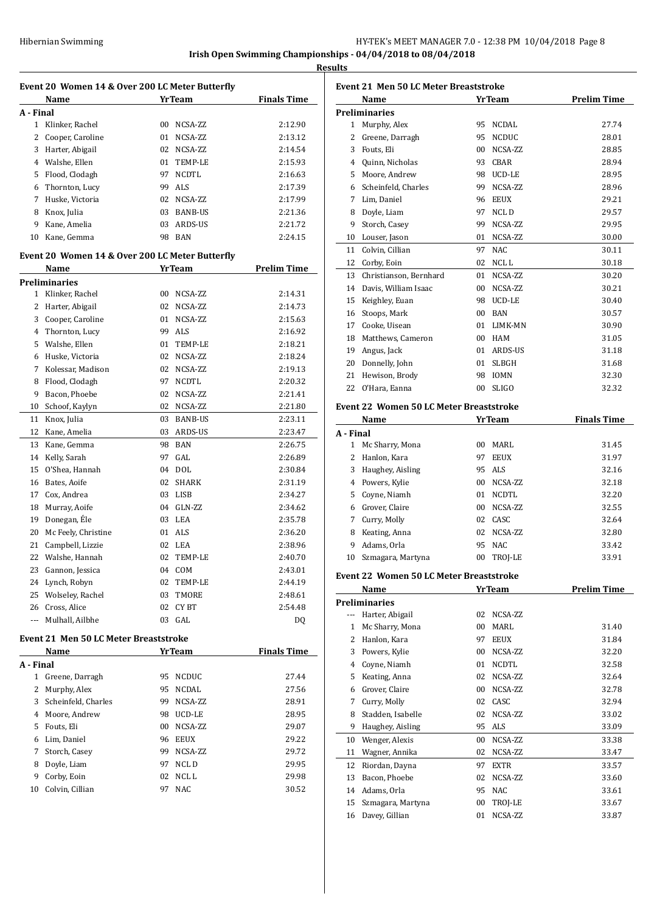| Hibernian Swimming | HY-TEK's MEET MANAGER 7.0 - 12:38 PM 10/04/2018 Page 8 |
|--------------------|--------------------------------------------------------|
|--------------------|--------------------------------------------------------|

**Results**

| Event 20 Women 14 & Over 200 LC Meter Butterfly |                                                 |    |                |                    |
|-------------------------------------------------|-------------------------------------------------|----|----------------|--------------------|
|                                                 | Name                                            |    | <b>YrTeam</b>  | <b>Finals Time</b> |
| A - Final                                       |                                                 |    |                |                    |
| 1                                               | Klinker, Rachel                                 | 00 | NCSA-ZZ        | 2:12.90            |
| 2                                               | Cooper, Caroline                                | 01 | NCSA-ZZ        | 2:13.12            |
| 3                                               | Harter, Abigail                                 | 02 | NCSA-ZZ        | 2:14.54            |
| 4                                               | Walshe, Ellen                                   | 01 | TEMP-LE        | 2:15.93            |
| 5                                               | Flood, Clodagh                                  | 97 | <b>NCDTL</b>   | 2:16.63            |
| 6                                               | Thornton, Lucy                                  | 99 | ALS            | 2:17.39            |
| 7                                               | Huske, Victoria                                 |    | 02 NCSA-ZZ     | 2:17.99            |
| 8                                               | Knox, Julia                                     | 03 | <b>BANB-US</b> | 2:21.36            |
| 9                                               | Kane, Amelia                                    | 03 | ARDS-US        | 2:21.72            |
| 10                                              | Kane, Gemma                                     | 98 | BAN            | 2:24.15            |
|                                                 |                                                 |    |                |                    |
|                                                 | Event 20 Women 14 & Over 200 LC Meter Butterfly |    |                |                    |
|                                                 | Name                                            |    | <b>YrTeam</b>  | <b>Prelim Time</b> |
|                                                 | <b>Preliminaries</b>                            |    |                |                    |
| 1                                               | Klinker, Rachel                                 | 00 | NCSA-ZZ        | 2:14.31            |
| 2                                               | Harter, Abigail                                 | 02 | NCSA-ZZ        | 2:14.73            |
| 3                                               | Cooper, Caroline                                | 01 | NCSA-ZZ        | 2:15.63            |
| 4                                               | Thornton, Lucy                                  | 99 | <b>ALS</b>     | 2:16.92            |
| 5                                               | Walshe, Ellen                                   | 01 | TEMP-LE        | 2:18.21            |
| 6                                               | Huske, Victoria                                 | 02 | NCSA-ZZ        | 2:18.24            |
| 7                                               | Kolessar, Madison                               | 02 | NCSA-ZZ        | 2:19.13            |
| 8                                               | Flood, Clodagh                                  | 97 | <b>NCDTL</b>   | 2:20.32            |
| 9                                               | Bacon, Phoebe                                   | 02 | NCSA-ZZ        | 2:21.41            |
| 10                                              | Schoof, Kaylyn                                  | 02 | NCSA-ZZ        | 2:21.80            |
| 11                                              | Knox, Julia                                     | 03 | BANB-US        | 2:23.11            |
| 12                                              | Kane, Amelia                                    | 03 | ARDS-US        | 2:23.47            |
| 13                                              | Kane, Gemma                                     | 98 | <b>BAN</b>     | 2:26.75            |
| 14                                              | Kelly, Sarah                                    | 97 | GAL            | 2:26.89            |
| 15                                              | O'Shea, Hannah                                  | 04 | <b>DOL</b>     | 2:30.84            |
| 16                                              | Bates, Aoife                                    | 02 | <b>SHARK</b>   | 2:31.19            |
| 17                                              | Cox, Andrea                                     | 03 | LISB           | 2:34.27            |
| 18                                              | Murray, Aoife                                   | 04 | GLN-ZZ         | 2:34.62            |
| 19                                              | Donegan, Éle                                    | 03 | LEA            | 2:35.78            |
| 20                                              | Mc Feely, Christine                             | 01 | ALS            | 2:36.20            |
| 21                                              | Campbell, Lizzie                                | 02 | LEA            | 2:38.96            |
| 22                                              | Walshe, Hannah                                  | 02 | TEMP-LE        | 2:40.70            |
| 23                                              | Gannon, Jessica                                 |    | 04 COM         | 2:43.01            |
|                                                 | 24 Lynch, Robyn                                 | 02 | TEMP-LE        | 2:44.19            |
| 25                                              | Wolseley, Rachel                                | 03 | TMORE          | 2:48.61            |
| 26                                              | Cross, Alice                                    | 02 | CY BT          | 2:54.48            |
| ---                                             | Mulhall, Ailbhe                                 |    | 03 GAL         | DQ                 |
|                                                 |                                                 |    |                |                    |
|                                                 | <b>Event 21 Men 50 LC Meter Breaststroke</b>    |    |                |                    |
|                                                 | Name                                            |    | <b>Yr Team</b> | <b>Finals Time</b> |
| A - Final                                       |                                                 |    |                |                    |
| 1                                               | Greene, Darragh                                 | 95 | NCDUC          | 27.44              |
| 2                                               | Murphy, Alex                                    | 95 | NCDAL          | 27.56              |
| 3                                               | Scheinfeld, Charles                             | 99 | NCSA-ZZ        | 28.91              |
| 4                                               | Moore, Andrew                                   |    | 98 UCD-LE      | 28.95              |
| 5                                               | Fouts, Eli                                      | 00 | NCSA-ZZ        | 29.07              |
|                                                 | 6 Lim, Daniel                                   | 96 | EEUX           | 29.22              |
| 7                                               | Storch, Casey                                   | 99 | NCSA-ZZ        | 29.72              |
| 8                                               | Doyle, Liam                                     | 97 | NCL D          | 29.95              |
| 9                                               | Corby, Eoin                                     | 02 | NCL L          | 29.98              |
| 10                                              | Colvin, Cillian                                 | 97 | NAC            | 30.52              |

|           | <b>Event 21 Men 50 LC Meter Breaststroke</b><br>Name |                 | YrTeam               | <b>Prelim Time</b> |
|-----------|------------------------------------------------------|-----------------|----------------------|--------------------|
|           | <b>Preliminaries</b>                                 |                 |                      |                    |
|           | 1 Murphy, Alex                                       | 95              | <b>NCDAL</b>         | 27.74              |
|           | 2 Greene, Darragh                                    |                 | 95 NCDUC             | 28.01              |
|           | 3 Fouts, Eli                                         |                 | 00 NCSA-ZZ           | 28.85              |
|           | 4 Quinn, Nicholas                                    |                 | 93 CBAR              | 28.94              |
|           | 5 Moore, Andrew                                      |                 | 98 UCD-LE            | 28.95              |
|           | 6 Scheinfeld, Charles                                | 99              | NCSA-ZZ              | 28.96              |
|           | 7 Lim, Daniel                                        | 96              | <b>EEUX</b>          | 29.21              |
|           | 8 Doyle, Liam                                        | 97              | NCL D                | 29.57              |
| 9         | Storch, Casey                                        | 99              | NCSA-ZZ              | 29.95              |
|           | 10 Louser, Jason                                     | 01              | NCSA-ZZ              | 30.00              |
|           | 11 Colvin, Cillian                                   | 97              | <b>NAC</b>           | 30.11              |
|           | 12 Corby, Eoin                                       | 02              | NCL L                | 30.18              |
|           | 13 Christianson, Bernhard                            | 01              | NCSA-ZZ              | 30.20              |
|           | 14 Davis, William Isaac                              | 00 <sup>1</sup> | NCSA-ZZ              | 30.21              |
|           |                                                      |                 |                      |                    |
|           | 15 Keighley, Euan                                    |                 | 98 UCD-LE            | 30.40              |
|           | 16 Stoops, Mark                                      |                 | 00 BAN<br>01 LIMK-MN | 30.57              |
|           | 17 Cooke, Uisean                                     |                 |                      | 30.90              |
|           | 18 Matthews, Cameron                                 |                 | 00 HAM               | 31.05              |
|           | 19 Angus, Jack                                       |                 | 01 ARDS-US           | 31.18              |
|           | 20 Donnelly, John                                    | 01              | <b>SLBGH</b>         | 31.68              |
|           | 21 Hewison, Brody                                    |                 | 98 IOMN              | 32.30              |
|           | 22 O'Hara, Eanna                                     | 00              | <b>SLIGO</b>         | 32.32              |
|           | <b>Event 22 Women 50 LC Meter Breaststroke</b>       |                 |                      |                    |
|           | Name                                                 |                 | <b>YrTeam</b>        | <b>Finals Time</b> |
| A - Final |                                                      |                 |                      |                    |
| $1 \quad$ | Mc Sharry, Mona                                      | 00 <sup>1</sup> | MARL                 | 31.45              |
|           | 2 Hanlon, Kara                                       | 97              | EEUX                 | 31.97              |
|           | 3 Haughey, Aisling                                   |                 | 95 ALS               | 32.16              |
|           | 4 Powers, Kylie                                      |                 | 00 NCSA-ZZ           | 32.18              |
|           | 5 Coyne, Niamh                                       |                 | 01 NCDTL             | 32.20              |
|           | 6 Grover, Claire                                     |                 | 00 NCSA-ZZ           | 32.55              |
|           | 7 Curry, Molly                                       |                 | 02 CASC              | 32.64              |
|           | 8 Keating, Anna                                      |                 | 02 NCSA-ZZ           | 32.80              |
|           | 9 Adams, Orla                                        | 95              | <b>NAC</b>           | 33.42              |
| 10        | Szmagara, Martyna                                    |                 | 00 TROJ-LE           | 33.91              |
|           |                                                      |                 |                      |                    |
|           | <b>Event 22 Women 50 LC Meter Breaststroke</b>       |                 |                      |                    |
|           | <b>Name</b>                                          |                 | YrTeam               | <b>Prelim Time</b> |
|           | <b>Preliminaries</b>                                 |                 |                      |                    |
|           | --- Harter, Abigail                                  | 02              | NCSA-ZZ              |                    |
|           | 1 Mc Sharry, Mona                                    | 00              | MARL                 | 31.40              |
|           | 2 Hanlon, Kara                                       | 97              | EEUX                 | 31.84              |
|           | 3 Powers, Kylie                                      |                 | 00 NCSA-ZZ           | 32.20              |
|           | 4 Coyne, Niamh                                       |                 | 01 NCDTL             | 32.58              |
|           | 5 Keating, Anna                                      | 02              | NCSA-ZZ              | 32.64              |
|           | 6 Grover, Claire                                     | 00              | NCSA-ZZ              | 32.78              |
| 7         | Curry, Molly                                         | 02              | CASC                 | 32.94              |
| 8         | Stadden, Isabelle                                    | 02              | NCSA-ZZ              | 33.02              |
|           | 9 Haughey, Aisling                                   |                 | 95 ALS               | 33.09              |
|           | 10 Wenger, Alexis                                    | 00              | NCSA-ZZ              | 33.38              |
|           | 11 Wagner, Annika                                    | 02              | NCSA-ZZ              | 33.47              |
| 12        | Riordan, Dayna                                       | 97              | <b>EXTR</b>          | 33.57              |
| 13        | Bacon, Phoebe                                        | 02              | NCSA-ZZ              | 33.60              |
|           | 14 Adams, Orla                                       | 95              | <b>NAC</b>           | 33.61              |
| 15        | Szmagara, Martyna                                    | 00              | TROJ-LE              | 33.67              |
| 16        | Davey, Gillian                                       | 01              | NCSA-ZZ              | 33.87              |
|           |                                                      |                 |                      |                    |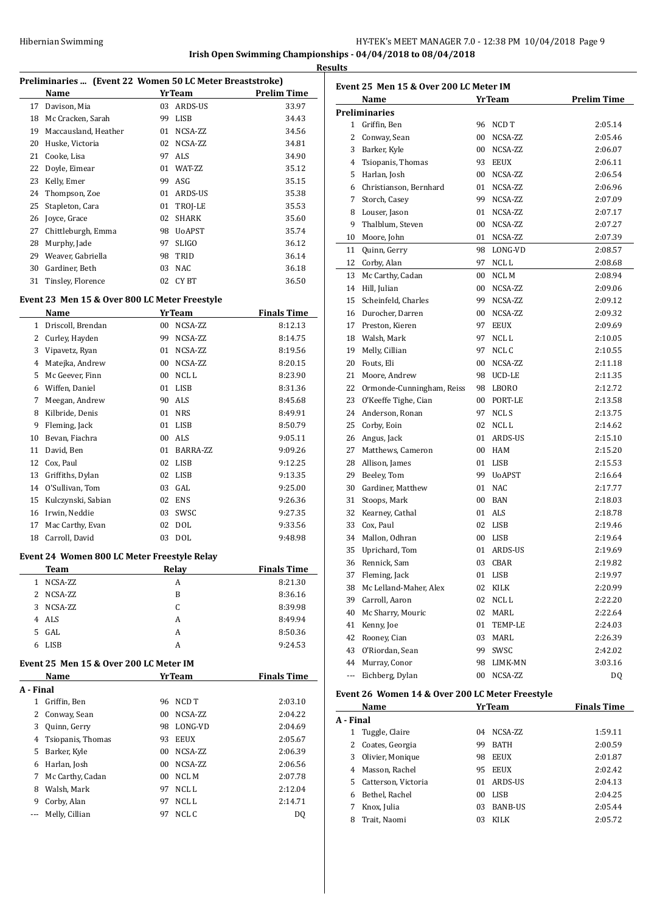# Hibernian Swimming **HY-TEK's MEET MANAGER 7.0 - 12:38 PM 10/04/2018** Page 9

**Irish Open Swimming Championships - 04/04/2018 to 08/04/2018 Results**

|  | Preliminaries  (Event 22 Women 50 LC Meter Breaststroke) |
|--|----------------------------------------------------------|
|  |                                                          |

|    | 1 Tenningi içə  - [Event 22 - Women 50 Be Meter Dreastströke] |    |                |                    |
|----|---------------------------------------------------------------|----|----------------|--------------------|
|    | Name                                                          |    | <b>YrTeam</b>  | <b>Prelim Time</b> |
| 17 | Davison, Mia                                                  | 03 | ARDS-US        | 33.97              |
| 18 | Mc Cracken, Sarah                                             | 99 | <b>LISB</b>    | 34.43              |
| 19 | Maccausland, Heather                                          | 01 | NCSA-ZZ        | 34.56              |
| 20 | Huske, Victoria                                               | 02 | NCSA-ZZ        | 34.81              |
| 21 | Cooke, Lisa                                                   | 97 | <b>ALS</b>     | 34.90              |
| 22 | Doyle, Eimear                                                 | 01 | WAT-ZZ         | 35.12              |
| 23 | Kelly, Emer                                                   | 99 | ASG            | 35.15              |
| 24 | Thompson, Zoe                                                 | 01 | ARDS-US        | 35.38              |
| 25 | Stapleton, Cara                                               | 01 | TROJ-LE        | 35.53              |
| 26 | Joyce, Grace                                                  | 02 | <b>SHARK</b>   | 35.60              |
| 27 | Chittleburgh, Emma                                            | 98 | <b>U</b> oAPST | 35.74              |
| 28 | Murphy, Jade                                                  | 97 | <b>SLIGO</b>   | 36.12              |
| 29 | Weaver, Gabriella                                             | 98 | TRID           | 36.14              |
| 30 | Gardiner, Beth                                                | 03 | <b>NAC</b>     | 36.18              |
| 31 | Tinsley, Florence                                             | 02 | CY BT          | 36.50              |
|    |                                                               |    |                |                    |

## **Event 23 Men 15 & Over 800 LC Meter Freestyle**

|              | Name               |    | <b>YrTeam</b> | <b>Finals Time</b> |
|--------------|--------------------|----|---------------|--------------------|
| $\mathbf{1}$ | Driscoll, Brendan  | 00 | NCSA-ZZ       | 8:12.13            |
| 2            | Curley, Hayden     | 99 | NCSA-ZZ       | 8:14.75            |
| 3            | Vipavetz, Ryan     | 01 | NCSA-ZZ       | 8:19.56            |
| 4            | Matejka, Andrew    | 00 | NCSA-ZZ       | 8:20.15            |
| 5            | Mc Geever, Finn    | 00 | NCL L         | 8:23.90            |
| 6            | Wiffen, Daniel     | 01 | LISB          | 8:31.36            |
| 7            | Meegan, Andrew     | 90 | ALS           | 8:45.68            |
| 8            | Kilbride, Denis    | 01 | <b>NRS</b>    | 8:49.91            |
| 9            | Fleming, Jack      | 01 | LISB          | 8:50.79            |
| 10           | Bevan, Fiachra     | 00 | ALS           | 9:05.11            |
| 11           | David, Ben         | 01 | BARRA-ZZ      | 9:09.26            |
| 12           | Cox, Paul          | 02 | LISB          | 9:12.25            |
| 13           | Griffiths, Dylan   | 02 | LISB          | 9:13.35            |
| 14           | O'Sullivan, Tom    | 03 | GAL           | 9:25.00            |
| 15           | Kulczynski, Sabian | 02 | <b>ENS</b>    | 9:26.36            |
| 16           | Irwin, Neddie      | 03 | SWSC          | 9:27.35            |
| 17           | Mac Carthy, Evan   | 02 | DOL           | 9:33.56            |
| 18           | Carroll, David     | 03 | <b>DOL</b>    | 9:48.98            |

#### **Event 24 Women 800 LC Meter Freestyle Relay**

|           | Team                                    | Relay         | <b>Finals Time</b> |
|-----------|-----------------------------------------|---------------|--------------------|
| 1.        | NCSA-ZZ                                 | A             | 8:21.30            |
|           | 2 NCSA-ZZ                               | B             | 8:36.16            |
| 3         | NCSA-ZZ                                 | C             | 8:39.98            |
| 4         | ALS                                     | A             | 8:49.94            |
| 5.        | GAL.                                    | A             | 8:50.36            |
| 6         | LISB                                    | A             | 9:24.53            |
|           | Event 25  Men 15 & Over 200 LC Meter IM |               |                    |
|           | Name                                    | <b>YrTeam</b> | <b>Finals Time</b> |
| A - Final |                                         |               |                    |
|           |                                         |               |                    |

| .                 |              |             |         |
|-------------------|--------------|-------------|---------|
| Griffin, Ben      | 96           |             | 2:03.10 |
|                   | 00           | NCSA-ZZ     | 2:04.22 |
| Quinn, Gerry      | 98           | LONG-VD     | 2:04.69 |
| Tsiopanis, Thomas | 93           | <b>EEUX</b> | 2:05.67 |
| Barker, Kyle      | 00           | NCSA-ZZ     | 2:06.39 |
| Harlan, Josh      | 00           | NCSA-ZZ     | 2:06.56 |
| Mc Carthy, Cadan  | 00.          | NCL M       | 2:07.78 |
| Walsh, Mark       | 97           | NCL L       | 2:12.04 |
| Corby, Alan       | 97           | NCL L       | 2:14.71 |
| Melly, Cillian    | 97           | NCL C       | DO.     |
|                   | Conway, Sean |             | NCD T   |

| <b>Prelim Time</b><br>Name<br><b>YrTeam</b><br><b>Preliminaries</b><br>1 Griffin, Ben<br>NCD T<br>96<br>2:05.14<br>00<br>NCSA-ZZ<br>2:05.46<br>2<br>Conway, Sean<br>3<br>Barker, Kyle<br>00 NCSA-ZZ<br>2:06.07<br>4 Tsiopanis, Thomas<br>93 EEUX<br>2:06.11<br>Harlan, Josh<br>00 NCSA-ZZ<br>2:06.54<br>5<br>6 Christianson, Bernhard<br>NCSA-ZZ<br>2:06.96<br>01<br>Storch, Casey<br>99<br>NCSA-ZZ<br>7<br>2:07.09<br>01<br>NCSA-ZZ<br>8<br>Louser, Jason<br>2:07.17<br>Thalblum, Steven<br>00<br>NCSA-ZZ<br>9<br>2:07.27<br>Moore, John<br>NCSA-ZZ<br>10<br>01<br>2:07.39<br>11<br>Quinn, Gerry<br>98<br>LONG-VD<br>2:08.57<br>12 Corby, Alan<br>97<br>NCL L<br>2:08.68<br>Mc Carthy, Cadan<br>NCL M<br>13<br>00<br>2:08.94<br>Hill, Julian<br>14<br>00<br>NCSA-ZZ<br>2:09.06<br>15 Scheinfeld, Charles<br>99 NCSA-ZZ<br>2:09.12<br>16 Durocher, Darren<br>00 NCSA-ZZ<br>2:09.32<br>17 Preston, Kieren<br>97 EEUX<br>2:09.69<br>Walsh, Mark<br>97<br>NCL L<br>18<br>2:10.05<br>19<br>Melly, Cillian<br>97<br>NCL C<br>2:10.55<br>20<br>Fouts, Eli<br>00<br>NCSA-ZZ<br>2:11.18<br>21<br>Moore, Andrew<br>98<br>UCD-LE<br>2:11.35<br>98<br>22 Ormonde-Cunningham, Reiss<br>LBORO<br>2:12.72<br>23 O'Keeffe Tighe, Cian<br>00<br>PORT-LE<br>2:13.58<br>24 Anderson, Ronan<br>97<br>NCL S<br>2:13.75<br>25 Corby, Eoin<br>02 NCLL<br>2:14.62<br>01 ARDS-US<br>26 Angus, Jack<br>2:15.10<br>27<br>Matthews, Cameron<br>00 HAM<br>2:15.20<br>28<br>Allison, James<br>01 LISB<br>2:15.53<br>29<br>Beeley, Tom<br>99 UoAPST<br>2:16.64<br>30 Gardiner, Matthew<br>01 NAC<br>2:17.77<br>31 Stoops, Mark<br>00 BAN<br>2:18.03<br>32<br>Kearney, Cathal<br>01 ALS<br>2:18.78<br>33 Cox, Paul<br>02 LISB<br>2:19.46<br>34<br>Mallon, Odhran<br>$00\,$<br>LISB<br>2:19.64<br>35<br>Uprichard, Tom<br>01 ARDS-US<br>2:19.69<br>36 Rennick, Sam<br>03 CBAR<br>2:19.82<br>37<br>Fleming, Jack<br>01<br>LISB<br>2:19.97<br>38<br>Mc Lelland-Maher, Alex<br>02<br>KILK<br>2:20.99<br>39<br>Carroll, Aaron<br>02<br>NCL L<br>2:22.20<br>40<br>02<br>Mc Sharry, Mouric<br>MARL<br>2:22.64<br>41<br>Kenny, Joe<br>01<br>TEMP-LE<br>2:24.03<br>42<br>Rooney, Cian<br>03<br>MARL<br>2:26.39<br>43<br>O'Riordan, Sean<br>99<br>SWSC<br>2:42.02<br>44<br>Murray, Conor<br>98<br>LIMK-MN<br>3:03.16<br>Eichberg, Dylan<br>00<br>NCSA-ZZ<br>$\overline{a}$<br>DQ | Event 25 Men 15 & Over 200 LC Meter IM |  |  |  |
|-----------------------------------------------------------------------------------------------------------------------------------------------------------------------------------------------------------------------------------------------------------------------------------------------------------------------------------------------------------------------------------------------------------------------------------------------------------------------------------------------------------------------------------------------------------------------------------------------------------------------------------------------------------------------------------------------------------------------------------------------------------------------------------------------------------------------------------------------------------------------------------------------------------------------------------------------------------------------------------------------------------------------------------------------------------------------------------------------------------------------------------------------------------------------------------------------------------------------------------------------------------------------------------------------------------------------------------------------------------------------------------------------------------------------------------------------------------------------------------------------------------------------------------------------------------------------------------------------------------------------------------------------------------------------------------------------------------------------------------------------------------------------------------------------------------------------------------------------------------------------------------------------------------------------------------------------------------------------------------------------------------------------------------------------------------------------------------------------------------------------------------------------------------------------------------------------------------------------------------------------------------------------------------------------------------------------------------------|----------------------------------------|--|--|--|
|                                                                                                                                                                                                                                                                                                                                                                                                                                                                                                                                                                                                                                                                                                                                                                                                                                                                                                                                                                                                                                                                                                                                                                                                                                                                                                                                                                                                                                                                                                                                                                                                                                                                                                                                                                                                                                                                                                                                                                                                                                                                                                                                                                                                                                                                                                                                         |                                        |  |  |  |
|                                                                                                                                                                                                                                                                                                                                                                                                                                                                                                                                                                                                                                                                                                                                                                                                                                                                                                                                                                                                                                                                                                                                                                                                                                                                                                                                                                                                                                                                                                                                                                                                                                                                                                                                                                                                                                                                                                                                                                                                                                                                                                                                                                                                                                                                                                                                         |                                        |  |  |  |
|                                                                                                                                                                                                                                                                                                                                                                                                                                                                                                                                                                                                                                                                                                                                                                                                                                                                                                                                                                                                                                                                                                                                                                                                                                                                                                                                                                                                                                                                                                                                                                                                                                                                                                                                                                                                                                                                                                                                                                                                                                                                                                                                                                                                                                                                                                                                         |                                        |  |  |  |
|                                                                                                                                                                                                                                                                                                                                                                                                                                                                                                                                                                                                                                                                                                                                                                                                                                                                                                                                                                                                                                                                                                                                                                                                                                                                                                                                                                                                                                                                                                                                                                                                                                                                                                                                                                                                                                                                                                                                                                                                                                                                                                                                                                                                                                                                                                                                         |                                        |  |  |  |
|                                                                                                                                                                                                                                                                                                                                                                                                                                                                                                                                                                                                                                                                                                                                                                                                                                                                                                                                                                                                                                                                                                                                                                                                                                                                                                                                                                                                                                                                                                                                                                                                                                                                                                                                                                                                                                                                                                                                                                                                                                                                                                                                                                                                                                                                                                                                         |                                        |  |  |  |
|                                                                                                                                                                                                                                                                                                                                                                                                                                                                                                                                                                                                                                                                                                                                                                                                                                                                                                                                                                                                                                                                                                                                                                                                                                                                                                                                                                                                                                                                                                                                                                                                                                                                                                                                                                                                                                                                                                                                                                                                                                                                                                                                                                                                                                                                                                                                         |                                        |  |  |  |
|                                                                                                                                                                                                                                                                                                                                                                                                                                                                                                                                                                                                                                                                                                                                                                                                                                                                                                                                                                                                                                                                                                                                                                                                                                                                                                                                                                                                                                                                                                                                                                                                                                                                                                                                                                                                                                                                                                                                                                                                                                                                                                                                                                                                                                                                                                                                         |                                        |  |  |  |
|                                                                                                                                                                                                                                                                                                                                                                                                                                                                                                                                                                                                                                                                                                                                                                                                                                                                                                                                                                                                                                                                                                                                                                                                                                                                                                                                                                                                                                                                                                                                                                                                                                                                                                                                                                                                                                                                                                                                                                                                                                                                                                                                                                                                                                                                                                                                         |                                        |  |  |  |
|                                                                                                                                                                                                                                                                                                                                                                                                                                                                                                                                                                                                                                                                                                                                                                                                                                                                                                                                                                                                                                                                                                                                                                                                                                                                                                                                                                                                                                                                                                                                                                                                                                                                                                                                                                                                                                                                                                                                                                                                                                                                                                                                                                                                                                                                                                                                         |                                        |  |  |  |
|                                                                                                                                                                                                                                                                                                                                                                                                                                                                                                                                                                                                                                                                                                                                                                                                                                                                                                                                                                                                                                                                                                                                                                                                                                                                                                                                                                                                                                                                                                                                                                                                                                                                                                                                                                                                                                                                                                                                                                                                                                                                                                                                                                                                                                                                                                                                         |                                        |  |  |  |
|                                                                                                                                                                                                                                                                                                                                                                                                                                                                                                                                                                                                                                                                                                                                                                                                                                                                                                                                                                                                                                                                                                                                                                                                                                                                                                                                                                                                                                                                                                                                                                                                                                                                                                                                                                                                                                                                                                                                                                                                                                                                                                                                                                                                                                                                                                                                         |                                        |  |  |  |
|                                                                                                                                                                                                                                                                                                                                                                                                                                                                                                                                                                                                                                                                                                                                                                                                                                                                                                                                                                                                                                                                                                                                                                                                                                                                                                                                                                                                                                                                                                                                                                                                                                                                                                                                                                                                                                                                                                                                                                                                                                                                                                                                                                                                                                                                                                                                         |                                        |  |  |  |
|                                                                                                                                                                                                                                                                                                                                                                                                                                                                                                                                                                                                                                                                                                                                                                                                                                                                                                                                                                                                                                                                                                                                                                                                                                                                                                                                                                                                                                                                                                                                                                                                                                                                                                                                                                                                                                                                                                                                                                                                                                                                                                                                                                                                                                                                                                                                         |                                        |  |  |  |
|                                                                                                                                                                                                                                                                                                                                                                                                                                                                                                                                                                                                                                                                                                                                                                                                                                                                                                                                                                                                                                                                                                                                                                                                                                                                                                                                                                                                                                                                                                                                                                                                                                                                                                                                                                                                                                                                                                                                                                                                                                                                                                                                                                                                                                                                                                                                         |                                        |  |  |  |
|                                                                                                                                                                                                                                                                                                                                                                                                                                                                                                                                                                                                                                                                                                                                                                                                                                                                                                                                                                                                                                                                                                                                                                                                                                                                                                                                                                                                                                                                                                                                                                                                                                                                                                                                                                                                                                                                                                                                                                                                                                                                                                                                                                                                                                                                                                                                         |                                        |  |  |  |
|                                                                                                                                                                                                                                                                                                                                                                                                                                                                                                                                                                                                                                                                                                                                                                                                                                                                                                                                                                                                                                                                                                                                                                                                                                                                                                                                                                                                                                                                                                                                                                                                                                                                                                                                                                                                                                                                                                                                                                                                                                                                                                                                                                                                                                                                                                                                         |                                        |  |  |  |
|                                                                                                                                                                                                                                                                                                                                                                                                                                                                                                                                                                                                                                                                                                                                                                                                                                                                                                                                                                                                                                                                                                                                                                                                                                                                                                                                                                                                                                                                                                                                                                                                                                                                                                                                                                                                                                                                                                                                                                                                                                                                                                                                                                                                                                                                                                                                         |                                        |  |  |  |
|                                                                                                                                                                                                                                                                                                                                                                                                                                                                                                                                                                                                                                                                                                                                                                                                                                                                                                                                                                                                                                                                                                                                                                                                                                                                                                                                                                                                                                                                                                                                                                                                                                                                                                                                                                                                                                                                                                                                                                                                                                                                                                                                                                                                                                                                                                                                         |                                        |  |  |  |
|                                                                                                                                                                                                                                                                                                                                                                                                                                                                                                                                                                                                                                                                                                                                                                                                                                                                                                                                                                                                                                                                                                                                                                                                                                                                                                                                                                                                                                                                                                                                                                                                                                                                                                                                                                                                                                                                                                                                                                                                                                                                                                                                                                                                                                                                                                                                         |                                        |  |  |  |
|                                                                                                                                                                                                                                                                                                                                                                                                                                                                                                                                                                                                                                                                                                                                                                                                                                                                                                                                                                                                                                                                                                                                                                                                                                                                                                                                                                                                                                                                                                                                                                                                                                                                                                                                                                                                                                                                                                                                                                                                                                                                                                                                                                                                                                                                                                                                         |                                        |  |  |  |
|                                                                                                                                                                                                                                                                                                                                                                                                                                                                                                                                                                                                                                                                                                                                                                                                                                                                                                                                                                                                                                                                                                                                                                                                                                                                                                                                                                                                                                                                                                                                                                                                                                                                                                                                                                                                                                                                                                                                                                                                                                                                                                                                                                                                                                                                                                                                         |                                        |  |  |  |
|                                                                                                                                                                                                                                                                                                                                                                                                                                                                                                                                                                                                                                                                                                                                                                                                                                                                                                                                                                                                                                                                                                                                                                                                                                                                                                                                                                                                                                                                                                                                                                                                                                                                                                                                                                                                                                                                                                                                                                                                                                                                                                                                                                                                                                                                                                                                         |                                        |  |  |  |
|                                                                                                                                                                                                                                                                                                                                                                                                                                                                                                                                                                                                                                                                                                                                                                                                                                                                                                                                                                                                                                                                                                                                                                                                                                                                                                                                                                                                                                                                                                                                                                                                                                                                                                                                                                                                                                                                                                                                                                                                                                                                                                                                                                                                                                                                                                                                         |                                        |  |  |  |
|                                                                                                                                                                                                                                                                                                                                                                                                                                                                                                                                                                                                                                                                                                                                                                                                                                                                                                                                                                                                                                                                                                                                                                                                                                                                                                                                                                                                                                                                                                                                                                                                                                                                                                                                                                                                                                                                                                                                                                                                                                                                                                                                                                                                                                                                                                                                         |                                        |  |  |  |
|                                                                                                                                                                                                                                                                                                                                                                                                                                                                                                                                                                                                                                                                                                                                                                                                                                                                                                                                                                                                                                                                                                                                                                                                                                                                                                                                                                                                                                                                                                                                                                                                                                                                                                                                                                                                                                                                                                                                                                                                                                                                                                                                                                                                                                                                                                                                         |                                        |  |  |  |
|                                                                                                                                                                                                                                                                                                                                                                                                                                                                                                                                                                                                                                                                                                                                                                                                                                                                                                                                                                                                                                                                                                                                                                                                                                                                                                                                                                                                                                                                                                                                                                                                                                                                                                                                                                                                                                                                                                                                                                                                                                                                                                                                                                                                                                                                                                                                         |                                        |  |  |  |
|                                                                                                                                                                                                                                                                                                                                                                                                                                                                                                                                                                                                                                                                                                                                                                                                                                                                                                                                                                                                                                                                                                                                                                                                                                                                                                                                                                                                                                                                                                                                                                                                                                                                                                                                                                                                                                                                                                                                                                                                                                                                                                                                                                                                                                                                                                                                         |                                        |  |  |  |
|                                                                                                                                                                                                                                                                                                                                                                                                                                                                                                                                                                                                                                                                                                                                                                                                                                                                                                                                                                                                                                                                                                                                                                                                                                                                                                                                                                                                                                                                                                                                                                                                                                                                                                                                                                                                                                                                                                                                                                                                                                                                                                                                                                                                                                                                                                                                         |                                        |  |  |  |
|                                                                                                                                                                                                                                                                                                                                                                                                                                                                                                                                                                                                                                                                                                                                                                                                                                                                                                                                                                                                                                                                                                                                                                                                                                                                                                                                                                                                                                                                                                                                                                                                                                                                                                                                                                                                                                                                                                                                                                                                                                                                                                                                                                                                                                                                                                                                         |                                        |  |  |  |
|                                                                                                                                                                                                                                                                                                                                                                                                                                                                                                                                                                                                                                                                                                                                                                                                                                                                                                                                                                                                                                                                                                                                                                                                                                                                                                                                                                                                                                                                                                                                                                                                                                                                                                                                                                                                                                                                                                                                                                                                                                                                                                                                                                                                                                                                                                                                         |                                        |  |  |  |
|                                                                                                                                                                                                                                                                                                                                                                                                                                                                                                                                                                                                                                                                                                                                                                                                                                                                                                                                                                                                                                                                                                                                                                                                                                                                                                                                                                                                                                                                                                                                                                                                                                                                                                                                                                                                                                                                                                                                                                                                                                                                                                                                                                                                                                                                                                                                         |                                        |  |  |  |
|                                                                                                                                                                                                                                                                                                                                                                                                                                                                                                                                                                                                                                                                                                                                                                                                                                                                                                                                                                                                                                                                                                                                                                                                                                                                                                                                                                                                                                                                                                                                                                                                                                                                                                                                                                                                                                                                                                                                                                                                                                                                                                                                                                                                                                                                                                                                         |                                        |  |  |  |
|                                                                                                                                                                                                                                                                                                                                                                                                                                                                                                                                                                                                                                                                                                                                                                                                                                                                                                                                                                                                                                                                                                                                                                                                                                                                                                                                                                                                                                                                                                                                                                                                                                                                                                                                                                                                                                                                                                                                                                                                                                                                                                                                                                                                                                                                                                                                         |                                        |  |  |  |
|                                                                                                                                                                                                                                                                                                                                                                                                                                                                                                                                                                                                                                                                                                                                                                                                                                                                                                                                                                                                                                                                                                                                                                                                                                                                                                                                                                                                                                                                                                                                                                                                                                                                                                                                                                                                                                                                                                                                                                                                                                                                                                                                                                                                                                                                                                                                         |                                        |  |  |  |
|                                                                                                                                                                                                                                                                                                                                                                                                                                                                                                                                                                                                                                                                                                                                                                                                                                                                                                                                                                                                                                                                                                                                                                                                                                                                                                                                                                                                                                                                                                                                                                                                                                                                                                                                                                                                                                                                                                                                                                                                                                                                                                                                                                                                                                                                                                                                         |                                        |  |  |  |
|                                                                                                                                                                                                                                                                                                                                                                                                                                                                                                                                                                                                                                                                                                                                                                                                                                                                                                                                                                                                                                                                                                                                                                                                                                                                                                                                                                                                                                                                                                                                                                                                                                                                                                                                                                                                                                                                                                                                                                                                                                                                                                                                                                                                                                                                                                                                         |                                        |  |  |  |
|                                                                                                                                                                                                                                                                                                                                                                                                                                                                                                                                                                                                                                                                                                                                                                                                                                                                                                                                                                                                                                                                                                                                                                                                                                                                                                                                                                                                                                                                                                                                                                                                                                                                                                                                                                                                                                                                                                                                                                                                                                                                                                                                                                                                                                                                                                                                         |                                        |  |  |  |
|                                                                                                                                                                                                                                                                                                                                                                                                                                                                                                                                                                                                                                                                                                                                                                                                                                                                                                                                                                                                                                                                                                                                                                                                                                                                                                                                                                                                                                                                                                                                                                                                                                                                                                                                                                                                                                                                                                                                                                                                                                                                                                                                                                                                                                                                                                                                         |                                        |  |  |  |
|                                                                                                                                                                                                                                                                                                                                                                                                                                                                                                                                                                                                                                                                                                                                                                                                                                                                                                                                                                                                                                                                                                                                                                                                                                                                                                                                                                                                                                                                                                                                                                                                                                                                                                                                                                                                                                                                                                                                                                                                                                                                                                                                                                                                                                                                                                                                         |                                        |  |  |  |
|                                                                                                                                                                                                                                                                                                                                                                                                                                                                                                                                                                                                                                                                                                                                                                                                                                                                                                                                                                                                                                                                                                                                                                                                                                                                                                                                                                                                                                                                                                                                                                                                                                                                                                                                                                                                                                                                                                                                                                                                                                                                                                                                                                                                                                                                                                                                         |                                        |  |  |  |
|                                                                                                                                                                                                                                                                                                                                                                                                                                                                                                                                                                                                                                                                                                                                                                                                                                                                                                                                                                                                                                                                                                                                                                                                                                                                                                                                                                                                                                                                                                                                                                                                                                                                                                                                                                                                                                                                                                                                                                                                                                                                                                                                                                                                                                                                                                                                         |                                        |  |  |  |
|                                                                                                                                                                                                                                                                                                                                                                                                                                                                                                                                                                                                                                                                                                                                                                                                                                                                                                                                                                                                                                                                                                                                                                                                                                                                                                                                                                                                                                                                                                                                                                                                                                                                                                                                                                                                                                                                                                                                                                                                                                                                                                                                                                                                                                                                                                                                         |                                        |  |  |  |
|                                                                                                                                                                                                                                                                                                                                                                                                                                                                                                                                                                                                                                                                                                                                                                                                                                                                                                                                                                                                                                                                                                                                                                                                                                                                                                                                                                                                                                                                                                                                                                                                                                                                                                                                                                                                                                                                                                                                                                                                                                                                                                                                                                                                                                                                                                                                         |                                        |  |  |  |
|                                                                                                                                                                                                                                                                                                                                                                                                                                                                                                                                                                                                                                                                                                                                                                                                                                                                                                                                                                                                                                                                                                                                                                                                                                                                                                                                                                                                                                                                                                                                                                                                                                                                                                                                                                                                                                                                                                                                                                                                                                                                                                                                                                                                                                                                                                                                         |                                        |  |  |  |
|                                                                                                                                                                                                                                                                                                                                                                                                                                                                                                                                                                                                                                                                                                                                                                                                                                                                                                                                                                                                                                                                                                                                                                                                                                                                                                                                                                                                                                                                                                                                                                                                                                                                                                                                                                                                                                                                                                                                                                                                                                                                                                                                                                                                                                                                                                                                         |                                        |  |  |  |
|                                                                                                                                                                                                                                                                                                                                                                                                                                                                                                                                                                                                                                                                                                                                                                                                                                                                                                                                                                                                                                                                                                                                                                                                                                                                                                                                                                                                                                                                                                                                                                                                                                                                                                                                                                                                                                                                                                                                                                                                                                                                                                                                                                                                                                                                                                                                         |                                        |  |  |  |
|                                                                                                                                                                                                                                                                                                                                                                                                                                                                                                                                                                                                                                                                                                                                                                                                                                                                                                                                                                                                                                                                                                                                                                                                                                                                                                                                                                                                                                                                                                                                                                                                                                                                                                                                                                                                                                                                                                                                                                                                                                                                                                                                                                                                                                                                                                                                         |                                        |  |  |  |

#### **Event 26 Women 14 & Over 200 LC Meter Freestyle**

|           | Name                |    | <b>YrTeam</b>  | <b>Finals Time</b> |
|-----------|---------------------|----|----------------|--------------------|
| A - Final |                     |    |                |                    |
|           | Tuggle, Claire      | 04 | NCSA-ZZ        | 1:59.11            |
| 2         | Coates, Georgia     | 99 | <b>BATH</b>    | 2:00.59            |
| 3         | Olivier, Monique    | 98 | <b>EEUX</b>    | 2:01.87            |
| 4         | Masson, Rachel      | 95 | EEUX           | 2:02.42            |
| 5.        | Catterson, Victoria | 01 | ARDS-US        | 2:04.13            |
| 6         | Bethel, Rachel      | 00 | LISB           | 2:04.25            |
|           | Knox, Julia         | 03 | <b>BANB-US</b> | 2:05.44            |
| 8         | Trait, Naomi        | 03 | <b>KILK</b>    | 2:05.72            |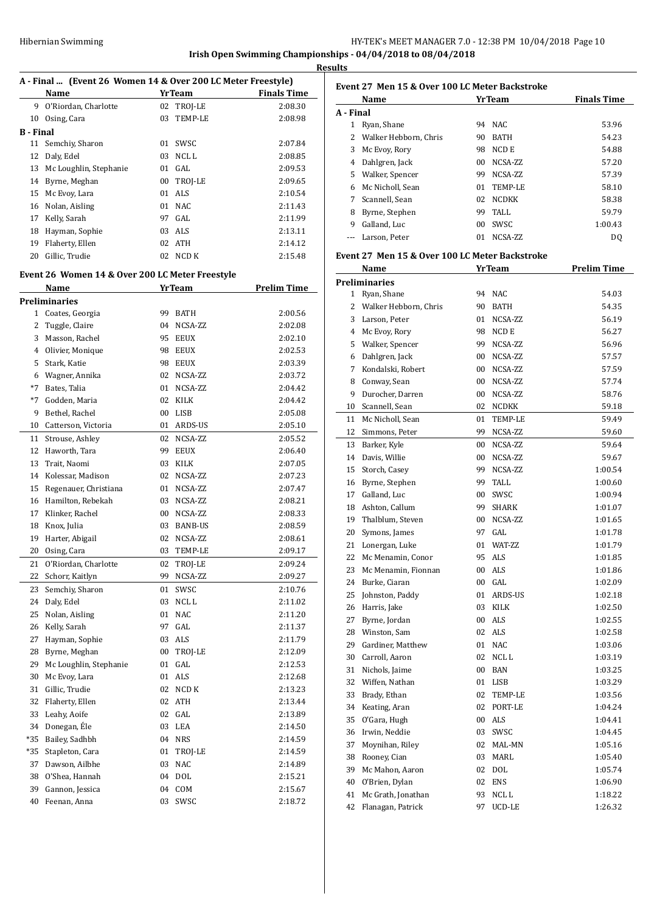**Irish Open Swimming Championships - 04/04/2018 to 08/04/2018 Results**

## **A - Final ... (Event 26 Women 14 & Over 200 LC Meter Freestyle)**

|           | Name                      |    | <b>YrTeam</b> | <b>Finals Time</b> |
|-----------|---------------------------|----|---------------|--------------------|
| 9         | O'Riordan, Charlotte      |    | 02 TROJ-LE    | 2:08.30            |
| 10        | Osing, Cara               | 03 | TEMP-LE       | 2:08.98            |
| B - Final |                           |    |               |                    |
|           | 11 Semchiy, Sharon        | 01 | SWSC          | 2:07.84            |
| 12        | Daly, Edel                | 03 | NCL L         | 2:08.85            |
|           | 13 Mc Loughlin, Stephanie | 01 | GAL           | 2:09.53            |
| 14        | Byrne, Meghan             | 00 | TROJ-LE       | 2:09.65            |
| 15        | Mc Evoy, Lara             | 01 | ALS           | 2:10.54            |
| 16        | Nolan, Aisling            | 01 | NAC           | 2:11.43            |
| 17        | Kelly, Sarah              | 97 | GAL           | 2:11.99            |
| 18        | Hayman, Sophie            |    | 03 ALS        | 2:13.11            |
| 19        | Flaherty, Ellen           | 02 | ATH           | 2:14.12            |
| 20        | Gillic, Trudie            | 02 | NCD K         | 2:15.48            |
|           |                           |    |               |                    |

## **Event 26 Women 14 & Over 200 LC Meter Freestyle**

|                | Name                   |        | <b>YrTeam</b>  | <b>Prelim Time</b> |
|----------------|------------------------|--------|----------------|--------------------|
|                | Preliminaries          |        |                |                    |
| 1              | Coates, Georgia        | 99     | <b>BATH</b>    | 2:00.56            |
| $\overline{2}$ | Tuggle, Claire         | 04     | NCSA-ZZ        | 2:02.08            |
| 3              | Masson, Rachel         | 95     | <b>EEUX</b>    | 2:02.10            |
| $\overline{4}$ | Olivier, Monique       | 98     | <b>EEUX</b>    | 2:02.53            |
| 5              | Stark, Katie           | 98     | <b>EEUX</b>    | 2:03.39            |
| 6              | Wagner, Annika         | 02     | NCSA-ZZ        | 2:03.72            |
| $*7$           | Bates, Talia           | 01     | NCSA-ZZ        | 2:04.42            |
| $*7$           | Godden, Maria          | 02     | <b>KILK</b>    | 2:04.42            |
| 9              | Bethel, Rachel         | 00     | <b>LISB</b>    | 2:05.08            |
| 10             | Catterson, Victoria    | 01     | ARDS-US        | 2:05.10            |
| 11             | Strouse, Ashley        | 02     | NCSA-ZZ        | 2:05.52            |
| 12             | Haworth, Tara          | 99     | <b>EEUX</b>    | 2:06.40            |
| 13             | Trait, Naomi           | 03     | <b>KILK</b>    | 2:07.05            |
| 14             | Kolessar, Madison      | 02     | NCSA-ZZ        | 2:07.23            |
| 15             | Regenauer, Christiana  | 01     | NCSA-ZZ        | 2:07.47            |
| 16             | Hamilton, Rebekah      | 03     | NCSA-ZZ        | 2:08.21            |
| 17             | Klinker, Rachel        | 00     | NCSA-ZZ        | 2:08.33            |
| 18             | Knox, Julia            | 03     | <b>BANB-US</b> | 2:08.59            |
| 19             | Harter, Abigail        | 02     | NCSA-ZZ        | 2:08.61            |
| 20             | Osing, Cara            | 03     | TEMP-LE        | 2:09.17            |
| 21             | O'Riordan, Charlotte   | 02     | TROJ-LE        | 2:09.24            |
| 22             | Schorr, Kaitlyn        | 99     | NCSA-ZZ        | 2:09.27            |
| 23             | Semchiy, Sharon        | 01     | SWSC           | 2:10.76            |
| 24             | Daly, Edel             | 03     | NCL L          | 2:11.02            |
| 25             | Nolan, Aisling         | 01     | <b>NAC</b>     | 2:11.20            |
| 26             | Kelly, Sarah           | 97     | GAL            | 2:11.37            |
| 27             | Hayman, Sophie         | 03     | ALS            | 2:11.79            |
| 28             | Byrne, Meghan          | $00\,$ | TROJ-LE        | 2:12.09            |
| 29             | Mc Loughlin, Stephanie | 01     | GAL            | 2:12.53            |
| 30             | Mc Evoy, Lara          | 01     | <b>ALS</b>     | 2:12.68            |
| 31             | Gillic, Trudie         | 02     | NCD K          | 2:13.23            |
| 32             | Flaherty, Ellen        | 02     | <b>ATH</b>     | 2:13.44            |
| 33             | Leahy, Aoife           | 02     | GAL            | 2:13.89            |
| 34             | Donegan, Éle           |        | 03 LEA         | 2:14.50            |
| *35            | Bailey, Sadhbh         |        | 04 NRS         | 2:14.59            |
| *35            | Stapleton, Cara        | 01     | TROJ-LE        | 2:14.59            |
| 37             | Dawson, Ailbhe         | 03     | <b>NAC</b>     | 2:14.89            |
| 38             | O'Shea, Hannah         | 04     | <b>DOL</b>     | 2:15.21            |
| 39             | Gannon, Jessica        | 04     | COM            | 2:15.67            |
| 40             | Feenan, Anna           | 03     | SWSC           | 2:18.72            |

|           | Event 27 Men 15 & Over 100 LC Meter Backstroke |    |               |                    |
|-----------|------------------------------------------------|----|---------------|--------------------|
|           | Name                                           |    | <b>YrTeam</b> | <b>Finals Time</b> |
| A - Final |                                                |    |               |                    |
|           | Ryan, Shane                                    | 94 | NAC.          | 53.96              |
|           | Walker Hebborn, Chris                          | 90 | <b>BATH</b>   | 54.23              |
| 3         | Mc Evoy, Rory                                  | 98 | NCD E         | 54.88              |
| 4         | Dahlgren, Jack                                 | 00 | NCSA-ZZ       | 57.20              |
| 5.        | Walker, Spencer                                | 99 | NCSA-ZZ       | 57.39              |
| 6         | Mc Nicholl, Sean                               | 01 | TEMP-LE       | 58.10              |
| 7         | Scannell, Sean                                 | 02 | <b>NCDKK</b>  | 58.38              |
| 8         | Byrne, Stephen                                 | 99 | TALL          | 59.79              |
| 9         | Galland, Luc                                   | 00 | SWSC.         | 1:00.43            |
|           | Larson, Peter                                  | 01 | NCSA-ZZ       | D <sub>0</sub>     |

#### **Event 27 Men 15 & Over 100 LC Meter Backstroke**

|                | Name                  |        | <u>Yr Team</u>   | <u>Prelim Time</u> |
|----------------|-----------------------|--------|------------------|--------------------|
|                | <b>Preliminaries</b>  |        |                  |                    |
| 1              | Ryan, Shane           | 94     | <b>NAC</b>       | 54.03              |
| 2              | Walker Hebborn, Chris | 90     | <b>BATH</b>      | 54.35              |
| 3              | Larson, Peter         | 01     | NCSA-ZZ          | 56.19              |
| $\overline{4}$ | Mc Evoy, Rory         | 98     | NCD E            | 56.27              |
| 5              | Walker, Spencer       | 99     | NCSA-ZZ          | 56.96              |
| 6              | Dahlgren, Jack        | $00\,$ | NCSA-ZZ          | 57.57              |
| 7              | Kondalski, Robert     | $00\,$ | NCSA-ZZ          | 57.59              |
| 8              | Conway, Sean          | $00\,$ | NCSA-ZZ          | 57.74              |
| 9              | Durocher, Darren      | 00     | NCSA-ZZ          | 58.76              |
| 10             | Scannell, Sean        | 02     | <b>NCDKK</b>     | 59.18              |
| 11             | Mc Nicholl, Sean      | 01     | TEMP-LE          | 59.49              |
| 12             | Simmons, Peter        | 99     | NCSA-ZZ          | 59.60              |
| 13             | Barker, Kyle          | $00\,$ | NCSA-ZZ          | 59.64              |
| 14             | Davis, Willie         | 00     | NCSA-ZZ          | 59.67              |
| 15             | Storch, Casev         | 99     | NCSA-ZZ          | 1:00.54            |
| 16             | Byrne, Stephen        | 99     | <b>TALL</b>      | 1:00.60            |
| 17             | Galland, Luc          | $00\,$ | SWSC             | 1:00.94            |
| 18             | Ashton, Callum        | 99     | <b>SHARK</b>     | 1:01.07            |
| 19             | Thalblum, Steven      | $00\,$ | NCSA-ZZ          | 1:01.65            |
| 20             | Symons, James         | 97     | GAL              | 1:01.78            |
| 21             | Lonergan, Luke        | 01     | WAT-ZZ           | 1:01.79            |
| 22             | Mc Menamin, Conor     | 95     | <b>ALS</b>       | 1:01.85            |
| 23             | Mc Menamin, Fionnan   | 00     | <b>ALS</b>       | 1:01.86            |
| 24             | Burke, Ciaran         | 00     | GAL              | 1:02.09            |
| 25             | Johnston, Paddy       | 01     | ARDS-US          | 1:02.18            |
| 26             | Harris, Jake          | 03     | <b>KILK</b>      | 1:02.50            |
| 27             | Byrne, Jordan         | 00     | <b>ALS</b>       | 1:02.55            |
| 28             | Winston, Sam          | 02     | <b>ALS</b>       | 1:02.58            |
| 29             | Gardiner, Matthew     | 01     | <b>NAC</b>       | 1:03.06            |
| 30             | Carroll, Aaron        | 02     | NCL <sub>L</sub> | 1:03.19            |
| 31             | Nichols, Jaime        | 00     | <b>BAN</b>       | 1:03.25            |
| 32             | Wiffen, Nathan        | 01     | LISB             | 1:03.29            |
| 33             | Brady, Ethan          | 02     | TEMP-LE          | 1:03.56            |
| 34             | Keating, Aran         | 02     | PORT-LE          | 1:04.24            |
| 35             | O'Gara, Hugh          | $00\,$ | ALS              | 1:04.41            |
| 36             | Irwin, Neddie         | 03     | SWSC             | 1:04.45            |
| 37             | Moynihan, Riley       | 02     | MAL-MN           | 1:05.16            |
| 38             | Rooney, Cian          | 03     | <b>MARL</b>      | 1:05.40            |
| 39             | Mc Mahon, Aaron       | 02     | <b>DOL</b>       | 1:05.74            |
| 40             | O'Brien, Dylan        | 02     | <b>ENS</b>       | 1:06.90            |
| 41             | Mc Grath, Jonathan    | 93     | NCL L            | 1:18.22            |
| 42             | Flanagan, Patrick     | 97     | UCD-LE           | 1:26.32            |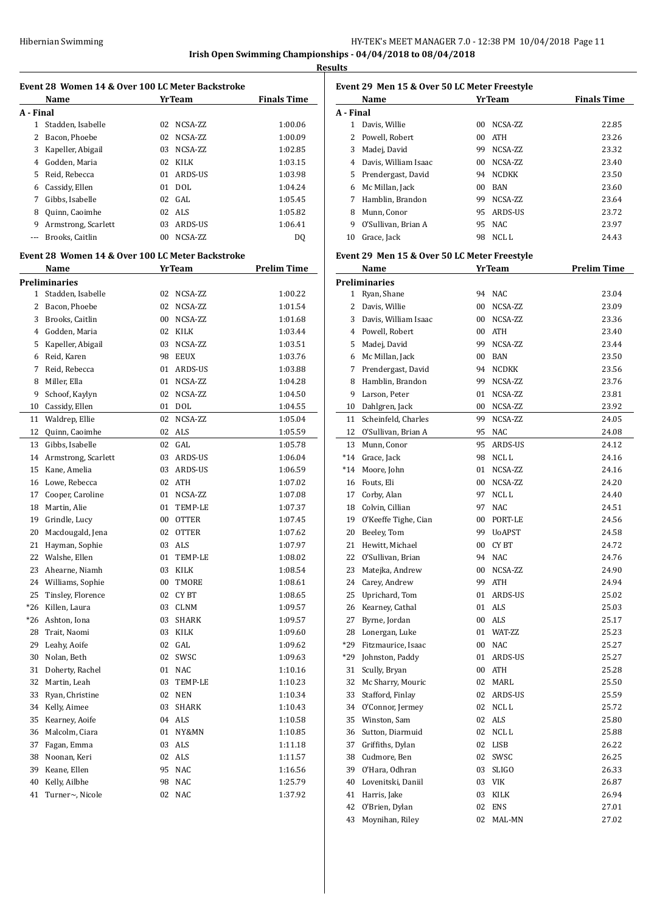**Results**

|           | Event 28 Women 14 & Over 100 LC Meter Backstroke |          |                          |                    |
|-----------|--------------------------------------------------|----------|--------------------------|--------------------|
|           | Name                                             |          | <b>YrTeam</b>            | <b>Finals Time</b> |
| A - Final |                                                  |          |                          |                    |
|           | 1 Stadden, Isabelle                              | 02       | NCSA-ZZ                  | 1:00.06            |
| 2         | Bacon, Phoebe                                    |          | 02 NCSA-ZZ               | 1:00.09            |
|           | 3 Kapeller, Abigail                              |          | 03 NCSA-ZZ               | 1:02.85            |
|           | 4 Godden, Maria                                  |          | 02 KILK                  | 1:03.15            |
|           | 5 Reid, Rebecca                                  |          | 01 ARDS-US               | 1:03.98            |
|           | 6 Cassidy, Ellen                                 |          | 01 DOL                   | 1:04.24            |
|           | 7 Gibbs, Isabelle                                |          | 02 GAL                   | 1:05.45            |
|           | 8 Quinn, Caoimhe                                 |          | 02 ALS                   | 1:05.82            |
|           | 9 Armstrong, Scarlett                            |          | 03 ARDS-US               | 1:06.41            |
| ---       | Brooks, Caitlin                                  |          | 00 NCSA-ZZ               | DQ                 |
|           | Event 28 Women 14 & Over 100 LC Meter Backstroke |          |                          |                    |
|           | Name                                             |          | <b>Yr Team</b>           | Prelim Time        |
|           | <b>Preliminaries</b>                             |          |                          |                    |
|           | 1 Stadden, Isabelle                              | 02       | NCSA-ZZ                  | 1:00.22            |
|           | 2 Bacon, Phoebe                                  |          | 02 NCSA-ZZ               | 1:01.54            |
|           | 3 Brooks, Caitlin                                |          | 00 NCSA-ZZ               | 1:01.68            |
|           | 4 Godden, Maria                                  |          | 02 KILK                  | 1:03.44            |
|           | 5 Kapeller, Abigail                              |          | 03 NCSA-ZZ               | 1:03.51            |
|           | 6 Reid, Karen                                    |          | 98 EEUX                  | 1:03.76            |
|           | 7 Reid, Rebecca                                  |          | 01 ARDS-US               | 1:03.88            |
|           | 8 Miller, Ella                                   |          | 01 NCSA-ZZ               | 1:04.28            |
| 9         | Schoof, Kaylyn                                   |          | 02 NCSA-ZZ               | 1:04.50            |
|           | 10 Cassidy, Ellen                                |          | 01 DOL                   | 1:04.55            |
|           |                                                  |          | 02 NCSA-ZZ               | 1:05.04            |
|           | 11 Waldrep, Ellie<br>12 Quinn, Caoimhe           |          | 02 ALS                   | 1:05.59            |
|           | 13 Gibbs, Isabelle                               | 02       | GAL                      | 1:05.78            |
|           | 14 Armstrong, Scarlett                           |          |                          | 1:06.04            |
|           | 15 Kane, Amelia                                  |          | 03 ARDS-US<br>03 ARDS-US | 1:06.59            |
|           | 16 Lowe, Rebecca                                 |          | 02 ATH                   | 1:07.02            |
|           | 17 Cooper, Caroline                              |          | 01 NCSA-ZZ               | 1:07.08            |
|           | 18 Martin, Alie                                  |          | 01 TEMP-LE               | 1:07.37            |
|           | 19 Grindle, Lucy                                 |          | 00 OTTER                 | 1:07.45            |
|           | 20 Macdougald, Jena                              |          | 02 OTTER                 |                    |
| 21        | Hayman, Sophie                                   | 03       | ALS                      | 1:07.62            |
|           | 22 Walshe, Ellen                                 |          | 01 TEMP-LE               | 1:07.97<br>1:08.02 |
| 23        | Ahearne, Niamh                                   |          | KILK                     |                    |
| 24        | Williams, Sophie                                 | 03       |                          | 1:08.54<br>1:08.61 |
| 25        | Tinsley, Florence                                | 00<br>02 | TMORE<br>CY BT           | 1:08.65            |
| $*26$     | Killen, Laura                                    | 03       | CLNM                     | 1:09.57            |
| $*26$     | Ashton, Iona                                     | 03       | SHARK                    | 1:09.57            |
| 28        | Trait, Naomi                                     | 03       | KILK                     | 1:09.60            |
| 29        | Leahy, Aoife                                     | 02       | GAL                      | 1:09.62            |
| 30        | Nolan, Beth                                      | 02       | SWSC                     | 1:09.63            |
| 31        | Doherty, Rachel                                  | 01       | <b>NAC</b>               | 1:10.16            |
| 32        | Martin, Leah                                     | 03       | TEMP-LE                  | 1:10.23            |
| 33        | Ryan, Christine                                  | 02       | <b>NEN</b>               | 1:10.34            |
| 34        | Kelly, Aimee                                     | 03       | SHARK                    | 1:10.43            |
| 35        | Kearney, Aoife                                   | 04       | ALS                      | 1:10.58            |
| 36        | Malcolm, Ciara                                   | 01       | NY&MN                    | 1:10.85            |
| 37        | Fagan, Emma                                      | 03       | ALS                      | 1:11.18            |
| 38        | Noonan, Keri                                     | 02       | ALS                      | 1:11.57            |
| 39        | Keane, Ellen                                     | 95       | <b>NAC</b>               | 1:16.56            |
| 40        | Kelly, Ailbhe                                    | 98       | <b>NAC</b>               | 1:25.79            |
| 41        | Turner~, Nicole                                  | 02       | NAC                      | 1:37.92            |
|           |                                                  |          |                          |                    |

|           | Name                 |                 | <b>YrTeam</b> | <b>Finals Time</b> |
|-----------|----------------------|-----------------|---------------|--------------------|
| A - Final |                      |                 |               |                    |
|           | Davis, Willie        | 00 <sup>1</sup> | NCSA-ZZ       | 22.85              |
|           | Powell, Robert       | 00              | ATH           | 23.26              |
| 3         | Madej, David         | 99.             | NCSA-ZZ       | 23.32              |
| 4         | Davis, William Isaac | 00 <sup>1</sup> | NCSA-ZZ       | 23.40              |
| 5.        | Prendergast, David   | 94              | NCDKK         | 23.50              |
| 6         | Mc Millan, Jack      | 00              | <b>BAN</b>    | 23.60              |
| 7         | Hamblin, Brandon     | 99              | NCSA-ZZ       | 23.64              |
| 8         | Munn, Conor          | 95              | ARDS-US       | 23.72              |
| 9         | O'Sullivan, Brian A  | 95              | NAC.          | 23.97              |
| 10        | Grace, Jack          | 98              | NCL L         | 24.43              |

#### **Event 29 Men 15 & Over 50 LC Meter Freestyle**

|       | Name                   |        | <b>YrTeam</b>    | <b>Prelim Time</b> |
|-------|------------------------|--------|------------------|--------------------|
|       | <b>Preliminaries</b>   |        |                  |                    |
|       | 1 Ryan, Shane          | 94     | NAC              | 23.04              |
|       | 2 Davis, Willie        | 00     | NCSA-ZZ          | 23.09              |
|       | 3 Davis, William Isaac | 00     | NCSA-ZZ          | 23.36              |
|       | 4 Powell, Robert       | $00\,$ | <b>ATH</b>       | 23.40              |
| 5     | Madej, David           | 99     | NCSA-ZZ          | 23.44              |
| 6     | Mc Millan, Jack        | $00\,$ | <b>BAN</b>       | 23.50              |
|       | 7 Prendergast, David   | 94     | NCDKK            | 23.56              |
| 8     | Hamblin, Brandon       | 99     | NCSA-ZZ          | 23.76              |
| 9     | Larson, Peter          | 01     | NCSA-ZZ          | 23.81              |
| 10    | Dahlgren, Jack         | 00     | NCSA-ZZ          | 23.92              |
| 11    | Scheinfeld, Charles    | 99     | NCSA-ZZ          | 24.05              |
| 12    | O'Sullivan, Brian A    | 95     | <b>NAC</b>       | 24.08              |
|       | 13 Munn, Conor         | 95     | ARDS-US          | 24.12              |
|       | *14 Grace, Jack        | 98     | NCL L            | 24.16              |
| $*14$ | Moore, John            | 01     | NCSA-ZZ          | 24.16              |
|       | 16 Fouts, Eli          | $00\,$ | NCSA-ZZ          | 24.20              |
| 17    | Corby, Alan            | 97     | NCL L            | 24.40              |
| 18    | Colvin, Cillian        | 97     | <b>NAC</b>       | 24.51              |
| 19    | O'Keeffe Tighe, Cian   | 00     | PORT-LE          | 24.56              |
| 20    | Beeley, Tom            | 99     | <b>UoAPST</b>    | 24.58              |
| 21    | Hewitt, Michael        | 00     | <b>CYBT</b>      | 24.72              |
| 22    | O'Sullivan, Brian      | 94     | <b>NAC</b>       | 24.76              |
| 23    | Matejka, Andrew        | 00     | NCSA-ZZ          | 24.90              |
|       | 24 Carey, Andrew       | 99     | <b>ATH</b>       | 24.94              |
| 25    | Uprichard, Tom         | 01     | <b>ARDS-US</b>   | 25.02              |
| 26    | Kearney, Cathal        | 01     | <b>ALS</b>       | 25.03              |
| 27    | Byrne, Jordan          | 00     | ALS              | 25.17              |
|       | 28 Lonergan, Luke      | 01     | WAT-ZZ           | 25.23              |
| *29   | Fitzmaurice, Isaac     | $00\,$ | <b>NAC</b>       | 25.27              |
| *29   | Johnston, Paddy        | 01     | ARDS-US          | 25.27              |
| 31    | Scully, Bryan          | $00\,$ | <b>ATH</b>       | 25.28              |
| 32    | Mc Sharry, Mouric      | 02     | <b>MARL</b>      | 25.50              |
| 33    | Stafford, Finlay       | 02     | <b>ARDS-US</b>   | 25.59              |
| 34    | O'Connor, Jermey       | 02     | NCL <sub>L</sub> | 25.72              |
| 35    | Winston, Sam           | 02     | <b>ALS</b>       | 25.80              |
| 36    | Sutton, Diarmuid       | 02     | NCL L            | 25.88              |
| 37    | Griffiths, Dylan       | 02     | <b>LISB</b>      | 26.22              |
| 38    | Cudmore, Ben           | 02     | SWSC             | 26.25              |
| 39    | O'Hara, Odhran         | 03     | <b>SLIGO</b>     | 26.33              |
| 40    | Lovenitski, Daniil     | 03     | <b>VIK</b>       | 26.87              |
| 41    | Harris, Jake           | 03     | KILK             | 26.94              |
| 42    | O'Brien, Dylan         | 02     | <b>ENS</b>       | 27.01              |
| 43    | Moynihan, Riley        | 02     | MAL-MN           | 27.02              |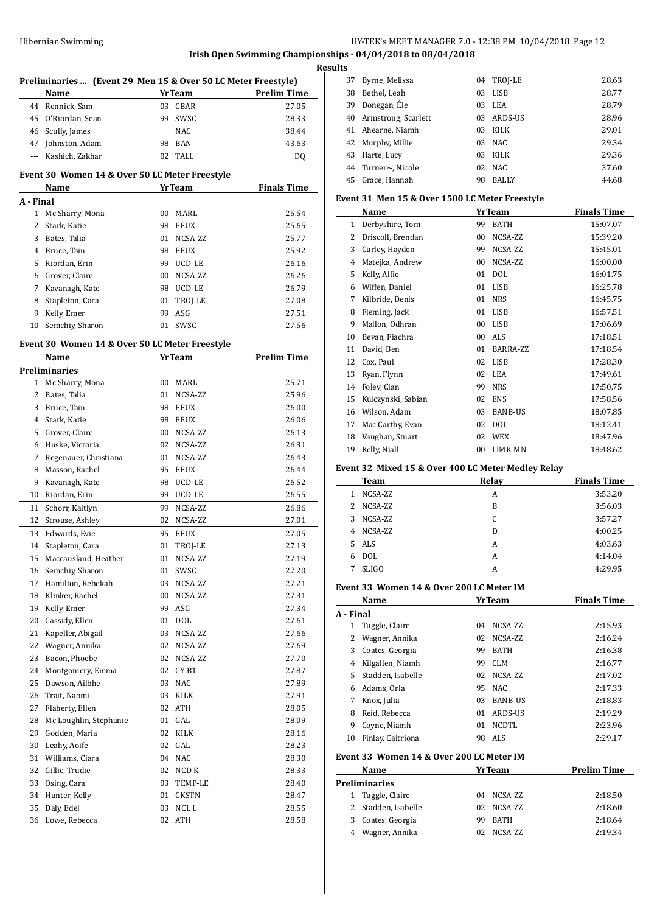## **Irish Open Swimming Championships - 04/04/2018 to 08/04/2018**

| Preliminaries  (Event 29 Men 15 & Over 50 LC Meter Freestyle)<br><b>Prelim Time</b><br>27.05<br>28.33<br>38.44<br>43.63<br>DQ<br><b>Finals Time</b><br>25.54<br>25.65<br>25.77<br>25.92<br>26.16<br>26.26<br>26.79<br>27.08<br>27.51<br>27.56<br><b>Prelim Time</b><br>25.71<br>25.96<br>26.00<br>26.06 |
|---------------------------------------------------------------------------------------------------------------------------------------------------------------------------------------------------------------------------------------------------------------------------------------------------------|
|                                                                                                                                                                                                                                                                                                         |
|                                                                                                                                                                                                                                                                                                         |
|                                                                                                                                                                                                                                                                                                         |
|                                                                                                                                                                                                                                                                                                         |
|                                                                                                                                                                                                                                                                                                         |
|                                                                                                                                                                                                                                                                                                         |
|                                                                                                                                                                                                                                                                                                         |
|                                                                                                                                                                                                                                                                                                         |
|                                                                                                                                                                                                                                                                                                         |
|                                                                                                                                                                                                                                                                                                         |
|                                                                                                                                                                                                                                                                                                         |
|                                                                                                                                                                                                                                                                                                         |
|                                                                                                                                                                                                                                                                                                         |
|                                                                                                                                                                                                                                                                                                         |
|                                                                                                                                                                                                                                                                                                         |
|                                                                                                                                                                                                                                                                                                         |
|                                                                                                                                                                                                                                                                                                         |
|                                                                                                                                                                                                                                                                                                         |
|                                                                                                                                                                                                                                                                                                         |
|                                                                                                                                                                                                                                                                                                         |
|                                                                                                                                                                                                                                                                                                         |
|                                                                                                                                                                                                                                                                                                         |
|                                                                                                                                                                                                                                                                                                         |
|                                                                                                                                                                                                                                                                                                         |
|                                                                                                                                                                                                                                                                                                         |
|                                                                                                                                                                                                                                                                                                         |
| 26.13                                                                                                                                                                                                                                                                                                   |
| 26.31                                                                                                                                                                                                                                                                                                   |
| 26.43                                                                                                                                                                                                                                                                                                   |
| 26.44                                                                                                                                                                                                                                                                                                   |
| 26.52                                                                                                                                                                                                                                                                                                   |
| 26.55                                                                                                                                                                                                                                                                                                   |
| 26.86                                                                                                                                                                                                                                                                                                   |
| 27.01                                                                                                                                                                                                                                                                                                   |
| 27.05                                                                                                                                                                                                                                                                                                   |
|                                                                                                                                                                                                                                                                                                         |
| 27.13                                                                                                                                                                                                                                                                                                   |
| 27.19                                                                                                                                                                                                                                                                                                   |
| 27.20                                                                                                                                                                                                                                                                                                   |
| 27.21                                                                                                                                                                                                                                                                                                   |
| 27.31                                                                                                                                                                                                                                                                                                   |
| 27.34                                                                                                                                                                                                                                                                                                   |
| 27.61                                                                                                                                                                                                                                                                                                   |
| 27.66                                                                                                                                                                                                                                                                                                   |
| 27.69                                                                                                                                                                                                                                                                                                   |
| 27.70                                                                                                                                                                                                                                                                                                   |
| 27.87                                                                                                                                                                                                                                                                                                   |
| 27.89                                                                                                                                                                                                                                                                                                   |
| 27.91                                                                                                                                                                                                                                                                                                   |
| 28.05                                                                                                                                                                                                                                                                                                   |
| 28.09                                                                                                                                                                                                                                                                                                   |
| 28.16                                                                                                                                                                                                                                                                                                   |
| 28.23                                                                                                                                                                                                                                                                                                   |
| 28.30                                                                                                                                                                                                                                                                                                   |
| 28.33                                                                                                                                                                                                                                                                                                   |
| 28.40                                                                                                                                                                                                                                                                                                   |
| 28.47                                                                                                                                                                                                                                                                                                   |
|                                                                                                                                                                                                                                                                                                         |
| 28.55                                                                                                                                                                                                                                                                                                   |
|                                                                                                                                                                                                                                                                                                         |

| э  |                     |    |              |       |
|----|---------------------|----|--------------|-------|
| 37 | Byrne, Melissa      |    | 04 TROJ-LE   | 28.63 |
| 38 | Bethel, Leah        | 03 | <b>LISB</b>  | 28.77 |
| 39 | Donegan, Éle        | 03 | LEA          | 28.79 |
| 40 | Armstrong, Scarlett | 03 | ARDS-US      | 28.96 |
| 41 | Ahearne, Niamh      | 03 | KILK         | 29.01 |
|    | 42 Murphy, Millie   | 03 | <b>NAC</b>   | 29.34 |
| 43 | Harte, Lucy         | 03 | KILK         | 29.36 |
|    | 44 Turner~, Nicole  | 02 | <b>NAC</b>   | 37.60 |
|    | 45 Grace, Hannah    | 98 | <b>BALLY</b> | 44.68 |

## **Event 31 Men 15 & Over 1500 LC Meter Freestyle**

|    | Name               |    | <b>YrTeam</b>  | <b>Finals Time</b> |
|----|--------------------|----|----------------|--------------------|
| 1  | Derbyshire, Tom    | 99 | <b>BATH</b>    | 15:07.07           |
| 2  | Driscoll, Brendan  | 00 | NCSA-ZZ        | 15:39.20           |
| 3  | Curley, Hayden     | 99 | NCSA-ZZ        | 15:45.01           |
| 4  | Matejka, Andrew    | 00 | NCSA-ZZ        | 16:00.00           |
| 5  | Kelly, Alfie       | 01 | <b>DOL</b>     | 16:01.75           |
| 6  | Wiffen, Daniel     | 01 | LISB           | 16:25.78           |
| 7  | Kilbride, Denis    | 01 | <b>NRS</b>     | 16:45.75           |
| 8  | Fleming, Jack      | 01 | <b>LISB</b>    | 16:57.51           |
| 9  | Mallon, Odhran     | 00 | LISB           | 17:06.69           |
| 10 | Bevan, Fiachra     | 00 | ALS            | 17:18.51           |
| 11 | David, Ben         | 01 | BARRA-ZZ       | 17:18.54           |
| 12 | Cox, Paul          | 02 | <b>LISB</b>    | 17:28.30           |
| 13 | Ryan, Flynn        | 02 | LEA            | 17:49.61           |
| 14 | Foley, Cian        | 99 | <b>NRS</b>     | 17:50.75           |
| 15 | Kulczynski, Sabian | 02 | <b>ENS</b>     | 17:58.56           |
| 16 | Wilson, Adam       | 03 | <b>BANB-US</b> | 18:07.85           |
| 17 | Mac Carthy, Evan   | 02 | DOL            | 18:12.41           |
| 18 | Vaughan, Stuart    | 02 | <b>WEX</b>     | 18:47.96           |
| 19 | Kelly, Niall       | 00 | LIMK-MN        | 18:48.62           |

#### **Event 32 Mixed 15 & Over 400 LC Meter Medley Relay**

|   | Team         | Relay | <b>Finals Time</b> |
|---|--------------|-------|--------------------|
|   | NCSA-ZZ      | A     | 3:53.20            |
|   | 2 NCSA-ZZ    | B     | 3:56.03            |
| 3 | NCSA-ZZ      | C     | 3:57.27            |
| 4 | NCSA-ZZ      | D     | 4:00.25            |
|   | 5 ALS        | A     | 4:03.63            |
| 6 | <b>DOL</b>   | А     | 4:14.04            |
|   | <b>SLIGO</b> | А     | 4:29.95            |

#### **Event 33 Women 14 & Over 200 LC Meter IM**

|           | Name                                     | YrTeam               | <b>Finals Time</b> |
|-----------|------------------------------------------|----------------------|--------------------|
| A - Final |                                          |                      |                    |
| 1         | Tuggle, Claire                           | NCSA-ZZ<br>04        | 2:15.93            |
| 2         | Wagner, Annika                           | NCSA-ZZ<br>02        | 2:16.24            |
| 3         | Coates, Georgia                          | <b>BATH</b><br>99    | 2:16.38            |
| 4         | Kilgallen, Niamh                         | <b>CLM</b><br>99     | 2:16.77            |
| 5.        | Stadden, Isabelle                        | NCSA-ZZ<br>02        | 2:17.02            |
| 6         | Adams, Orla                              | NAC.<br>95           | 2:17.33            |
| 7         | Knox, Julia                              | <b>BANB-US</b><br>03 | 2:18.83            |
| 8         | Reid, Rebecca                            | ARDS-US<br>01        | 2:19.29            |
| 9         | Coyne, Niamh                             | <b>NCDTL</b><br>01   | 2:23.96            |
| 10        | Finlay, Caitriona                        | ALS<br>98            | 2:29.17            |
|           | Event 33 Women 14 & Over 200 LC Meter IM |                      |                    |
|           | Name                                     | YrTeam               | <b>Prelim Time</b> |
|           | Preliminaries                            |                      |                    |

| reliminaries        |            |         |
|---------------------|------------|---------|
| 1 Tuggle, Claire    | 04 NCSA-ZZ | 2:18.50 |
| 2 Stadden, Isabelle | 02 NCSA-ZZ | 2:18.60 |
| 3 Coates, Georgia   | 99 BATH    | 2:18.64 |
| 4 Wagner, Annika    | 02 NCSA-ZZ | 2:19.34 |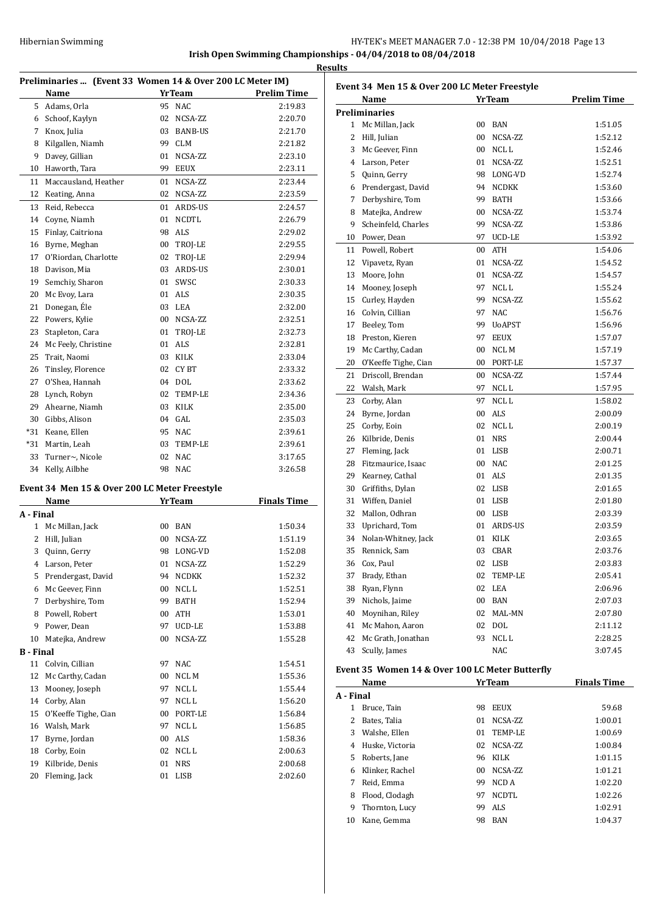|              | Preliminaries  (Event 33 Women 14 & Over 200 LC Meter IM) |    |                   |                    |
|--------------|-----------------------------------------------------------|----|-------------------|--------------------|
|              | <b>Name</b>                                               |    | YrTeam            | <b>Prelim Time</b> |
|              | 5 Adams, Orla                                             |    | 95 NAC            | 2:19.83            |
|              | 6 Schoof, Kaylyn                                          |    | 02 NCSA-ZZ        | 2:20.70            |
|              | 7 Knox, Julia                                             |    | 03 BANB-US        | 2:21.70            |
| 8            | Kilgallen, Niamh                                          |    | 99 CLM            | 2:21.82            |
| 9            | Davey, Gillian                                            |    | 01 NCSA-ZZ        | 2:23.10            |
|              | 10 Haworth, Tara                                          |    | 99 EEUX           | 2:23.11            |
| 11           | Maccausland, Heather                                      |    | 01 NCSA-ZZ        | 2:23.44            |
| 12           | Keating, Anna                                             |    | 02 NCSA-ZZ        | 2:23.59            |
| 13           | Reid, Rebecca                                             |    | 01 ARDS-US        | 2:24.57            |
| 14           | Coyne, Niamh                                              |    | 01 NCDTL          | 2:26.79            |
| 15           | Finlay, Caitriona                                         |    | 98 ALS            | 2:29.02            |
|              | 16 Byrne, Meghan                                          |    | 00 TROJ-LE        | 2:29.55            |
| 17           | O'Riordan, Charlotte                                      |    | 02 TROJ-LE        | 2:29.94            |
|              | 18 Davison, Mia                                           |    | 03 ARDS-US        | 2:30.01            |
| 19           | Semchiy, Sharon                                           |    | 01 SWSC           | 2:30.33            |
| 20           | Mc Evoy, Lara                                             |    | 01 ALS            | 2:30.35            |
| 21           | Donegan, Éle                                              |    | 03 LEA            | 2:32.00            |
| 22           | Powers, Kylie                                             |    | 00 NCSA-ZZ        | 2:32.51            |
| 23           | Stapleton, Cara                                           |    | 01 TROJ-LE        | 2:32.73            |
| 24           | Mc Feely, Christine                                       |    | 01 ALS            | 2:32.81            |
| 25           | Trait, Naomi                                              |    | 03 KILK           | 2:33.04            |
| 26           |                                                           |    | 02 CYBT           | 2:33.32            |
| 27           | Tinsley, Florence                                         |    |                   |                    |
|              | O'Shea, Hannah                                            |    | 04 DOL            | 2:33.62            |
|              | 28 Lynch, Robyn                                           |    | 02 TEMP-LE        | 2:34.36            |
|              | 29 Ahearne, Niamh                                         |    | 03 KILK           | 2:35.00            |
|              | 30 Gibbs, Alison                                          |    | 04 GAL            | 2:35.03            |
|              | *31 Keane, Ellen                                          |    | 95 NAC            | 2:39.61            |
|              | *31 Martin, Leah                                          |    | 03 TEMP-LE        | 2:39.61            |
| 33           | Turner~, Nicole                                           |    | 02 NAC            | 3:17.65            |
|              | 34 Kelly, Ailbhe                                          |    | 98 NAC            | 3:26.58            |
|              | Event 34 Men 15 & Over 200 LC Meter Freestyle             |    |                   |                    |
|              | Name                                                      |    | <b>YrTeam</b>     | <b>Finals Time</b> |
|              | A - Final                                                 |    |                   |                    |
| $\mathbf{1}$ | Mc Millan, Jack                                           |    | 00 BAN            | 1:50.34            |
|              | 2 Hill, Julian                                            |    | 00 NCSA-ZZ        | 1:51.19            |
| 3            | Quinn, Gerry                                              |    | 98 LONG-VD        | 1:52.08            |
| 4            | Larson, Peter                                             | 01 | NCSA-ZZ           | 1:52.29            |
|              | 5 Prendergast, David                                      |    | 94 NCDKK          | 1:52.32            |
|              | 6 Mc Geever, Finn                                         |    | 00 NCL L          | 1:52.51            |
| 7            | Derbyshire, Tom                                           |    | 99 BATH           | 1:52.94            |
|              | 8 Powell, Robert                                          |    | 00 ATH            | 1:53.01            |
| 9            | Power, Dean                                               | 97 | UCD-LE            | 1:53.88            |
| 10           | Matejka, Andrew                                           | 00 | NCSA-ZZ           | 1:55.28            |
|              | B - Final                                                 |    |                   |                    |
|              | 11 Colvin, Cillian                                        | 97 | <b>NAC</b>        | 1:54.51            |
| 12           | Mc Carthy, Cadan                                          | 00 | $NCL$ $M$         | 1:55.36            |
| 13           | Mooney, Joseph                                            | 97 | NCL L             | 1:55.44            |
| 14           | Corby, Alan                                               | 97 | NCL L             | 1:56.20            |
| 15           | O'Keeffe Tighe, Cian                                      |    | 00 PORT-LE        | 1:56.84            |
|              | 16 Walsh, Mark                                            |    | 97 NCL L          | 1:56.85            |
| 17           | Byrne, Jordan                                             |    | 00 ALS            | 1:58.36            |
|              |                                                           |    |                   |                    |
|              |                                                           |    |                   |                    |
| 18           | Corby, Eoin                                               |    | 02 NCLL           | 2:00.63            |
| 19<br>20     | Kilbride, Denis<br>Fleming, Jack                          |    | 01 NRS<br>01 LISB | 2:00.68<br>2:02.60 |

|              | Name                 |    | <b>YrTeam</b> | <b>Prelim Time</b> |
|--------------|----------------------|----|---------------|--------------------|
|              | <b>Preliminaries</b> |    |               |                    |
|              | 1 Mc Millan, Jack    | 00 | BAN           | 1:51.05            |
| $\mathbf{2}$ | Hill, Julian         | 00 | NCSA-ZZ       | 1:52.12            |
| 3            | Mc Geever, Finn      | 00 | NCL L         | 1:52.46            |
|              | 4 Larson, Peter      | 01 | NCSA-ZZ       | 1:52.51            |
| 5            | Quinn, Gerry         | 98 | LONG-VD       | 1:52.74            |
| 6            | Prendergast, David   | 94 | <b>NCDKK</b>  | 1:53.60            |
| $7^{\circ}$  | Derbyshire, Tom      | 99 | <b>BATH</b>   | 1:53.66            |
| 8            | Matejka, Andrew      | 00 | NCSA-ZZ       | 1:53.74            |
| 9            | Scheinfeld, Charles  | 99 | NCSA-ZZ       | 1:53.86            |
| 10           | Power, Dean          | 97 | UCD-LE        | 1:53.92            |
| 11           | Powell, Robert       | 00 | ATH           | 1:54.06            |
| 12           | Vipavetz, Ryan       | 01 | NCSA-ZZ       | 1:54.52            |
| 13           | Moore, John          | 01 | NCSA-ZZ       | 1:54.57            |
| 14           | Mooney, Joseph       | 97 | NCL L         | 1:55.24            |
| 15           | Curley, Hayden       | 99 | NCSA-ZZ       | 1:55.62            |
| 16           | Colvin, Cillian      | 97 | <b>NAC</b>    | 1:56.76            |
| 17           | Beeley, Tom          | 99 | <b>UoAPST</b> | 1:56.96            |
| 18           | Preston, Kieren      | 97 | <b>EEUX</b>   | 1:57.07            |
| 19           | Mc Carthy, Cadan     | 00 | NCL M         | 1:57.19            |
| 20           | O'Keeffe Tighe, Cian | 00 | PORT-LE       | 1:57.37            |
| 21           | Driscoll, Brendan    | 00 | NCSA-ZZ       | 1:57.44            |
| 22           | Walsh, Mark          | 97 | NCL L         | 1:57.95            |
| 23           | Corby, Alan          | 97 | NCL L         | 1:58.02            |
| 24           | Byrne, Jordan        | 00 | <b>ALS</b>    | 2:00.09            |
| 25           | Corby, Eoin          | 02 | NCL L         | 2:00.19            |
|              | 26 Kilbride, Denis   | 01 | <b>NRS</b>    | 2:00.44            |
| 27           | Fleming, Jack        |    | 01 LISB       | 2:00.71            |
| 28           | Fitzmaurice, Isaac   |    | 00 NAC        | 2:01.25            |
| 29           | Kearney, Cathal      |    | 01 ALS        | 2:01.35            |
| 30           | Griffiths, Dylan     | 02 | LISB          | 2:01.65            |
| 31           | Wiffen, Daniel       |    | 01 LISB       | 2:01.80            |
| 32           | Mallon, Odhran       |    | 00 LISB       | 2:03.39            |
| 33           | Uprichard, Tom       | 01 | ARDS-US       | 2:03.59            |
| 34           | Nolan-Whitney, Jack  | 01 | KILK          | 2:03.65            |
| 35           | Rennick. Sam         | 03 | CBAR          | 2:03.76            |
| 36           | Cox. Paul            | 02 | <b>LISB</b>   | 2:03.83            |
| 37           | Brady, Ethan         | 02 | TEMP-LE       | 2:05.41            |
| 38           | Ryan, Flynn          | 02 | LEA           | 2:06.96            |
| 39           | Nichols, Jaime       | 00 | BAN           | 2:07.03            |
| 40           | Moynihan, Riley      | 02 | MAL-MN        | 2:07.80            |
| 41           | Mc Mahon, Aaron      | 02 | DOL           | 2:11.12            |
| 42           | Mc Grath, Jonathan   | 93 | NCL L         | 2:28.25            |
| 43           | Scully, James        |    | <b>NAC</b>    | 3:07.45            |

## **Name** *Yr Team* **Finals Time A - Final** Bruce, Tain 98 EEUX 59.68 Bates, Talia 01 NCSA-ZZ 1:00.01 Walshe, Ellen 01 TEMP-LE 1:00.69 Huske, Victoria 02 NCSA-ZZ 1:00.84 Roberts, Jane 96 KILK 1:01.15 Klinker, Rachel 00 NCSA-ZZ 1:01.21 Reid, Emma 99 NCD A 1:02.20 8 Flood, Clodagh 97 NCDTL 1:02.26 Thornton, Lucy 99 ALS 1:02.91 Kane, Gemma 98 BAN 1:04.37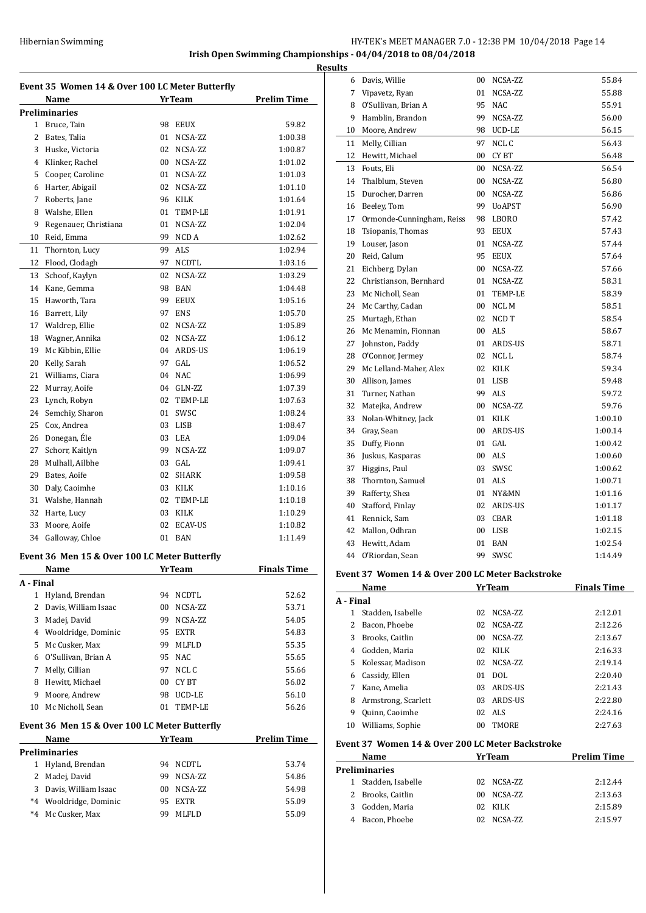# Hibernian Swimming **HY-TEK's MEET MANAGER 7.0 - 12:38 PM 10/04/2018** Page 14

**Irish Open Swimming Championships - 04/04/2018 to 08/04/2018**

|                | Name                  |                 | <b>YrTeam</b>  | <b>Prelim Time</b> |
|----------------|-----------------------|-----------------|----------------|--------------------|
|                | <b>Preliminaries</b>  |                 |                |                    |
| 1              | Bruce, Tain           | 98              | <b>EEUX</b>    | 59.82              |
| $\overline{c}$ | Bates, Talia          | 01              | NCSA-ZZ        | 1:00.38            |
| 3              | Huske, Victoria       | 02              | NCSA-ZZ        | 1:00.87            |
| $\overline{4}$ | Klinker. Rachel       | 00 <sup>1</sup> | NCSA-ZZ        | 1:01.02            |
| 5              | Cooper, Caroline      | 01              | NCSA-ZZ        | 1:01.03            |
| 6              | Harter, Abigail       | 02              | NCSA-ZZ        | 1:01.10            |
| 7              | Roberts, Jane         |                 | 96 KILK        | 1:01.64            |
| 8              | Walshe, Ellen         | 01              | TEMP-LE        | 1:01.91            |
| 9              | Regenauer, Christiana | 01              | NCSA-ZZ        | 1:02.04            |
| 10             | Reid, Emma            | 99              | NCD A          | 1:02.62            |
| 11             | Thornton, Lucy        | 99              | ALS            | 1:02.94            |
| 12             | Flood, Clodagh        | 97              | <b>NCDTL</b>   | 1:03.16            |
| 13             | Schoof, Kaylyn        | 02              | NCSA-ZZ        | 1:03.29            |
| 14             | Kane, Gemma           | 98              | <b>BAN</b>     | 1:04.48            |
| 15             | Haworth. Tara         | 99              | EEUX           | 1:05.16            |
| 16             | Barrett, Lily         | 97              | <b>ENS</b>     | 1:05.70            |
| 17             | Waldrep, Ellie        | 02              | NCSA-ZZ        | 1:05.89            |
| 18             | Wagner, Annika        | 02              | NCSA-ZZ        | 1:06.12            |
| 19             | Mc Kibbin, Ellie      | 04              | ARDS-US        | 1:06.19            |
| 20             | Kelly, Sarah          | 97              | GAL            | 1:06.52            |
| 21             | Williams, Ciara       | 04              | <b>NAC</b>     | 1:06.99            |
| 22             | Murray, Aoife         |                 | 04 GLN-ZZ      | 1:07.39            |
| 23             | Lynch, Robyn          | 02              | TEMP-LE        | 1:07.63            |
| 24             | Semchiy, Sharon       | 01              | SWSC           | 1:08.24            |
| 25             | Cox, Andrea           | 03              | LISB           | 1:08.47            |
| 26             | Donegan, Éle          | 03              | LEA            | 1:09.04            |
| 27             | Schorr, Kaitlyn       | 99.             | NCSA-ZZ        | 1:09.07            |
| 28             | Mulhall, Ailbhe       |                 | $03$ $GAI$     | 1:09.41            |
| 29             | Bates, Aoife          | 02              | <b>SHARK</b>   | 1:09.58            |
| 30             | Daly, Caoimhe         |                 | 03 KILK        | 1:10.16            |
| 31             | Walshe, Hannah        | 02              | TEMP-LE        | 1:10.18            |
| 32             | Harte, Lucy           | 03              | KILK           | 1:10.29            |
| 33             | Moore, Aoife          | 02              | <b>ECAV-US</b> | 1:10.82            |
| 34             | Galloway, Chloe       | 01              | <b>BAN</b>     | 1:11.49            |

#### **Event 36 Men 15 & Over 100 LC Meter Butterfly**

|           | Name                 | <b>YrTeam</b>      | <b>Finals Time</b> |
|-----------|----------------------|--------------------|--------------------|
| A - Final |                      |                    |                    |
| 1         | Hyland, Brendan      | NCDTL<br>94        | 52.62              |
| 2         | Davis. William Isaac | NCSA-ZZ<br>00      | 53.71              |
| 3         | Madej, David         | NCSA-ZZ<br>99      | 54.05              |
| 4         | Wooldridge, Dominic  | <b>EXTR</b><br>95  | 54.83              |
| 5         | Mc Cusker, Max       | <b>MLFLD</b><br>99 | 55.35              |
| 6         | O'Sullivan, Brian A  | 95 NAC             | 55.65              |
| 7         | Melly, Cillian       | NCL C<br>97        | 55.66              |
| 8         | Hewitt, Michael      | CY BT<br>00        | 56.02              |
| 9         | Moore, Andrew        | UCD-LE<br>98       | 56.10              |
| 10        | Mc Nicholl, Sean     | TEMP-LE<br>01      | 56.26              |
|           |                      |                    |                    |

#### **Event 36 Men 15 & Over 100 LC Meter Butterfly**

|      | EVEIL SO MEIL 15 & OVEL TOO LC MELEL BULLELIJV |                    |              |       |  |  |  |  |
|------|------------------------------------------------|--------------------|--------------|-------|--|--|--|--|
|      | <b>Name</b>                                    | <b>Prelim Time</b> |              |       |  |  |  |  |
|      | <b>Preliminaries</b>                           |                    |              |       |  |  |  |  |
|      | 1 Hyland, Brendan                              | 94                 | NCDTL        | 53.74 |  |  |  |  |
|      | 2 Madej, David                                 | 99                 | NCSA-ZZ      | 54.86 |  |  |  |  |
|      | 3 Davis, William Isaac                         | 00                 | NCSA-ZZ      | 54.98 |  |  |  |  |
| $*4$ | Wooldridge, Dominic                            | 95.                | <b>EXTR</b>  | 55.09 |  |  |  |  |
|      | *4 Mc Cusker, Max                              | 99                 | <b>MLFLD</b> | 55.09 |  |  |  |  |
|      |                                                |                    |              |       |  |  |  |  |

| <b>Results</b> |                           |        |               |         |
|----------------|---------------------------|--------|---------------|---------|
|                | 6 Davis, Willie           |        | 00 NCSA-ZZ    | 55.84   |
| 7              | Vipavetz, Ryan            | 01     | NCSA-ZZ       | 55.88   |
| 8              | O'Sullivan, Brian A       |        | 95 NAC        | 55.91   |
|                | 9 Hamblin, Brandon        | 99     | NCSA-ZZ       | 56.00   |
|                | 10 Moore, Andrew          | 98     | UCD-LE        | 56.15   |
| 11             | Melly, Cillian            | 97     | NCL C         | 56.43   |
| 12             | Hewitt, Michael           | $00\,$ | CY BT         | 56.48   |
|                | 13 Fouts, Eli             | $00\,$ | NCSA-ZZ       | 56.54   |
| 14             | Thalblum, Steven          |        | 00 NCSA-ZZ    | 56.80   |
|                | 15 Durocher, Darren       |        | 00 NCSA-ZZ    | 56.86   |
|                | 16 Beeley, Tom            | 99     | <b>UoAPST</b> | 56.90   |
| 17             | Ormonde-Cunningham, Reiss |        | 98 LBORO      | 57.42   |
| 18             | Tsiopanis, Thomas         |        | 93 EEUX       | 57.43   |
|                | 19 Louser, Jason          | 01     | NCSA-ZZ       | 57.44   |
| 20             | Reid, Calum               |        | 95 EEUX       | 57.64   |
|                | 21 Eichberg, Dylan        |        | 00 NCSA-ZZ    | 57.66   |
|                | 22 Christianson, Bernhard |        | 01 NCSA-ZZ    | 58.31   |
| 23             | Mc Nicholl, Sean          |        | 01 TEMP-LE    | 58.39   |
| 24             | Mc Carthy, Cadan          |        | 00 NCLM       | 58.51   |
| 25             | Murtagh, Ethan            |        | 02 NCD T      | 58.54   |
|                | 26 Mc Menamin, Fionnan    |        | 00 ALS        | 58.67   |
| 27             | Johnston, Paddy           |        | 01 ARDS-US    | 58.71   |
|                | 28 O'Connor, Jermey       |        | 02 NCLL       | 58.74   |
|                | 29 Mc Lelland-Maher, Alex |        | 02 KILK       | 59.34   |
|                | 30 Allison, James         |        | 01 LISB       | 59.48   |
| 31             | Turner, Nathan            |        | 99 ALS        | 59.72   |
| 32             | Matejka, Andrew           |        | 00 NCSA-ZZ    | 59.76   |
| 33             | Nolan-Whitney, Jack       |        | 01 KILK       | 1:00.10 |
| 34             | Gray, Sean                |        | 00 ARDS-US    | 1:00.14 |
| 35             | Duffy, Fionn              |        | 01 GAL        | 1:00.42 |
| 36             | Juskus, Kasparas          |        | 00 ALS        | 1:00.60 |
| 37             | Higgins, Paul             |        | 03 SWSC       | 1:00.62 |
| 38             | Thornton, Samuel          |        | 01 ALS        | 1:00.71 |
| 39             | Rafferty, Shea            |        | 01 NY&MN      | 1:01.16 |
|                | 40 Stafford, Finlay       |        | 02 ARDS-US    | 1:01.17 |
|                | 41 Rennick, Sam           |        | 03 CBAR       | 1:01.18 |
| 42             | Mallon, Odhran            |        | 00 LISB       | 1:02.15 |
| 43             | Hewitt. Adam              |        | 01 BAN        | 1:02.54 |
| 44             | O'Riordan, Sean           |        | 99 SWSC       | 1:14.49 |

#### **Event 37 Women 14 & Over 200 LC Meter Backstroke**

|    | Name                                             |                 | <b>YrTeam</b>  | <b>Finals Time</b> |  |  |  |
|----|--------------------------------------------------|-----------------|----------------|--------------------|--|--|--|
|    | A - Final                                        |                 |                |                    |  |  |  |
|    | Stadden, Isabelle                                | 02              | NCSA-ZZ        | 2:12.01            |  |  |  |
| 2  | Bacon, Phoebe                                    | 02              | NCSA-ZZ        | 2:12.26            |  |  |  |
| 3  | Brooks, Caitlin                                  | 00              | NCSA-ZZ        | 2:13.67            |  |  |  |
| 4  | Godden, Maria                                    | 02              | <b>KILK</b>    | 2:16.33            |  |  |  |
|    | 5 Kolessar, Madison                              | 02              | NCSA-ZZ        | 2:19.14            |  |  |  |
| 6  | Cassidy, Ellen                                   | 01              | DOL.           | 2:20.40            |  |  |  |
| 7  | Kane, Amelia                                     | 03              | <b>ARDS-US</b> | 2:21.43            |  |  |  |
| 8  | Armstrong, Scarlett                              | 03              | ARDS-US        | 2:22.80            |  |  |  |
| 9  | Quinn, Caoimhe                                   | 02              | ALS.           | 2:24.16            |  |  |  |
| 10 | Williams, Sophie                                 | 00 <sup>1</sup> | <b>TMORE</b>   | 2:27.63            |  |  |  |
|    | Evant 27 Waman 14 & Over 200 LC Motor Rackstroke |                 |                |                    |  |  |  |

#### **Event 37 Women 14 & Over 200 LC Meter Backstroke**

|    | Name                | YrTeam     |         | <b>Prelim Time</b> |
|----|---------------------|------------|---------|--------------------|
|    | Preliminaries       |            |         |                    |
|    | 1 Stadden, Isabelle | 02 NCSA-ZZ |         | 2:12.44            |
|    | 2 Brooks, Caitlin   | 00.        | NCSA-ZZ | 2:13.63            |
| 3. | Godden, Maria       | 02 KILK    |         | 2:15.89            |
|    | Bacon, Phoebe       |            | NCSA-ZZ | 2:15.97            |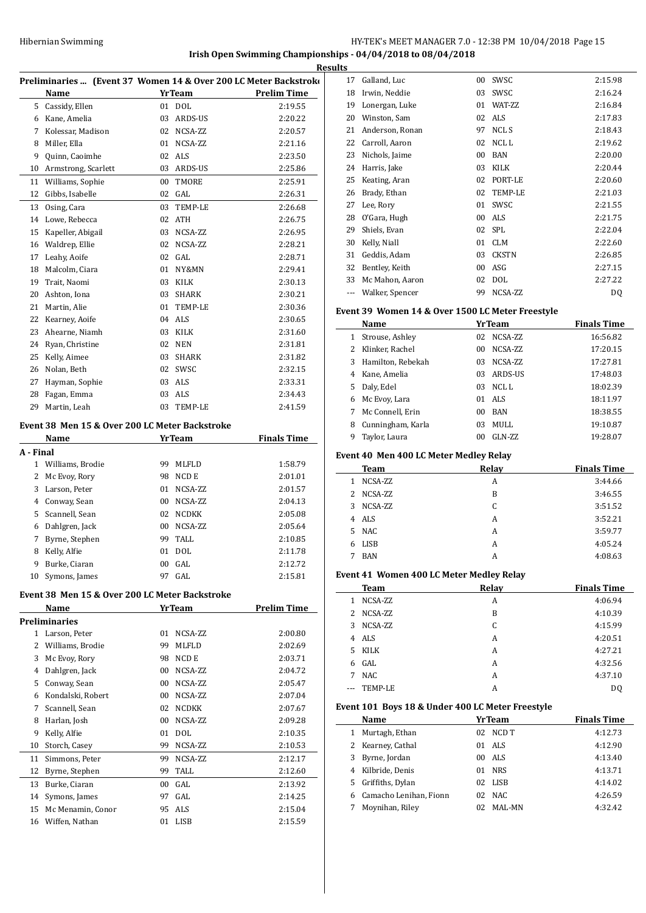### **Irish Open Swimming Championships - 04/04/2018 to 08/04/2018**

 $\overline{a}$ 

|           | Preliminaries  (Event 37 Women 14 & Over 200 LC Meter Backstroko |    |               |                    |  |  |
|-----------|------------------------------------------------------------------|----|---------------|--------------------|--|--|
|           | Name                                                             |    | <b>YrTeam</b> | <b>Prelim Time</b> |  |  |
| 5         | Cassidy, Ellen                                                   |    | 01 DOL        | 2:19.55            |  |  |
| 6         | Kane, Amelia                                                     | 03 | ARDS-US       | 2:20.22            |  |  |
| 7         | Kolessar, Madison                                                | 02 | NCSA-ZZ       | 2:20.57            |  |  |
| 8         | Miller, Ella                                                     | 01 | NCSA-ZZ       | 2:21.16            |  |  |
| 9         | Quinn, Caoimhe                                                   | 02 | <b>ALS</b>    | 2:23.50            |  |  |
| 10        | Armstrong, Scarlett                                              | 03 | ARDS-US       | 2:25.86            |  |  |
| 11        | Williams, Sophie                                                 | 00 | TMORE         | 2:25.91            |  |  |
| 12        | Gibbs, Isabelle                                                  | 02 | GAL           | 2:26.31            |  |  |
| 13        | Osing, Cara                                                      | 03 | TEMP-LE       | 2:26.68            |  |  |
| 14        | Lowe, Rebecca                                                    | 02 | <b>ATH</b>    | 2:26.75            |  |  |
| 15        | Kapeller, Abigail                                                | 03 | NCSA-ZZ       | 2:26.95            |  |  |
| 16        | Waldrep, Ellie                                                   | 02 | NCSA-ZZ       | 2:28.21            |  |  |
| 17        | Leahy, Aoife                                                     | 02 | GAL           | 2:28.71            |  |  |
| 18        | Malcolm, Ciara                                                   | 01 | NY&MN         | 2:29.41            |  |  |
| 19        | Trait, Naomi                                                     | 03 | <b>KILK</b>   | 2:30.13            |  |  |
| 20        | Ashton, Iona                                                     | 03 | <b>SHARK</b>  | 2:30.21            |  |  |
| 21        | Martin, Alie                                                     | 01 | TEMP-LE       | 2:30.36            |  |  |
| 22        | Kearney, Aoife                                                   | 04 | ALS           | 2:30.65            |  |  |
| 23        | Ahearne, Niamh                                                   | 03 | KILK          | 2:31.60            |  |  |
| 24        | Ryan, Christine                                                  | 02 | <b>NEN</b>    | 2:31.81            |  |  |
| 25        | Kelly, Aimee                                                     | 03 | <b>SHARK</b>  | 2:31.82            |  |  |
| 26        | Nolan, Beth                                                      | 02 | SWSC          | 2:32.15            |  |  |
| 27        | Hayman, Sophie                                                   | 03 | <b>ALS</b>    | 2:33.31            |  |  |
| 28        | Fagan, Emma                                                      | 03 | <b>ALS</b>    | 2:34.43            |  |  |
| 29        | Martin, Leah                                                     | 03 | TEMP-LE       | 2:41.59            |  |  |
|           | Event 38 Men 15 & Over 200 LC Meter Backstroke                   |    |               |                    |  |  |
|           | Name                                                             |    | <b>YrTeam</b> | <b>Finals Time</b> |  |  |
| A - Final |                                                                  |    |               |                    |  |  |
|           | 1 Williams, Brodie                                               | 99 | <b>MLFLD</b>  | 1:58.79            |  |  |
|           | 2 McCycy Domr                                                    |    | $00$ $NCDE$   | 2.01.01            |  |  |

|    | 2 Mc Evoy, Rory  | 98              | NCD E        | 2:01.01 |
|----|------------------|-----------------|--------------|---------|
| 3  | Larson, Peter    | 01              | NCSA-ZZ      | 2:01.57 |
|    | 4 Conway, Sean   | 00              | NCSA-ZZ      | 2:04.13 |
|    | 5 Scannell, Sean | 02              | <b>NCDKK</b> | 2:05.08 |
| 6  | Dahlgren, Jack   | 00 <sup>1</sup> | NCSA-ZZ      | 2:05.64 |
| 7  | Byrne, Stephen   | 99              | TALL         | 2:10.85 |
| 8  | Kelly, Alfie     | 01              | DOL          | 2:11.78 |
| 9  | Burke, Ciaran    | 00 <sup>1</sup> | GAL.         | 2:12.72 |
| 10 | Symons, James    | 97              | GAL.         | 2:15.81 |

#### **Event 38 Men 15 & Over 200 LC Meter Backstroke**

|    | Name                 |    | <b>YrTeam</b> | <b>Prelim Time</b> |
|----|----------------------|----|---------------|--------------------|
|    | <b>Preliminaries</b> |    |               |                    |
| 1  | Larson, Peter        | 01 | NCSA-ZZ       | 2:00.80            |
| 2  | Williams, Brodie     | 99 | <b>MLFLD</b>  | 2:02.69            |
| 3  | Mc Evoy, Rory        | 98 | NCD E         | 2:03.71            |
| 4  | Dahlgren, Jack       | 00 | NCSA-ZZ       | 2:04.72            |
| 5  | Conway, Sean         | 00 | NCSA-ZZ       | 2:05.47            |
| 6  | Kondalski, Robert    | 00 | NCSA-ZZ       | 2:07.04            |
| 7  | Scannell, Sean       | 02 | <b>NCDKK</b>  | 2:07.67            |
| 8  | Harlan, Josh         | 00 | NCSA-ZZ       | 2:09.28            |
| 9  | Kelly, Alfie         | 01 | <b>DOL</b>    | 2:10.35            |
| 10 | Storch, Casey        | 99 | NCSA-ZZ       | 2:10.53            |
| 11 | Simmons, Peter       | 99 | NCSA-ZZ       | 2:12.17            |
| 12 | Byrne, Stephen       | 99 | TALL          | 2:12.60            |
| 13 | Burke, Ciaran        | 00 | GAL           | 2:13.92            |
| 14 | Symons, James        | 97 | GAL           | 2:14.25            |
| 15 | Mc Menamin, Conor    | 95 | <b>ALS</b>    | 2:15.04            |
| 16 | Wiffen, Nathan       | 01 | <b>LISB</b>   | 2:15.59            |
|    |                      |    |               |                    |

|    | <b>Results</b> |                 |        |                 |         |
|----|----------------|-----------------|--------|-----------------|---------|
| K٢ | 17             | Galland, Luc    | $00\,$ | SWSC            | 2:15.98 |
| -  | 18             | Irwin, Neddie   | 03     | SWSC            | 2:16.24 |
|    | 19             | Lonergan, Luke  | 01     | <b>WAT-7.7.</b> | 2:16.84 |
|    | 20             | Winston, Sam    | 02     | ALS             | 2:17.83 |
|    | 21             | Anderson, Ronan | 97     | NCL S           | 2:18.43 |
|    | 22             | Carroll, Aaron  | 02     | NCL L           | 2:19.62 |
|    | 23             | Nichols, Jaime  | 00     | <b>BAN</b>      | 2:20.00 |
|    | 24             | Harris, Jake    | 03     | <b>KILK</b>     | 2:20.44 |
|    | 25             | Keating, Aran   | 02     | PORT-LE         | 2:20.60 |
|    | 26             | Brady, Ethan    | 02     | <b>TEMP-LE</b>  | 2:21.03 |
|    | 27             | Lee, Rory       | 01     | SWSC            | 2:21.55 |
|    | 28             | O'Gara, Hugh    | $00\,$ | ALS             | 2:21.75 |
|    | 29             | Shiels, Evan    | 02     | <b>SPL</b>      | 2:22.04 |
|    | 30             | Kelly, Niall    | 01     | <b>CLM</b>      | 2:22.60 |
|    | 31             | Geddis, Adam    | 03     | <b>CKSTN</b>    | 2:26.85 |
|    | 32             | Bentley, Keith  | 00     | ASG             | 2:27.15 |
|    | 33             | Mc Mahon, Aaron | 02     | <b>DOL</b>      | 2:27.22 |
|    |                | Walker, Spencer | 99     | NCSA-ZZ         | DQ      |

#### **Event 39 Women 14 & Over 1500 LC Meter Freestyle**

|    | Name              |                 | <b>YrTeam</b> | <b>Finals Time</b> |
|----|-------------------|-----------------|---------------|--------------------|
| 1  | Strouse, Ashley   | 02              | NCSA-ZZ       | 16:56.82           |
|    | Klinker, Rachel   | 00 <sup>1</sup> | NCSA-ZZ       | 17:20.15           |
| 3  | Hamilton, Rebekah | 03              | NCSA-ZZ       | 17:27.81           |
| 4  | Kane, Amelia      | 03              | ARDS-US       | 17:48.03           |
| 5. | Daly, Edel        | 03              | NCL L         | 18:02.39           |
| 6  | Mc Evoy, Lara     | 01              | ALS           | 18:11.97           |
|    | Mc Connell, Erin  | 00 <sup>1</sup> | <b>BAN</b>    | 18:38.55           |
| 8  | Cunningham, Karla | 03              | MULL          | 19:10.87           |
| 9  | Taylor, Laura     | 00              | $GLN-ZZ$      | 19:28.07           |

#### **Event 40 Men 400 LC Meter Medley Relay**

| <b>Team</b>      | Relay | <b>Finals Time</b> |
|------------------|-------|--------------------|
| NCSA-ZZ<br>1     | A     | 3:44.66            |
| 2 NCSA-ZZ        | B     | 3:46.55            |
| NCSA-ZZ<br>3.    | C     | 3:51.52            |
| 4 ALS            | А     | 3:52.21            |
| <b>NAC</b><br>5. | A     | 3:59.77            |
| <b>LISB</b><br>6 | А     | 4:05.24            |
| <b>BAN</b>       | А     | 4:08.63            |

#### **Event 41 Women 400 LC Meter Medley Relay**

|   | <b>Team</b> | Relay | <b>Finals Time</b> |
|---|-------------|-------|--------------------|
| 1 | NCSA-ZZ     | A     | 4:06.94            |
| 2 | NCSA-ZZ     | B     | 4:10.39            |
| 3 | NCSA-ZZ     | C     | 4:15.99            |
|   | 4 ALS       | A     | 4:20.51            |
|   | 5 KILK      | A     | 4:27.21            |
|   | 6 GAL       | A     | 4:32.56            |
| 7 | <b>NAC</b>  | A     | 4:37.10            |
|   | --- TEMP-LE | А     | D <sub>0</sub>     |

## **Event 101 Boys 18 & Under 400 LC Meter Freestyle**

|    | Name                     | <b>YrTeam</b>    | <b>Finals Time</b> |
|----|--------------------------|------------------|--------------------|
| 1  | Murtagh, Ethan           | NCD T<br>02      | 4:12.73            |
|    | 2 Kearney, Cathal        | 01 ALS           | 4:12.90            |
| 3  | Byrne, Jordan            | ALS<br>00        | 4:13.40            |
|    | 4 Kilbride, Denis        | <b>NRS</b><br>01 | 4:13.71            |
| 5. | Griffiths, Dylan         | LISB<br>02       | 4:14.02            |
|    | 6 Camacho Lenihan, Fionn | NAC.<br>02.      | 4:26.59            |
|    | Moynihan, Riley          | MAL-MN           | 4:32.42            |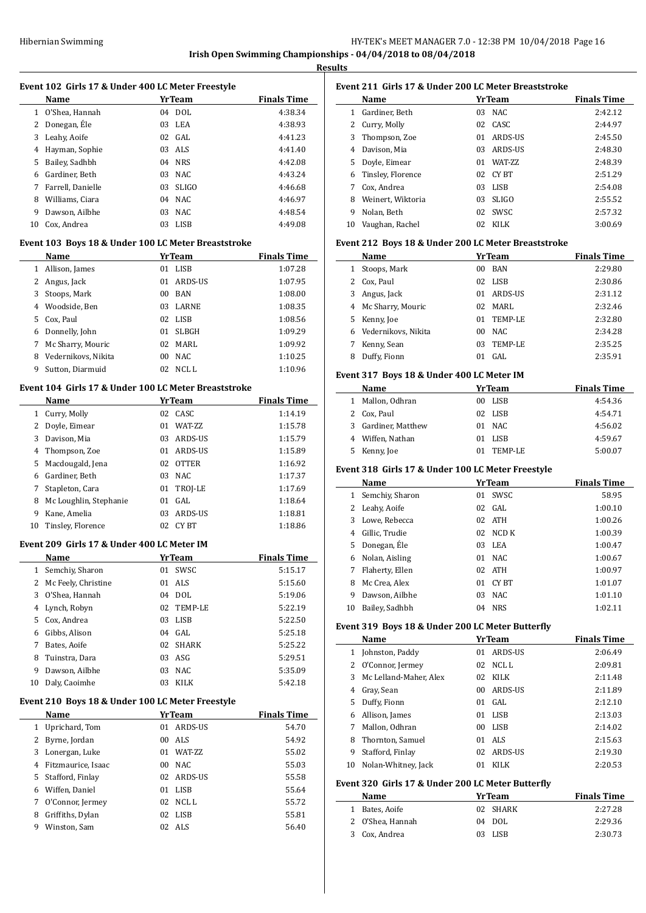## HY-TEK's MEET MANAGER 7.0 - 12:38 PM 10/04/2018 Page 16 **Irish Open Swimming Championships - 04/04/2018 to 08/04/2018**

**Results**

 $\overline{a}$ 

| Event 102 Girls 17 & Under 400 LC Meter Freestyle |  |  |  |  |  |
|---------------------------------------------------|--|--|--|--|--|
|---------------------------------------------------|--|--|--|--|--|

|    | Name              |    | YrTeam       | <b>Finals Time</b> |
|----|-------------------|----|--------------|--------------------|
|    | 1 O'Shea, Hannah  |    | $04$ DOL     | 4:38.34            |
| 2  | Donegan, Éle      |    | 03 LEA       | 4:38.93            |
| 3  | Leahy, Aoife      |    | $02$ GAL     | 4:41.23            |
| 4  | Hayman, Sophie    |    | 03 ALS       | 4:41.40            |
| 5  | Bailey, Sadhbh    |    | 04 NRS       | 4:42.08            |
| 6  | Gardiner. Beth    |    | $03$ NAC     | 4:43.24            |
| 7  | Farrell, Danielle | 03 | <b>SLIGO</b> | 4:46.68            |
| 8  | Williams, Ciara   |    | $04$ NAC     | 4:46.97            |
| 9  | Dawson, Ailbhe    | 03 | NAC.         | 4:48.54            |
| 10 | Cox, Andrea       | 03 | LISB         | 4:49.08            |

#### **Event 103 Boys 18 & Under 100 LC Meter Breaststroke**

|    | Name                |     | YrTeam       | <b>Finals Time</b> |
|----|---------------------|-----|--------------|--------------------|
| 1  | Allison, James      | 01  | LISB         | 1:07.28            |
| 2  | Angus, Jack         | 01  | ARDS-US      | 1:07.95            |
| 3  | Stoops, Mark        | 00  | <b>BAN</b>   | 1:08.00            |
| 4  | Woodside, Ben       | 03  | <b>LARNE</b> | 1:08.35            |
| 5. | Cox, Paul           |     | 02 LISB      | 1:08.56            |
| 6  | Donnelly, John      | 01  | <b>SLBGH</b> | 1:09.29            |
| 7  | Mc Sharry, Mouric   | 02. | MARI.        | 1:09.92            |
| 8  | Vedernikovs, Nikita | 00  | NAC.         | 1:10.25            |
| 9  | Sutton, Diarmuid    | 02  | NCL L        | 1:10.96            |

### **Event 104 Girls 17 & Under 100 LC Meter Breaststroke**

|    | Name                   |    | <b>YrTeam</b>   | <b>Finals Time</b> |
|----|------------------------|----|-----------------|--------------------|
| 1  | Curry, Molly           |    | 02 CASC         | 1:14.19            |
| 2  | Doyle, Eimear          | 01 | <b>WAT-7.7.</b> | 1:15.78            |
| 3  | Davison, Mia           | 03 | ARDS-US         | 1:15.79            |
| 4  | Thompson, Zoe          | 01 | ARDS-US         | 1:15.89            |
| 5. | Macdougald, Jena       | 02 | <b>OTTER</b>    | 1:16.92            |
| 6  | Gardiner, Beth         | 03 | NAC             | 1:17.37            |
| 7  | Stapleton, Cara        |    | 01 TROJ-LE      | 1:17.69            |
| 8  | Mc Loughlin, Stephanie | 01 | GAL             | 1:18.64            |
| 9  | Kane, Amelia           | 03 | ARDS-US         | 1:18.81            |
| 10 | Tinsley, Florence      | 02 | CY BT           | 1:18.86            |

#### **Event 209 Girls 17 & Under 400 LC Meter IM**

|    | Name                |    | YrTeam     | <b>Finals Time</b> |
|----|---------------------|----|------------|--------------------|
| 1  | Semchiy, Sharon     | 01 | SWSC       | 5:15.17            |
| 2  | Mc Feely, Christine | 01 | ALS.       | 5:15.60            |
| 3  | O'Shea, Hannah      | 04 | DOL.       | 5:19.06            |
| 4  | Lynch, Robyn        |    | 02 TEMP-LE | 5:22.19            |
| 5  | Cox, Andrea         | 03 | LISB       | 5:22.50            |
| 6  | Gibbs, Alison       |    | $04$ GAL   | 5:25.18            |
| 7  | Bates, Aoife        |    | 02 SHARK   | 5:25.22            |
| 8  | Tuinstra, Dara      | 03 | ASG        | 5:29.51            |
| 9  | Dawson, Ailbhe      | 03 | NAC.       | 5:35.09            |
| 10 | Daly, Caoimhe       | 03 | KILK       | 5:42.18            |

#### **Event 210 Boys 18 & Under 100 LC Meter Freestyle**

|   | Name               |     | <b>YrTeam</b>   | <b>Finals Time</b> |
|---|--------------------|-----|-----------------|--------------------|
| 1 | Uprichard, Tom     | 01  | ARDS-US         | 54.70              |
| 2 | Byrne, Jordan      | 00  | ALS             | 54.92              |
| 3 | Lonergan, Luke     | 01  | <b>WAT-7.7.</b> | 55.02              |
| 4 | Fitzmaurice, Isaac | 00  | NAC.            | 55.03              |
| 5 | Stafford, Finlay   | 02  | ARDS-US         | 55.58              |
| 6 | Wiffen, Daniel     | 01  | LISB            | 55.64              |
| 7 | O'Connor, Jermey   |     | $02$ NCLL       | 55.72              |
| 8 | Griffiths, Dylan   | 02  | LISB            | 55.81              |
| 9 | Winston, Sam       | 02. | - ALS           | 56.40              |

|              | Event 211 Girls 17 & Under 200 LC Meter Breaststroke |               |                 |                    |  |
|--------------|------------------------------------------------------|---------------|-----------------|--------------------|--|
|              | Name                                                 | <b>YrTeam</b> |                 | <b>Finals Time</b> |  |
| 1.           | Gardiner, Beth                                       | 03            | NAC.            | 2:42.12            |  |
| $\mathbf{Z}$ | Curry, Molly                                         | 02            | CASC.           | 2:44.97            |  |
| 3            | Thompson, Zoe                                        | 01            | ARDS-US         | 2:45.50            |  |
| 4            | Davison, Mia                                         | 03            | ARDS-US         | 2:48.30            |  |
| 5.           | Doyle, Eimear                                        | 01            | <b>WAT-7.7.</b> | 2:48.39            |  |
| 6            | Tinsley, Florence                                    | 02            | CY BT           | 2:51.29            |  |
| 7            | Cox, Andrea                                          | 03            | LISB            | 2:54.08            |  |
| 8            | Weinert, Wiktoria                                    | 03            | <b>SLIGO</b>    | 2:55.52            |  |
| 9            | Nolan, Beth                                          | 02            | SWSC            | 2:57.32            |  |
| 10           | Vaughan, Rachel                                      | 02            | KILK            | 3:00.69            |  |

#### **Event 212 Boys 18 & Under 200 LC Meter Breaststroke**

|    | Name                  | <b>YrTeam</b>           | <b>Finals Time</b> |
|----|-----------------------|-------------------------|--------------------|
| 1  | Stoops, Mark          | <b>BAN</b><br>00        | 2:29.80            |
|    | 2 Cox, Paul           | LISB<br>02              | 2:30.86            |
| 3. | Angus, Jack           | ARDS-US<br>01.          | 2:31.12            |
|    | 4 Mc Sharry, Mouric   | MARL<br>02              | 2:32.46            |
|    | 5 Kenny, Joe          | TEMP-LE<br>01           | 2:32.80            |
|    | 6 Vedernikovs, Nikita | NAC.<br>00 <sup>1</sup> | 2:34.28            |
|    | Kenny, Sean           | TEMP-LE<br>03           | 2:35.25            |
| 8  | Duffy, Fionn          | GAL.<br>01              | 2:35.91            |

#### **Event 317 Boys 18 & Under 400 LC Meter IM**

|   | Name                | YrTeam        | <b>Finals Time</b> |
|---|---------------------|---------------|--------------------|
| 1 | Mallon, Odhran      | 00 LISB       | 4:54.36            |
|   | 2 Cox, Paul         | 02 LISB       | 4:54.71            |
|   | 3 Gardiner, Matthew | 01 NAC        | 4:56.02            |
|   | 4 Wiffen, Nathan    | 01 LISB       | 4:59.67            |
|   | 5 Kenny, Joe        | TEMP-LE<br>01 | 5:00.07            |

#### **Event 318 Girls 17 & Under 100 LC Meter Freestyle**

|    | Name            |    | YrTeam      | <b>Finals Time</b> |
|----|-----------------|----|-------------|--------------------|
| 1  | Semchiy, Sharon | 01 | <b>SWSC</b> | 58.95              |
| 2  | Leahy, Aoife    |    | $02$ GAL    | 1:00.10            |
| 3  | Lowe, Rebecca   |    | 02 ATH      | 1:00.26            |
| 4  | Gillic, Trudie  | 02 | NCD K       | 1:00.39            |
| 5. | Donegan, Éle    | 03 | LEA         | 1:00.47            |
| 6  | Nolan, Aisling  | 01 | NAC.        | 1:00.67            |
| 7  | Flaherty, Ellen |    | 02 ATH      | 1:00.97            |
| 8  | Mc Crea, Alex   | 01 | CY BT       | 1:01.07            |
| 9  | Dawson, Ailbhe  | 03 | NAC.        | 1:01.10            |
| 10 | Bailey, Sadhbh  | 04 | <b>NRS</b>  | 1:02.11            |

## **Event 319 Boys 18 & Under 200 LC Meter Butterfly**

|    | Name                   |    | YrTeam      | <b>Finals Time</b> |
|----|------------------------|----|-------------|--------------------|
| 1  | Johnston, Paddy        | 01 | ARDS-US     | 2:06.49            |
| 2  | O'Connor, Jermey       | 02 | NCL L       | 2:09.81            |
| 3  | Mc Lelland-Maher, Alex | 02 | KILK        | 2:11.48            |
| 4  | Gray, Sean             | 00 | ARDS-US     | 2:11.89            |
| 5. | Duffy, Fionn           | 01 | GAL.        | 2:12.10            |
| 6  | Allison, James         | 01 | <b>LISB</b> | 2:13.03            |
|    | Mallon, Odhran         | 00 | LISB        | 2:14.02            |
| 8  | Thornton, Samuel       | 01 | ALS.        | 2:15.63            |
| 9  | Stafford, Finlay       | 02 | ARDS-US     | 2:19.30            |
| 10 | Nolan-Whitney, Jack    | 01 | KILK        | 2:20.53            |

#### **Event 320 Girls 17 & Under 200 LC Meter Butterfly**

| Name             | <b>YrTeam</b> | <b>Finals Time</b> |
|------------------|---------------|--------------------|
| 1 Bates, Aoife   | 02 SHARK      | 2:27.28            |
| 2 O'Shea, Hannah | $04$ DOL      | 2:29.36            |
| 3 Cox, Andrea    | 03 LISB       | 2:30.73            |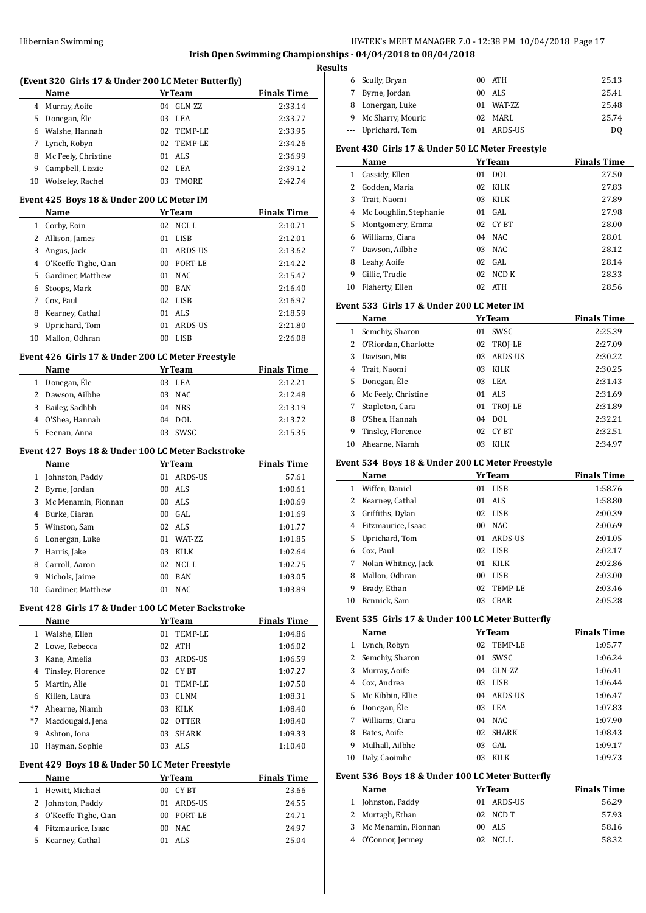## Hibernian Swimming **HY-TEK's MEET MANAGER 7.0 - 12:38 PM 10/04/2018** Page 17

#### **Irish Open Swimming Championships - 04/04/2018 to 08/04/2018**

|    | (Event 320 Girls 17 & Under 200 LC Meter Butterfly)        |               |                           |                    |
|----|------------------------------------------------------------|---------------|---------------------------|--------------------|
|    | Name                                                       |               | YrTeam                    | <b>Finals Time</b> |
|    | 4 Murray, Aoife                                            |               | 04 GLN-ZZ                 | 2:33.14            |
|    | 5 Donegan, Éle                                             | 03 LEA        |                           | 2:33.77            |
|    | 6 Walshe, Hannah                                           |               | 02 TEMP-LE                | 2:33.95            |
|    | 7 Lynch, Robyn                                             |               | 02 TEMP-LE                | 2:34.26            |
|    | 8 Mc Feely, Christine                                      | 01 ALS        |                           | 2:36.99            |
|    | 9 Campbell, Lizzie                                         | 02 LEA        |                           | 2:39.12            |
|    | 10 Wolseley, Rachel                                        |               | 03 TMORE                  | 2:42.74            |
|    | Event 425 Boys 18 & Under 200 LC Meter IM                  |               |                           |                    |
|    | Name                                                       |               | <b>YrTeam</b> Finals Time |                    |
|    | 1 Corby, Eoin                                              |               | 02 NCLL                   | 2:10.71            |
|    | 2 Allison, James                                           | 01 LISB       |                           | 2:12.01            |
|    | 3 Angus, Jack                                              |               | 01 ARDS-US                | 2:13.62            |
|    | 4 O'Keeffe Tighe, Cian                                     |               | 00 PORT-LE                | 2:14.22            |
|    | 5 Gardiner, Matthew                                        | 01 NAC        |                           | 2:15.47            |
|    | 6 Stoops, Mark                                             | $00$ BAN      |                           | 2:16.40            |
|    | 7 Cox, Paul                                                | 02 LISB       |                           | 2:16.97            |
|    | 8 Kearney, Cathal                                          | 01 ALS        |                           | 2:18.59            |
|    | 9 Uprichard, Tom                                           |               | 01 ARDS-US                | 2:21.80            |
|    | 10 Mallon. Odhran                                          | 00 LISB       |                           | 2:26.08            |
|    | Event 426 Girls 17 & Under 200 LC Meter Freestyle          |               |                           |                    |
|    | Name                                                       |               | YrTeam                    | <b>Finals Time</b> |
|    | 1 Donegan, Éle                                             | 03 LEA        |                           | 2:12.21            |
|    | 2 Dawson, Ailbhe                                           | 03 NAC        |                           | 2:12.48            |
|    | 3 Bailey, Sadhbh                                           | 04 NRS        |                           | 2:13.19            |
|    | 4 O'Shea, Hannah                                           | 04 DOL        |                           | 2:13.72            |
|    | 5 Feenan, Anna                                             |               | 03 SWSC                   | 2:15.35            |
|    | Event 427 Boys 18 & Under 100 LC Meter Backstroke          |               |                           |                    |
|    | Name                                                       | <b>YrTeam</b> |                           | <b>Finals Time</b> |
|    | 1 Johnston, Paddy                                          |               | 01 ARDS-US                | 57.61              |
|    | 2 Byrne, Jordan                                            | 00 ALS        |                           | 1:00.61            |
|    | 3 Mc Menamin, Fionnan                                      | 00 ALS        |                           | 1:00.69            |
|    | 4 Burke, Ciaran                                            | 00 GAL        |                           | 1:01.69            |
|    | 5 Winston, Sam                                             | 02 ALS        |                           | 1:01.77            |
|    | 6 Lonergan, Luke                                           |               | 01 WAT-ZZ                 | 1:01.85            |
| 7  | Harris, Jake                                               | 03 KILK       |                           | 1:02.64            |
| 8  | Carroll, Aaron                                             | 02            | NCL L                     | 1:02.75            |
| 9  | Nichols, Jaime                                             | 00<br>01 NAC  | <b>BAN</b>                | 1:03.05            |
| 10 | Gardiner, Matthew                                          |               |                           | 1:03.89            |
|    | Event 428 Girls 17 & Under 100 LC Meter Backstroke<br>Name | <b>YrTeam</b> |                           | <b>Finals Time</b> |
|    | 1 Walshe, Ellen                                            | 01            | TEMP-LE                   | 1:04.86            |
|    | 2 Lowe, Rebecca                                            | 02 ATH        |                           | 1:06.02            |
|    | 3 Kane, Amelia                                             |               | 03 ARDS-US                | 1:06.59            |
|    | 4 Tinsley, Florence                                        |               | 02 CYBT                   | 1:07.27            |
| 5  | Martin, Alie                                               | 01            | TEMP-LE                   | 1:07.50            |
|    | 6 Killen, Laura                                            | 03            | CLNM                      | 1:08.31            |
| *7 | Ahearne, Niamh                                             | 03            | KILK                      | 1:08.40            |
| *7 | Macdougald, Jena                                           | 02            | OTTER                     | 1:08.40            |
| 9  | Ashton, Iona                                               | 03            | SHARK                     | 1:09.33            |
| 10 | Hayman, Sophie                                             | 03 ALS        |                           | 1:10.40            |
|    | Event 429 Boys 18 & Under 50 LC Meter Freestyle            |               |                           |                    |
|    | Name                                                       | <b>YrTeam</b> |                           | <b>Finals Time</b> |
| 1  | Hewitt, Michael                                            |               | 00 CYBT                   | 23.66              |
|    | 2 Johnston, Paddy                                          |               | 01 ARDS-US                | 24.55              |
| 3  | O'Keeffe Tighe, Cian                                       |               | 00 PORT-LE                | 24.71              |
|    | 4 Fitzmaurice, Isaac                                       | 00 NAC        |                           | 24.97              |

Kearney, Cathal 01 ALS 25.04

| .s |                     |    |           |       |
|----|---------------------|----|-----------|-------|
|    | 6 Scully, Bryan     |    | 00 ATH    | 25.13 |
| 7  | Byrne, Jordan       |    | 00 ALS    | 25.41 |
| 8  | Lonergan, Luke      |    | 01 WAT-ZZ | 25.48 |
|    | 9 Mc Sharry, Mouric |    | 02 MARL   | 25.74 |
|    | --- Uprichard, Tom  | 01 | ARDS-US   | DO    |

## **Event 430 Girls 17 & Under 50 LC Meter Freestyle**

|    | Name                     |    | <b>YrTeam</b> | <b>Finals Time</b> |
|----|--------------------------|----|---------------|--------------------|
| 1  | Cassidy, Ellen           | 01 | DOL.          | 27.50              |
|    | Godden. Maria            | 02 | <b>KILK</b>   | 27.83              |
| 3  | Trait, Naomi             | 03 | KILK          | 27.89              |
|    | 4 Mc Loughlin, Stephanie | 01 | GAL.          | 27.98              |
| 5  | Montgomery, Emma         | 02 | CY BT         | 28.00              |
| 6  | Williams. Ciara          | 04 | NAC.          | 28.01              |
|    | Dawson, Ailbhe           | 03 | NAC.          | 28.12              |
| 8  | Leahy, Aoife             |    | $02$ GAL      | 28.14              |
| 9  | Gillic, Trudie           | 02 | NCD K         | 28.33              |
| 10 | Flaherty, Ellen          | 02 | <b>ATH</b>    | 28.56              |

## **Event 533 Girls 17 & Under 200 LC Meter IM**

|    | Name                   |    | <b>YrTeam</b> | <b>Finals Time</b> |  |  |
|----|------------------------|----|---------------|--------------------|--|--|
|    | Semchiy, Sharon        | 01 | SWSC.         | 2:25.39            |  |  |
|    | 2 O'Riordan, Charlotte |    | 02 TROJ-LE    | 2:27.09            |  |  |
| 3  | Davison, Mia           | 03 | ARDS-US       | 2:30.22            |  |  |
| 4  | Trait, Naomi           | 03 | <b>KILK</b>   | 2:30.25            |  |  |
| 5. | Donegan, Éle           | 03 | LEA           | 2:31.43            |  |  |
| 6  | Mc Feely, Christine    | 01 | ALS.          | 2:31.69            |  |  |
|    | Stapleton, Cara        |    | 01 TROJ-LE    | 2:31.89            |  |  |
| 8  | O'Shea, Hannah         | 04 | <b>DOL</b>    | 2:32.21            |  |  |
| 9  | Tinsley, Florence      | 02 | CY BT         | 2:32.51            |  |  |
| 10 | Ahearne, Niamh         | 03 | KILK          | 2:34.97            |  |  |

#### **Event 534 Boys 18 & Under 200 LC Meter Freestyle**

|    | Name                | <b>YrTeam</b> |             | <b>Finals Time</b> |  |
|----|---------------------|---------------|-------------|--------------------|--|
| 1. | Wiffen, Daniel      | 01            | LISB        | 1:58.76            |  |
| 2  | Kearney, Cathal     |               | 01 ALS      | 1:58.80            |  |
| 3  | Griffiths, Dylan    |               | 02 LISB     | 2:00.39            |  |
| 4  | Fitzmaurice, Isaac  | 00            | NAC.        | 2:00.69            |  |
|    | 5 Uprichard, Tom    | 01.           | ARDS-US     | 2:01.05            |  |
| 6  | Cox. Paul           |               | 02 LISB     | 2:02.17            |  |
| 7  | Nolan-Whitney, Jack | 01            | KILK        | 2:02.86            |  |
| 8  | Mallon, Odhran      | 00            | <b>LISB</b> | 2:03.00            |  |
| 9  | Brady, Ethan        | 02            | TEMP-LE     | 2:03.46            |  |
| 10 | Rennick, Sam        | 03            | CBAR        | 2:05.28            |  |

### **Event 535 Girls 17 & Under 100 LC Meter Butterfly**

|                | Name              | <b>YrTeam</b>      | <b>Finals Time</b> |
|----------------|-------------------|--------------------|--------------------|
| 1              | Lynch, Robyn      | TEMP-LE<br>02      | 1:05.77            |
|                | 2 Semchiy, Sharon | SWSC.<br>01        | 1:06.24            |
| 3              | Murray, Aoife     | GLN-ZZ<br>04       | 1:06.41            |
| 4              | Cox, Andrea       | LISB<br>03         | 1:06.44            |
| 5 <sup>1</sup> | Mc Kibbin, Ellie  | ARDS-US<br>04      | 1:06.47            |
| 6              | Donegan, Éle      | 03 LEA             | 1:07.83            |
| 7              | Williams, Ciara   | $04$ NAC           | 1:07.90            |
| 8              | Bates, Aoife      | <b>SHARK</b><br>02 | 1:08.43            |
| 9              | Mulhall, Ailbhe   | GAL.<br>03         | 1:09.17            |
| 10             | Daly, Caoimhe     | <b>KILK</b><br>03  | 1:09.73            |

#### **Event 536 Boys 18 & Under 100 LC Meter Butterfly**

| <b>YrTeam</b><br>Name |  |            | <b>Finals Time</b> |  |
|-----------------------|--|------------|--------------------|--|
| 1 Johnston, Paddy     |  | 01 ARDS-US | 56.29              |  |
| 2 Murtagh, Ethan      |  | 02 NCD T   | 57.93              |  |
| 3 Mc Menamin, Fionnan |  | 00 ALS     | 58.16              |  |
| 4 O'Connor, Jermey    |  | $02$ NCLL  | 58.32              |  |